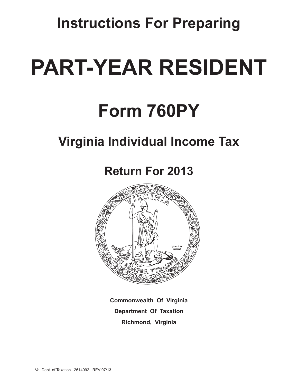**Instructions For Preparing**

# **Part-year Resident**

# **Form 760PY**

# **Virginia Individual Income Tax**

# **Return For 2013**



**Commonwealth Of Virginia Department Of Taxation Richmond, Virginia**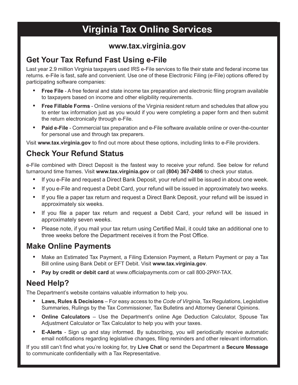# **Virginia Tax Online Services**

# **www.tax.virginia.gov**

# **Get Your Tax Refund Fast Using e-File**

Last year 2.9 million Virginia taxpayers used IRS e-File services to file their state and federal income tax returns. e-File is fast, safe and convenient. Use one of these Electronic Filing (e-File) options offered by participating software companies:

- **Free File** A free federal and state income tax preparation and electronic filing program available to taxpayers based on income and other eligibility requirements.
- • **Free Fillable Forms** Online versions of the Virginia resident return and schedules that allow you to enter tax information just as you would if you were completing a paper form and then submit the return electronically through e-File.
- • **Paid e-File** Commercial tax preparation and e-File software available online or over-the-counter for personal use and through tax preparers.

Visit **www.tax.virginia.gov** to find out more about these options, including links to e-File providers.

# **Check Your Refund Status**

e-File combined with Direct Deposit is the fastest way to receive your refund. See below for refund turnaround time frames. Visit **www.tax.virginia.gov** or call **(804) 367-2486** to check your status.

- If you e-File and request a Direct Bank Deposit, your refund will be issued in about one week.
- If you e-File and request a Debit Card, your refund will be issued in approximately two weeks.
- If you file a paper tax return and request a Direct Bank Deposit, your refund will be issued in approximately six weeks.
- If you file a paper tax return and request a Debit Card, your refund will be issued in approximately seven weeks.
- Please note, if you mail your tax return using Certified Mail, it could take an additional one to three weeks before the Department receives it from the Post Office.

# **Make Online Payments**

- Make an Estimated Tax Payment, a Filing Extension Payment, a Return Payment or pay a Tax Bill online using Bank Debit or EFT Debit. Visit **www.tax.virginia.gov**.
- • **Pay by credit or debit card** at www.officialpayments.com or call 800-2PAY-TAX.

# **Need Help?**

The Department's website contains valuable information to help you.

- • **Laws, Rules & Decisions** For easy access to the *Code of Virginia*, Tax Regulations, Legislative Summaries, Rulings by the Tax Commissioner, Tax Bulletins and Attorney General Opinions.
- • **Online Calculators** Use the Department's online Age Deduction Calculator, Spouse Tax Adjustment Calculator or Tax Calculator to help you with your taxes.
- • **E-Alerts** Sign up and stay informed. By subscribing, you will periodically receive automatic email notifications regarding legislative changes, filing reminders and other relevant information.

If you still can't find what you're looking for, try **Live Chat** or send the Department a **Secure Message** to communicate confidentially with a Tax Representative.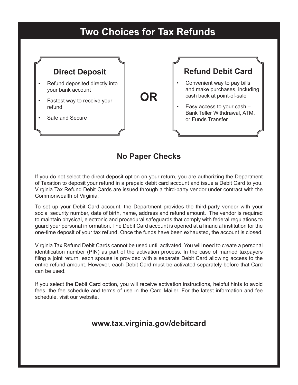# **Two Choices for Tax Refunds**



# **No Paper Checks**

If you do not select the direct deposit option on your return, you are authorizing the Department of Taxation to deposit your refund in a prepaid debit card account and issue a Debit Card to you. Virginia Tax Refund Debit Cards are issued through a third-party vendor under contract with the Commonwealth of Virginia.

To set up your Debit Card account, the Department provides the third-party vendor with your social security number, date of birth, name, address and refund amount. The vendor is required to maintain physical, electronic and procedural safeguards that comply with federal regulations to guard your personal information. The Debit Card account is opened at a financial institution for the one-time deposit of your tax refund. Once the funds have been exhausted, the account is closed.

Virginia Tax Refund Debit Cards cannot be used until activated. You will need to create a personal identification number (PIN) as part of the activation process. In the case of married taxpayers filing a joint return, each spouse is provided with a separate Debit Card allowing access to the entire refund amount. However, each Debit Card must be activated separately before that Card can be used.

If you select the Debit Card option, you will receive activation instructions, helpful hints to avoid fees, the fee schedule and terms of use in the Card Mailer. For the latest information and fee schedule, visit our website.

# **www.tax.virginia.gov/debitcard**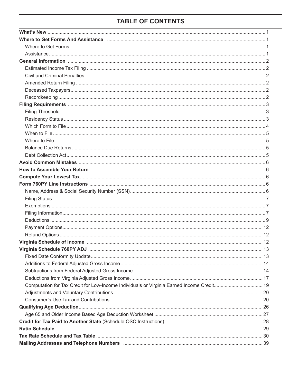# **TABLE OF CONTENTS**

| Where to Get Forms And Assistance measurement control to the form of the state of the state of the state of the                                                                                                                |  |
|--------------------------------------------------------------------------------------------------------------------------------------------------------------------------------------------------------------------------------|--|
|                                                                                                                                                                                                                                |  |
|                                                                                                                                                                                                                                |  |
| General Information (1000) (2000) (2000) (2000) (2000) (2000) (2000) (2000) (3000) (3000) (3000) (3000) (3000) (3000) (3000) (3000) (3000) (3000) (3000) (3000) (3000) (3000) (3000) (3000) (3000) (3000) (3000) (3000) (3000) |  |
|                                                                                                                                                                                                                                |  |
|                                                                                                                                                                                                                                |  |
|                                                                                                                                                                                                                                |  |
|                                                                                                                                                                                                                                |  |
|                                                                                                                                                                                                                                |  |
|                                                                                                                                                                                                                                |  |
|                                                                                                                                                                                                                                |  |
|                                                                                                                                                                                                                                |  |
|                                                                                                                                                                                                                                |  |
|                                                                                                                                                                                                                                |  |
|                                                                                                                                                                                                                                |  |
|                                                                                                                                                                                                                                |  |
|                                                                                                                                                                                                                                |  |
|                                                                                                                                                                                                                                |  |
|                                                                                                                                                                                                                                |  |
|                                                                                                                                                                                                                                |  |
|                                                                                                                                                                                                                                |  |
|                                                                                                                                                                                                                                |  |
|                                                                                                                                                                                                                                |  |
|                                                                                                                                                                                                                                |  |
|                                                                                                                                                                                                                                |  |
|                                                                                                                                                                                                                                |  |
|                                                                                                                                                                                                                                |  |
|                                                                                                                                                                                                                                |  |
|                                                                                                                                                                                                                                |  |
|                                                                                                                                                                                                                                |  |
|                                                                                                                                                                                                                                |  |
|                                                                                                                                                                                                                                |  |
|                                                                                                                                                                                                                                |  |
|                                                                                                                                                                                                                                |  |
| Computation for Tax Credit for Low-Income Individuals or Virginia Earned Income Credit 19                                                                                                                                      |  |
|                                                                                                                                                                                                                                |  |
|                                                                                                                                                                                                                                |  |
|                                                                                                                                                                                                                                |  |
|                                                                                                                                                                                                                                |  |
|                                                                                                                                                                                                                                |  |
|                                                                                                                                                                                                                                |  |
|                                                                                                                                                                                                                                |  |
|                                                                                                                                                                                                                                |  |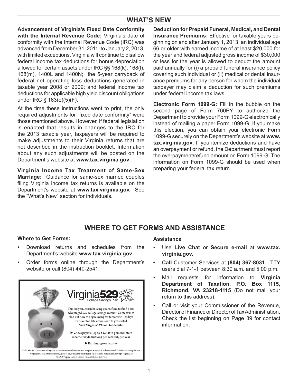# **WHAT'S NEW**

**Advancement of Virginia's Fixed Date Conformity** with the Internal Revenue Code: Virginia's date of conformity with the Internal Revenue Code (IRC) was advanced from December 31, 2011, to January 2, 2013, with limited exceptions. Virginia will continue to disallow federal income tax deductions for bonus depreciation allowed for certain assets under IRC §§ 168(k), 168(l), 168(m), 1400L and 1400N; the 5-year carryback of federal net operating loss deductions generated in taxable year 2008 or 2009; and federal income tax deductions for applicable high yield discount obligations under IRC § 163(e)(5)(F).

At the time these instructions went to print, the only required adjustments for "fixed date conformity" were those mentioned above. However, if federal legislation is enacted that results in changes to the IRC for the 2013 taxable year, taxpayers will be required to make adjustments to their Virginia returns that are not described in the instruction booklet. Information about any such adjustments will be posted on the Department's website at **www.tax.virginia.gov**.

**Virginia Income tax treatment of same-sex Marriage:** Guidance for same-sex married couples filing Virginia income tax returns is available on the Department's website at **www.tax.virginia.gov.** See the "What's New" section for individuals.

**Deduction for Prepaid Funeral, Medical, and Dental Insurance Premiums:** Effective for taxable years beginning on and after January 1, 2013, an individual age 66 or older with earned income of at least \$20,000 for the year and federal adjusted gross income of \$30,000 or less for the year is allowed to deduct the amount paid annually for (i) a prepaid funeral insurance policy covering such individual or (ii) medical or dental insurance premiums for any person for whom the individual taxpayer may claim a deduction for such premiums under federal income tax laws.

**electronic Form 1099-G:** Fill in the bubble on the second page of Form 760PY to authorize the Department to provide your Form 1099-G electronically instead of mailing a paper Form 1099-G. If you make this election, you can obtain your electronic Form 1099-G securely on the Department's website at **www. tax.virginia.gov**. If you itemize deductions and have an overpayment or refund, the Department must report the overpayment/refund amount on Form 1099-G. The information on Form 1099-G should be used when preparing your federal tax return.

# **WHere tO Get FOrMs and assIstanCe**

# **Where to Get Forms:**

- Download returns and schedules from the Department's website **www.tax.virginia.gov**.
- Order forms online through the Department's website or call (804) 440-2541.



#### **assistance**

- Use Live Chat or **Secure e-mail** at www.tax. **virginia.gov.**
- **Call Customer Services at (804) 367-8031. TTY** users dial 7-1-1 between 8:30 a.m. and 5:00 p.m.
- Mail requests for information to Virginia Department of Taxation, P.O. Box 1115, **richmond, Va 23218-1115** (Do not mail your return to this address).
- Call or visit your Commissioner of the Revenue. Director of Finance or Director of Tax Administration. Check the list beginning on Page 39 for contact information.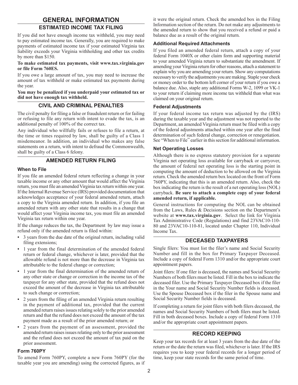# **GENERAL INFORMATION**

# **Estimated Income Tax Filing**

If you did not have enough income tax withheld, you may need to pay estimated income tax. Generally, you are required to make payments of estimated income tax if your estimated Virginia tax liability exceeds your Virginia withholding and other tax credits by more than \$150.

#### **To make estimated tax payments, visit www.tax.virginia.gov or file Form 760ES.**

If you owe a large amount of tax, you may need to increase the amount of tax withheld or make estimated tax payments during the year.

#### **You may be penalized if you underpaid your estimated tax or did not have enough tax withheld.**

#### **Civil And Criminal Penalties**

The civil penalty for filing a false or fraudulent return or for failing or refusing to file any return with intent to evade the tax, is an additional penalty of 100% of the correct tax.

Any individual who willfully fails or refuses to file a return, at the time or times required by law, shall be guilty of a Class 1 misdemeanor. In addition, an individual who makes any false statements on a return, with intent to defraud the Commonwealth, shall be guilty of a Class 6 felony.

# **Amended Return Filing**

#### **When to File**

If you file an amended federal return reflecting a change in your taxable income or any other amount that would affect the Virginia return, you must file an amended Virginia tax return within one year. If the Internal Revenue Service (IRS) provided documentation that acknowledges acceptance of your federal amended return, attach a copy to the Virginia amended return. In addition, if you file an amended return with any other state that results in a change that would affect your Virginia income tax, you must file an amended Virginia tax return within one year.

If the change reduces the tax, the Department by law may issue a refund only if the amended return is filed within:

- **•** 3 years from the due date of the original return, including valid filing extensions;
- **•** 1 year from the final determination of the amended federal return or federal change, whichever is later, provided that the allowable refund is not more than the decrease in Virginia tax attributable to the federal change or correction;
- **•** 1 year from the final determination of the amended return of any other state or change or correction in the income tax of the taxpayer for any other state, provided that the refund does not exceed the amount of the decrease in Virginia tax attributable to such change or correction;
- **•** 2 years from the filing of an amended Virginia return resulting in the payment of additional tax, provided that the current amended return raises issues relating solely to the prior amended return and that the refund does not exceed the amount of the tax payment made as a result of the prior amended return; or
- **•** 2 years from the payment of an assessment, provided the amended return raises issues relating only to the prior assessment and the refund does not exceed the amount of tax paid on the prior assessment.

#### **Form 760PY**

To amend Form 760PY, complete a new Form 760PY (for the taxable year you are amending) using the corrected figures, as if it were the original return. Check the amended box in the Filing Information section of the return. Do not make any adjustments to the amended return to show that you received a refund or paid a balance due as a result of the original return.

#### **Additional Required Attachments**

If you filed an amended federal return, attach a copy of your federal Form 1040X or other claim form and supporting material to your amended Virginia return to substantiate the amendment. If amending your Virginia return for other reasons, attach a statement to explain why you are amending your return. Show any computations necessary to verify the adjustments you are making. Staple your check or money order to the bottom left corner of your return if you owe a balance due. Also, staple any additional Forms W-2, 1099 or VK-1 to your return if claiming more income tax withheld than what was claimed on your original return.

#### **Federal Adjustments**

If your federal income tax return was adjusted by the (IRS) during the taxable year and the adjustment was not reported to the Department, an amended Virginia return must be filed with a copy of the federal adjustments attached within one year after the final determination of such federal change, correction or renegotiation. See "When to File" earlier in this section for additional information.

#### **Net Operating Losses**

Although there is no express statutory provision for a separate Virginia net operating loss available for carryback or carryover, the amount of federal net operating loss is the starting point in computing the amount of deduction to be allowed on the Virginia return. Check the amended return box located on the front of Form 760PY, indicating that this is an amended return. Also, check the box indicating the return is the result of a net operating loss (NOL) carryback. **Be sure to attach a complete copy of your federal amended return, if applicable.**

General instructions for computing the NOL can be obtained from the Laws, Rules & Decisions section on the Department's website at **www.tax.virginia.gov**. Select the link for Virginia Tax Administrative Code (Regulations) and find 23VAC10-110- 80 and 23VAC10-110-81, located under Chapter 110, Individual Income Tax.

#### **Deceased Taxpayers**

Single filers: You must list the filer's name and Social Security Number and fill in the box for Primary Taxpayer Deceased. Include a copy of federal Form 1310 and/or the appropriate court appointment papers.

Joint filers: If one filer is deceased, the names and Social Security Numbers of both filers must be listed. Fill in the box to indicate the deceased filer. Use the Primary Taxpayer Deceased box if the filer in the Your name and Social Security Number fields is deceased. Use the Spouse Deceased box if the filer in the Spouse name and Social Security Number fields is deceased.

If completing a return for joint filers with both filers deceased, the names and Social Security Numbers of both filers must be listed. Fill in both deceased boxes. Include a copy of federal Form 1310 and/or the appropriate court appointment papers.

#### **Record Keeping**

Keep your tax records for at least 3 years from the due date of the return or the date the return was filed, whichever is later. If the IRS requires you to keep your federal records for a longer period of time, keep your state records for the same period of time.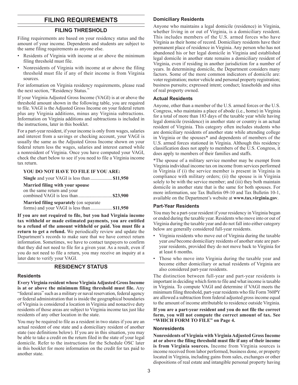# **FILING REQUIREMENTS**

#### **FILING THRESHOLD**

Filing requirements are based on your residency status and the amount of your income. Dependents and students are subject to the same filing requirements as anyone else.

- Residents of Virginia with income at or above the minimum filing threshold must file.
- Nonresidents of Virginia with income at or above the filing threshold must file if any of their income is from Virginia sources.

For information on Virginia residency requirements, please read the next section, "Residency Status."

If your Virginia Adjusted Gross Income (VAGI) is at or above the threshold amount shown in the following table, you are required to file. VAGI is the Adjusted Gross Income on your federal return plus any Virginia additions, minus any Virginia subtractions. Information on Virginia additions and subtractions is included in the instructions, later in this booklet.

For a part-year resident, if your income is only from wages, salaries and interest from a savings or checking account, your VAGI is usually the same as the Adjusted Gross Income shown on your federal return less the wages, salaries and interest earned while a nonresident of Virginia. Once you have computed your VAGI, check the chart below to see if you need to file a Virginia income tax return.

#### **YOU DO NOT HAVE TO FILE IF YOU ARE:**

| Married filing with your spouse               |  |
|-----------------------------------------------|--|
| on the same return and your                   |  |
|                                               |  |
| <b>Married filing separately</b> (on separate |  |
| forms) and your VAGI is less than  \$11,950   |  |

**If you are not required to file, but you had Virginia income tax withheld or made estimated payments, you are entitled** 

**to a refund of the amount withheld or paid. You must file a return to get a refund.** We periodically review and update the Department's records to make sure that we have correct return information. Sometimes, we have to contact taxpayers to confirm that they did not need to file for a given year. As a result, even if you do not need to file a return, you may receive an inquiry at a later date to verify your VAGI.

#### **RESIDENCY STATUS**

#### **Residents**

**Every Virginia resident whose Virginia Adjusted Gross Income is at or above the minimum filing threshold must file.** Any "federal area" such as a military or naval reservation, federal agency or federal administration that is inside the geographical boundaries of Virginia is considered a location in Virginia and nonactive duty residents of those areas are subject to Virginia income tax just like residents of any other location in the state.

You may be required to file as a resident in two states if you are an actual resident of one state and a domiciliary resident of another state (see definitions below). If you are in this situation, you may be able to take a credit on the return filed in the state of your legal domicile. Refer to the instructions for the Schedule OSC later in this booklet for more information on the credit for tax paid to another state.

#### **Domiciliary Residents**

Anyone who maintains a legal domicile (residence) in Virginia, whether living in or out of Virginia, is a domiciliary resident. This includes members of the U.S. armed forces who have Virginia as their home of record. Domiciliary residents have their permanent place of residence in Virginia. Any person who has not abandoned his or her legal domicile in Virginia and established legal domicile in another state remains a domiciliary resident of Virginia, even if residing in another jurisdiction for a number of years. In determining domicile, the Department considers many factors. Some of the more common indicators of domicile are: voter registration; motor vehicle and personal property registration; business pursuits; expressed intent; conduct; leaseholds and situs of real property owned.

#### **Actual Residents**

Anyone, other than a member of the U.S. armed forces or the U.S. Congress, who maintains a place of abode (i.e., home) in Virginia for a total of more than 183 days of the taxable year while having legal domicile (residence) in another state or country is an actual resident of Virginia. This category often includes students who are domiciliary residents of another state while attending college in Virginia or the spouses\* and dependents of members of the U.S. armed forces stationed in Virginia. Although this residency classification does not apply to members of the U.S. Congress, it does apply to members of their families and staffs.

\*The spouse of a military service member may be exempt from Virginia individual income tax on income from services performed in Virginia if (i) the service member is present in Virginia in compliance with military orders; (ii) the spouse is in Virginia solely to be with the service member; and (iii) they both maintain domicile in another state that is the same for both spouses. For more information, see Tax Bulletin 09-10 and Tax Bulletin 10-1, available on the Department's website at **www.tax.virginia.gov**.

#### **Part-Year Residents**

You may be a part-year resident if your residency in Virginia began or ended during the taxable year. Residents who move into or out of Virginia during the taxable year and do not fall into either category below are generally considered full-year residents.

- Virginia residents who move out of Virginia during the taxable year *and* become domiciliary residents of another state are partyear residents, provided they do not move back to Virginia for at least 6 months.
- Those who move into Virginia during the taxable year and become either domiciliary or actual residents of Virginia are also considered part-year residents.

The distinction between full-year and part-year residents is important in deciding which form to file and what income is taxable in Virginia. To compute VAGI and determine if VAGI meets the minimum filing threshold, part-year residents who file Form 760PY are allowed a subtraction from federal adjusted gross income equal to the amount of income attributable to residence outside Virginia.

**If you are a part-year resident and you do not file the correct form, you will not compute the correct amount of tax. See "WHICH FORM TO FILE" on Page 4.** 

#### **Nonresidents**

**Nonresidents of Virginia with Virginia Adjusted Gross Income at or above the filing threshold must file if any of their income is from Virginia sources.** Income from Virginia sources is income received from labor performed, business done, or property located in Virginia, including gains from sales, exchanges or other dispositions of real estate and intangible personal property having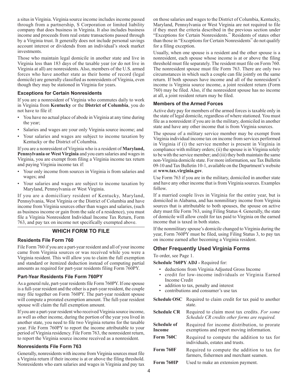a situs in Virginia. Virginia source income includes income passed through from a partnership, S Corporation or limited liability company that does business in Virginia. It also includes business income and proceeds from real estate transactions passed through by a Virginia trust. It generally does not include personal savings account interest or dividends from an individual's stock market investments.

Those who maintain legal domicile in another state and live in Virginia less than 183 days of the taxable year (or do not live in Virginia at all) are nonresidents. Also, members of the U.S. armed forces who have another state as their home of record (legal domicile) are generally classified as nonresidents of Virginia, even though they may be stationed in Virginia for years.

#### **Exceptions for Certain Nonresidents**

If you are a nonresident of Virginia who commutes daily to work in Virginia from **Kentucky** or the **District of Columbia**, you do not have to file if:

- You have no actual place of abode in Virginia at any time during the year;
- Salaries and wages are your only Virginia source income; and
- • Your salaries and wages are subject to income taxation by Kentucky or the District of Columbia.

If you are a nonresident of Virginia who is a resident of **Maryland, Pennsylvania or West Virginia** and you earn salaries and wages in Virginia, you are exempt from filing a Virginia income tax return and paying Virginia income tax if:

- • Your only income from sources in Virginia is from salaries and wages; and
- Your salaries and wages are subject to income taxation by Maryland, Pennsylvania or West Virginia.

If you are a domiciliary resident of Kentucky, Maryland, Pennsylvania, West Virginia or the District of Columbia and have income from Virginia sources other than wages and salaries, (such as business income or gain from the sale of a residence), you must file a Virginia Nonresident Individual Income Tax Return, Form 763, and pay tax on income not specifically exempted above.

#### **WHICH FORM TO FILE**

#### **Residents File Form 760**

File Form 760 if you are a part-year resident and all of your income came from Virginia sources or was received while you were a Virginia resident. This will allow you to claim the full exemption and standard or itemized deduction instead of computing partial amounts as required for part-year residents filing Form 760PY.

#### **Part-Year Residents File Form 760PY**

As a general rule, part-year residents file Form 760PY. If one spouse is a full-year resident and the other is a part-year resident, the couple may file together on Form 760PY. The part-year resident spouse will compute a prorated exemption amount. The full-year resident spouse will claim the full exemption amount.

If you are a part-year resident who received Virginia source income, as well as other income, during the portion of the year you lived in another state, you need to file two Virginia returns for the taxable year. File Form 760PY to report the income attributable to your period of Virginia residency. File Form 763, the nonresident return, to report the Virginia source income received as a nonresident.

#### **Nonresidents File Form 763**

Generally, nonresidents with income from Virginia sources must file a Virginia return if their income is at or above the filing threshold. Nonresidents who earn salaries and wages in Virginia and pay tax on those salaries and wages to the District of Columbia, Kentucky, Maryland, Pennsylvania or West Virginia are not required to file if they meet the criteria described in the previous section under "Exceptions for Certain Nonresidents." Residents of states other than those in "Exceptions for Certain Nonresidents" do not qualify for a filing exception.

Usually, when one spouse is a resident and the other spouse is a nonresident, each spouse whose income is at or above the filing threshold must file separately. The resident must file on Form 760. The nonresident spouse must file Form 763. There are only two circumstances in which such a couple can file jointly on the same return. If both spouses have income and all of the nonresident's income is Virginia source income, a joint resident return (Form 760) may be filed. Also, if the nonresident spouse has no income at all, a joint resident return may be filed.

#### **Members of the Armed Forces**

Active duty pay for members of the armed forces is taxable only in the state of legal domicile, regardless of where stationed. You must file as a nonresident if you are in the military, domiciled in another state and have any other income that is from Virginia sources.

The spouse of a military service member may be exempt from Virginia individual income tax on income from services performed in Virginia if (i) the service member is present in Virginia in compliance with military orders; (ii) the spouse is in Virginia solely to be with the service member; and (iii) they both maintain the same non-Virginia domicile state. For more information, see Tax Bulletin 09-10 and Tax Bulletin 10-1, available on the Department's website at **www.tax.virginia.gov**.

Use Form 763 if you are in the military, domiciled in another state and have any other income that is from Virginia sources. Examples follow.

If a married couple lives in Virginia for the entire year, but is domiciled in Alabama, and has nonmilitary income from Virginia sources that is attributable to both spouses, the spouse on active duty must file Form 763, using Filing Status 4. Generally, the state of domicile will allow credit for tax paid to Virginia on the earned income that is taxed in both states.

If the nonmilitary spouse's domicile changed to Virginia during the year, Form 760PY must be filed, using Filing Status 3, to pay tax on income earned after becoming a Virginia resident.

# **Other Frequently Used Virginia Forms**

To order, see Page 1.

**Schedule 760PY ADJ** *-* Required for:

- deductions from Virginia Adjusted Gross Income
- credit for low-income individuals or Virginia Earned Income Credit
- addition to tax, penalty and interest
- contributions and consumer's use tax
- **Schedule OSC** Required to claim credit for tax paid to another state.
- **Schedule CR** Required to claim most tax credits. *For some Schedule CR credits other forms are required.*
- **Schedule of Income**  Required for income distribution, to prorate exemptions and report moving information.
- Form 760C Required to compute the addition to tax for individuals, estates and trusts.
- Form 760F Required to compute the addition to tax for farmers, fishermen and merchant seamen.
- Form 760IP Used to make an extension payment.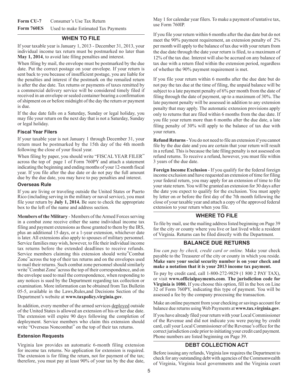Form CU-7 Consumer's Use Tax Return **Form 760ES** Used to make Estimated Tax Payments

#### **WHEN TO FILE**

If your taxable year is January 1, 2013 - December 31, 2013, your individual income tax return must be postmarked no later than **May 1, 2014**, to avoid late filing penalties and interest.

When filing by mail, the envelope must be postmarked by the due date. Put the correct postage on your envelope. If your return is sent back to you because of insufficient postage, you are liable for the penalties and interest if the postmark on the remailed return is after the due date. Tax returns or payments of taxes remitted by a commercial delivery service will be considered timely filed if received in an envelope or sealed container bearing a confirmation of shipment on or before midnight of the day the return or payment is due.

If the due date falls on a Saturday, Sunday or legal holiday, you may file your return on the next day that is not a Saturday, Sunday or legal holiday.

#### **Fiscal Year Filers**

If your taxable year is not January 1 through December 31, your return must be postmarked by the 15th day of the 4th month following the close of your fiscal year.

When filing by paper, you should write "FISCAL YEAR FILER" across the top of page 1 of Form 760PY and attach a statement indicating the beginning and ending months of your 12-month fiscal year. If you file after the due date or do not pay the full amount due by the due date, you may have to pay penalties and interest.

#### **Overseas Rule**

If you are living or traveling outside the United States or Puerto Rico (including serving in the military or naval service), you must file your return by **July 1, 2014.** Be sure to check the appropriate box to the left of the name and address section.

**Members of the Military** - Members of the Armed Forces serving in a combat zone receive either the same individual income tax filing and payment extensions as those granted to them by the IRS, plus an additional 15 days, or a 1-year extension, whichever date is later. All extensions also apply to spouses of military personnel. Service families may wish, however, to file their individual income tax returns before the extended deadlines to receive refunds. Service members claiming this extension should write"Combat Zone"across the top of their tax returns and on the envelopes used to mail their returns. Such combat zone personnel should similarly write"Combat Zone"across the top of their correspondence, and on the envelope used to mail the correspondence, when responding to any notices is sued by the Department regarding tax collection or examination. More information can be obtained from Tax Bulletin 05-5, available in the Laws,Rules,and Decisions Section of the Department's website at **www.taxpolicy.virginia.gov**.

In addition, every member of the armed services deployed outside of the United States is allowed an extension of his or her due date. The extension will expire 90 days following the completion of deployment. Service members who claim this extension should write "Overseas Noncombat" on the top of their tax returns.

#### **Extension Requests**

Virginia law provides an automatic 6-month filing extension for income tax returns. No application for extension is required. The extension is for filing the return, not for payment of the tax; therefore, you must pay at least 90% of your tax by the due date, May 1 for calendar year filers. To make a payment of tentative tax, use Form 760IP.

If you file your return within 6 months after the due date but do not meet the 90% payment requirement, an extension penalty of 2% per month will apply to the balance of tax due with your return from the due date through the date your return is filed, to a maximum of 12% of the tax due. Interest will also be accrued on any balance of tax due with a return filed within the extension period, regardless of whether the 90% payment requirement is met.

If you file your return within 6 months after the due date but do not pay the tax due at the time of filing, the unpaid balance will be subject to a late payment penalty of 6% per month from the date of filing through the date of payment, up to a maximum of 30%. The late payment penalty will be assessed in addition to any extension penalty that may apply. The automatic extension provisions apply only to returns that are filed within 6 months from the due date. If you file your return more than 6 months after the due date, a late filing penalty of 30% will apply to the balance of tax due with your return.

**Refund Returns** - You do not need to file an extension if you cannot file by the due date and you are certain that your return will result in a refund. This is because the late filing penalty is not assessed on refund returns. To receive a refund, however, you must file within 3 years of the due date.

**Foreign Income Exclusion** - If you qualify for the federal foreign income exclusion and have requested an extension of time for filing your federal return, you may apply for an extension of time to file your state return. You will be granted an extension for 30 days after the date you expect to qualify for the exclusion. You must apply by letter on or before the first day of the 7th month following the close of your taxable year and attach a copy of the approved federal extension to your return when you file.

#### **WHERE TO FILE**

To file by mail, use the mailing address listed beginning on Page 39 for the city or county where you live or last lived while a resident of Virginia. Returns can be filed directly with the Department.

#### **BALANCE DUE RETURNS**

*You can pay by check, credit card or online.* Make your check payable to the Treasurer of the city or county in which you reside. **Make sure your social security number is on your check and make a notation that it is your 2013 income tax payment.** 

To pay by credit card, call 1-800-272-9829 (1 800 2 PAY TAX), or visit **www.officialpayments.com**. **The jurisdiction code for Virginia is 1080.** If you choose this option, fill in the box on Line 32 of Form 760PY, indicating this type of payment. You will be assessed a fee by the company processing the transaction.

Make an online payment from your checking or savings account for balance due returns using Web Payments at **www.tax.virginia.gov**.

If you have already filed your return with your Local Commissioner of the Revenue and did not indicate you were paying by credit card, call your Local Commissioner of the Revenue's office for the correct jurisdiction code prior to initiating your credit card payment. Phone numbers are listed beginning on Page 39.

#### **DEBT COLLECTION ACT**

Before issuing any refunds, Virginia law requires the Department to check for any outstanding debt with agencies of the Commonwealth of Virginia, Virginia local governments and the Virginia court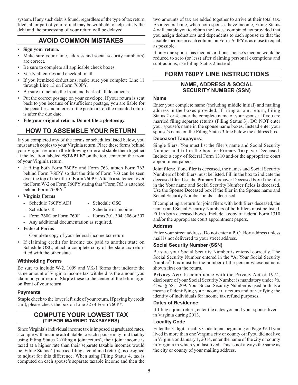system. If any such debt is found, regardless of the type of tax return filed, all or part of your refund may be withheld to help satisfy the debt and the processing of your return will be delayed.

# **AVOID COMMON MISTAKES**

- • **Sign your return.**
- Make sure your name, address and social security number(s) are correct.
- Be sure to complete all applicable check boxes.
- Verify all entries and check all math.
- If you itemized deductions, make sure you complete Line 11 through Line 13 on Form 760PY.
- Be sure to include the front and back of all documents.
- Put the correct postage on your envelope. If your return is sent back to you because of insufficient postage, you are liable for the penalties and interest if the postmark on the remailed return is after the due date.
- File your original return. Do not file a photocopy.

# **HOW TO ASSEMBLE YOUR RETURN**

If you completed any of the forms or schedules listed below, you must attach copies to your Virginia return. Place these forms behind your Virginia return in the following order and staple them together at the location labeled **"STAPLE"** on the top, center on the front of your Virginia return.

- If filing both Form 760PY and Form 763, attach Form 763 behind Form 760PY so that the title of Form 763 can be seen over the top of the title of Form 760PY. Attach a statement over the Form W-2 on Form 760PY stating that "Form 763 is attached behind Form 760PY."
- • **Virginia Forms**
	- Schedule 760PY ADJ Schedule OSC
	- Schedule CR Schedule of Income
		-
	- Form 760C or Form 760F Forms 301, 304, 306 or 307
	- Any additional documentation as required.
- • **Federal Forms**
	- Complete copy of your federal income tax return.
- If claiming credit for income tax paid to another state on Schedule OSC, attach a complete copy of the state tax return filed with the other state.

# **Withholding Forms**

Be sure to include W-2, 1099 and VK-1 forms that indicate the same amount of Virginia income tax withheld as the amount you claim on your return. **Staple** these to the center of the left margin on front of your return.

# **Payments**

**Staple** check to the lower left side of your return. If paying by credit card, please check the box on Line 32 of Form 760PY.

# **COMPUTE YOUR LOWEST TAX (Tip for Married Taxpayers)**

Since Virginia's individual income tax is imposed at graduated rates, a couple with income attributable to each spouse may find that by using Filing Status 2 (filing a joint return), their joint income is taxed at a higher rate than their separate taxable incomes would be. Filing Status 4 (married filing a combined return), is designed to adjust for this difference. When using Filing Status 4, tax is computed on each spouse's separate taxable income and then the

two amounts of tax are added together to arrive at their total tax. As a general rule, when both spouses have income, Filing Status 4 will enable you to obtain the lowest combined tax provided that you assign deductions and dependents to each spouse so that the taxable income in each column on Form 760PY is as close to equal as possible.

If only one spouse has income or if one spouse's income would be reduced to zero (or less) after claiming personal exemptions and subtractions, use Filing Status 2 instead.

# **FORM 760PY LINE INSTRUCTIONS**

# **Name, Address & Social Security Number (SSN)**

#### **Name**

Enter your complete name (including middle initial) and mailing address in the boxes provided. If filing a joint return, Filing Status 2 or 4, enter the complete name of your spouse. If you are married filing separate returns (Filing Status 3), DO NOT enter your spouse's name in the spouse name boxes. Instead enter your spouse's name on the Filing Status 3 line below the address box.

#### **Deceased Taxpayers:**

Single filers: You must list the filer's name and Social Security Number and fill in the box for Primary Taxpayer Deceased. Include a copy of federal Form 1310 and/or the appropriate court appointment papers.

Joint filers: If one filer is deceased, the names and Social Security Numbers of both filers must be listed. Fill in the box to indicate the deceased filer. Use the Primary Taxpayer Deceased box if the filer in the Your name and Social Security Number fields is deceased. Use the Spouse Deceased box if the filer in the Spouse name and Social Security Number fields is deceased.

If completing a return for joint filers with both filers deceased, the names and Social Security Numbers of both filers must be listed. Fill in both deceased boxes. Include a copy of federal Form 1310 and/or the appropriate court appointment papers.

#### **Address**

Enter your street address. Do not enter a P. O. Box address unless mail is not delivered to your street address.

# **Social Security Number (SSN)**

Be sure your Social Security Number is entered correctly. The Social Security Number entered in the "A: Your Social Security Number" box must be the number of the person whose name is shown first on the return.

**Privacy Act:** In compliance with the Privacy Act of 1974, disclosure of your Social Security Number is mandatory under *Va. Code* § 58.1-209. Your Social Security Number is used both as a means of identifying your income tax return and of verifying the identity of individuals for income tax refund purposes.

#### **Dates of Residence**

If filing a joint return, enter the dates you and your spouse lived in Virginia during 2013.

# **Locality Code**

Enter the 3-digit Locality Code found beginning on Page 39. If you lived in more than one Virginia city or county or if you did not live in Virginia on January 1, 2014, enter the name of the city or county in Virginia in which you last lived. This is not always the same as the city or county of your mailing address.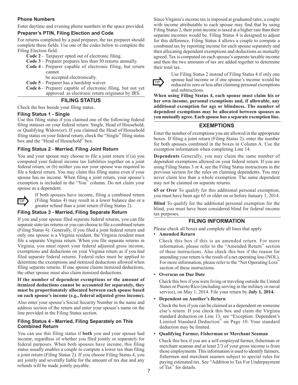#### **Phone Numbers**

Enter daytime and evening phone numbers in the space provided.

#### **Preparer's PTIN, Filing Election and Code**

For returns completed by a paid preparer, the tax preparer should complete these fields. Use one of the codes below to complete the Filing Election field.

- **Code 2** Taxpayer opted out of electronic filing.
- **Code 3** Preparer prepares less than 50 returns annually.
- **Code 4** Preparer capable of electronic filing, but return cannot

be accepted electronically.

- **Code 5** Preparer has a hardship waiver.
- **Code 6** Preparer capable of electronic filing, but not yet approved as electronic return originator by IRS.

#### **Filing Status**

Check the box beside your filing status.

#### **Filing Status 1 - Single**

Use this filing status if you claimed one of the following federal filing statuses on your federal return: Single, Head of Household, or Qualifying Widow(er). If you claimed the Head of Household filing status on your federal return, check the "Single" filing status box and the "Head of Household" box.

#### **Filing Status 2 - Married, Filing Joint Return**

You and your spouse may choose to file a joint return if (a) you computed your federal income tax liabilities together on a joint federal return, or (b) neither you nor your spouse was required to file a federal return. You may claim this filing status even if your spouse has no income. When filing a joint return, your spouse's exemption is included in the "You" column. Do not claim your spouse as a dependent.



If both spouses have income, filing a combined return TIP (Filing Status 4) may result in a lower balance due or a greater refund than a joint return (Filing Status 2).

#### **Filing Status 3 - Married, Filing Separate Return**

If you and your spouse filed separate federal returns, you can file separate state tax returns or you can choose to file a combined return (Filing Status 4). Generally, if you filed a joint federal return and only one spouse is a Virginia resident, the Virginia resident must file a separate Virginia return. When you file separate returns in Virginia, you must report your federal adjusted gross income, exemptions and deductions on your Virginia return as if you had filed separate federal returns. Federal rules must be applied to determine the exemptions and itemized deductions allowed when filing separate returns. If one spouse claims itemized deductions, the other spouse must also claim itemized deductions.

#### **If the number of dependent exemptions or the amount of itemized deductions cannot be accounted for separately, they must be proportionately allocated between each spouse based on each spouse's income (e.g., federal adjusted gross income).**

Also enter your spouse's Social Security Number in the name and address section of the return and enter your spouse's name on the line provided in the Filing Status section.

#### **Filing Status 4 - Married, Filing Separately on This Combined Return**

You can use this filing status if **both** you and your spouse had income, regardless of whether you filed jointly or separately for federal purposes. When both spouses have income, this filing status usually enables a couple to compute a lower tax than filing a joint return (Filing Status 2). If you choose Filing Status 4, you are jointly and severally liable for the amount of tax due and any refunds will be made jointly payable.

Since Virginia's income tax is imposed at graduated rates, a couple with income attributable to each spouse may find that by using Filing Status 2, their joint income is taxed at a higher rate than their separate incomes would be. Filing Status 4 is designed to adjust for this difference. Filing Status 4 allows a couple to compute a combined tax by reporting income for each spouse separately and then allocating dependent exemptions and deductions as mutually agreed. Tax is computed on each spouse's separate taxable income and then the two amounts of tax are added together to determine their total tax.



Use Filing Status 2 instead of Filing Status 4 if only one spouse had income or if one spouse's income would be reduced to zero or less after claiming personal exemptions and subtractions.

**When using Filing Status 4, each spouse must claim his or her own income, personal exemptions and, if allowable, any additional exemption for age or blindness. The number of dependent exemptions may be allocated between spouses as you mutually agree. Each spouse has a separate exemption line.**

# **Exemptions**

Enter the number of exemptions you are allowed in the appropriate boxes. If filing a joint return (Filing Status 2), enter the number for both spouses combined in the boxes in Column A. Use the exemption information when completing Line 14.

**Dependents** Generally, you may claim the same number of dependent exemptions allowed on your federal return. If you are using Filing Status 3 or 4, see the Filing Status instructions in the previous section for the rules on claiming dependents. You may never claim less than a whole exemption. The same dependent may not be claimed on separate returns.

**65 or Over** To qualify for this additional personal exemption, you must have been age 65 or older on or before January 1, 2014.

**Blind** To qualify for the additional personal exemption for the blind, you must have been considered blind for federal income tax purposes.

# **Filing information**

Please check all boxes and complete all lines that apply.

#### • **Amended Return**

Check this box if this is an amended return. For more information, please refer to the "Amended Return" section of these instructions. Also check this box if the reason for amending your return is the result of a net operating loss (NOL). For more information, please refer to the "Net Operating Loss" section of these instructions.

• **Overseas on Due Date**

Check this box if you were living or traveling outside the United States or Puerto Rico (including serving in the military or naval service), on May 1, 2014. File your return by **July 1, 2014.**

• **Dependent on Another's Return** 

Check the box if you can be claimed as a dependent on someone else's return. If you check this box and claim the Virginia standard deduction on Line 13, see "Exception: Dependent's Limited Standard Deduction" on Page 10. Your standard deduction may be limited.

#### • **Qualifying Farmer, Fisherman or Merchant Seaman**

Check this box if you are a self-employed farmer, fisherman or merchant seaman and at least 2/3 of your gross income is from those employments. This information is used to identify farmers, fishermen and merchant seamen subject to special rules for paying estimated tax. See "Addition to Tax For Underpayment of Tax" for details.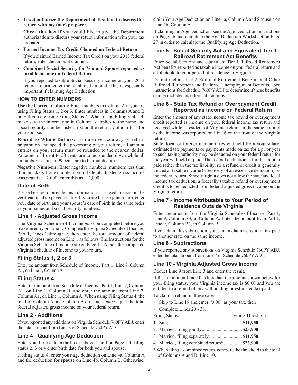• **I (we) authorize the Department of Taxation to discuss this return with my (our) preparer.**

**Check this box i**f you would like to give the Department authorization to discuss your return information with your tax preparer.

- • **Earned Income Tax Credit Claimed on Federal Return** If you claimed Earned Income Tax Credit on your 2013 federal return, enter the amount claimed.
- • **Combined Social Security for You and Spouse reported as taxable income on Federal Return**

If you reported taxable Social Security income on your 2013 federal return, enter the combined amount. This is especially important if claiming Age Deduction.

#### **HOW TO ENTER NUMBERS**

**Use the Correct Column:** Enter numbers in Column A if you are using Filing Status 1, 2 or 3. Enter numbers in Columns A and B only if you are using Filing Status 4. When using Filing Status 4, make sure the information in Column A applies to the name and social security number listed first on the return. Column B is for your spouse.

**Round to Whole Dollars:** To improve accuracy of return preparation and speed the processing of your return, all amount entries on your return must be rounded to the nearest dollar. Amounts of 1 cent to 50 cents are to be rounded down while all amounts 51 cents to 99 cents are to be rounded up.

**Negative Numbers:** Enter negative numbers (numbers less than 0) in brackets. For example, if your federal adjusted gross income was negative 12,000, enter this as [12,000].

# **Date of Birth**

Please be sure to provide this information. It is used to assist in the verification of taxpayer identity. If you are filing a joint return, enter your date of birth and your spouse's date of birth in the same order as your names and social security numbers.

# **Line 1 - Adjusted Gross Income**

The Virginia Schedule of Income *must* be completed before you make an entry on Line 1. Complete the Virginia Schedule of Income, Part 1, Lines 1 through 9, then enter the total amount of federal adjusted gross income on Line 1 as follows. The instructions for the Virginia Schedule of Income are on Page 12. Attach the completed Virginia Schedule of Income to your return.

# **Filing Status 1, 2 or 3**

Enter the amount from Schedule of Income, Part 1, Line 7, Column A1, on Line 1, Column A.

# **Filing Status 4**

Enter the amount from Schedule of Income, Part 1, Line 7, Column B1, on Line 1, Column B, and enter the amount from Line 7, Column A1, on Line 1, Column A. When using Filing Status 4, the total of Column A and Column B on Line 1 *must* equal the total federal adjusted gross income on your federal return.

# **Line 2 - Additions**

If you reported any additions on Virginia Schedule 760PY ADJ, enter the total amount from Line 3 of Schedule 760PY ADJ.

# **Line 4 - Qualifying Age Deduction**

Enter your birth date in the boxes above Line 1 on Page 1. If filing status 2, 3 or 4 enter birth date for both you and spouse.

If filing status 4, enter **your** age deduction on Line 4a, Column A and the deduction for **spouse** on Line 4b, Column B. Otherwise,

claim Your Age Deduction on Line 4a, Column A and Spouse's on Line 4b, Column A.

If claiming an Age Deduction, see the Age Deduction instructions on Page 26 and complete the Age Deduction Worksheet on Page 27 in order to calculate the Qualifying Age Deduction.

#### **Line 5 - Social Security Act and Equivalent Tier 1 Railroad Retirement Act Benefits**

Enter Social Security and equivalent Tier 1 Railroad Retirement Act benefits reported as taxable income on your federal return and attributable to your period of residence in Virginia.

Do not include Tier 2 Railroad Retirement Benefits and Other Railroad Retirement and Railroad Unemployment Benefits. See instructions for Schedule 760PY ADJ to determine if these benefits can be included as other subtractions.

#### **Line 6 - State Tax Refund or Overpayment Credit Reported as Income on Federal Return**

Enter the amount of any state income tax refund or overpayment credit reported as income on your federal income tax return and received while a resident of Virginia (claim in the same column as the income was reported on Line 6 on the front of the Virginia return).

State, local or foreign income taxes withheld from your salary, estimated tax payments or payments made on tax for a prior year to such taxing authority may be deducted on your federal return for the year withheld or paid. The federal deduction is for the amount paid rather than the tax liability, so a refund or credit is generally treated as taxable income (a recovery of an excessive deduction) on the federal return. Since Virginia does not allow the state and local income tax deduction, a federally taxable refund or overpayment credit is to be deducted from federal adjusted gross income on the Virginia return.

# **Line 7 - Income Attributable to Your Period of Residence Outside Virginia**

Enter the amount from the Virginia Schedule of Income, Part 1, Line 9, Column A3, in Column A. Enter the amount from Part 1, Line 9, Column B3, in Column B.

If you claim this subtraction, you cannot claim a credit for tax paid to another state on the same income.

# **Line 8 - Subtractions**

If you reported any subtractions on Virginia Schedule 760PY ADJ, enter the total amount from Line 7 of Schedule 760PY ADJ.

# **Line 10 - Virginia Adjusted Gross Income**

Deduct Line 9 from Line 3 and enter the result.

If the amount on Line 10 is less than the amount shown below for your filing status, your Virginia income tax is \$0.00 and you are entitled to a refund of any withholding or estimated tax paid.

To claim a refund in these cases:

- Skip to Line 19 and enter "0.00" as your tax, then
- Complete Lines 20 33.

| <b>Filing Status</b>                                     | <b>Filing Threshold</b> |
|----------------------------------------------------------|-------------------------|
|                                                          |                         |
|                                                          |                         |
|                                                          |                         |
| 4. Married, filing combined return <sup>*</sup> \$23,900 |                         |

\* When filing a combined return, compare the threshold to the total of Columns A and B, Line 10.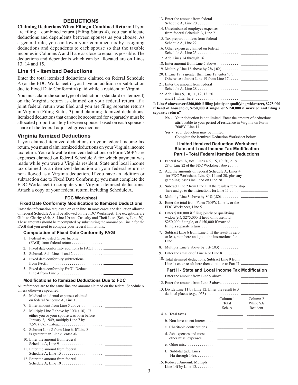# **Deductions**

**Claiming Deductions When Filing a Combined Return:** If you are filing a combined return (Filing Status 4), you can allocate deductions and dependents between spouses as you choose. As a general rule, you can lower your combined tax by assigning deductions and dependents to each spouse so that the taxable incomes in Columns A and B are as close to equal as possible. The deductions and dependents which can be allocated are on Lines 13, 14 and 15.

#### **Line 11 - Itemized Deductions**

Enter the total itemized deductions claimed on federal Schedule A (or the FDC Worksheet if you have an addition or subtraction due to Fixed Date Conformity) paid while a resident of Virginia.

You must claim the same type of deductions (standard or itemized) on the Virginia return as claimed on your federal return. If a joint federal return was filed and you are filing separate returns in Virginia (Filing Status 3), and claiming itemized deductions, itemized deductions that cannot be accounted for separately must be allocated proportionately between spouses based on each spouse's share of the federal adjusted gross income.

#### **Virginia Itemized Deductions**

If you claimed itemized deductions on your federal income tax return, you must claim itemized deductions on your Virginia income tax return. Your allowable itemized deductions on Form 760PY are expenses claimed on federal Schedule A for which payment was made while you were a Virginia resident. State and local income tax claimed as an itemized deduction on your federal return is not allowed as a Virginia deduction. If you have an addition or subtraction due to Fixed Date Conformity, you must complete the FDC Worksheet to compute your Virginia itemized deductions. Attach a copy of your federal return, including Schedule A.

#### **Fdc Worksheet**

#### **Fixed Date Conformity Modification to Itemized Deductions**

Enter the information requested on each line. In most cases, the deduction allowed on federal Schedule A will be allowed on the FDC Worksheet. The exceptions are Gifts to Charity (Sch. A, Line 19) and Casualty and Theft Loss (Sch. A, Line 20). These amounts should be recomputed by substituting the amount on Line 5 for the FAGI that you used to compute your federal limitations.

- 1. Federal Adjusted Gross Income
- (FAGI) from federal return. . .
- 2. Fixed date conformity additions to FAGI ....
- 3. Subtotal. Add Lines 1 and 2. . .
- 4. Fixed date conformity subtractions from FAGI. . .
- 5. Fixed date conformity FAGI. Deduct Line 4 from Line 3. . .

#### **Modifications to Itemized Deductions Due to FDC**

All references are to the same line and amount claimed on the federal Schedule A unless otherwise specified.

|    | 6. Medical and dental expenses claimed                                                                                        |
|----|-------------------------------------------------------------------------------------------------------------------------------|
| 7. | Enter amount from Line 5 above $\dots \dots$                                                                                  |
| 8. | Multiply Line 7 above by $10\%$ (.10). If<br>either you or your spouse was born before<br>January 2, 1949, multiply Line 7 by |
|    | 9. Subtract Line 8 from Line 6. If Line 8<br>is greater than Line 6, enter $-0$ -                                             |
|    | 10. Enter the amount from federal<br>Schedule A, Line $9 \ldots \ldots \ldots \ldots \ldots \ldots$                           |
|    | 11. Enter the amount from federal                                                                                             |
|    | 12. Enter the amount from federal                                                                                             |

| 13. Enter the amount from federal                                                              |
|------------------------------------------------------------------------------------------------|
| 14. Unreimbursed employee expenses                                                             |
| 15. Tax preparation fees from federal                                                          |
| 16. Other expenses claimed on federal                                                          |
|                                                                                                |
|                                                                                                |
|                                                                                                |
| 20. If Line 19 is greater than Line 17, enter '0'.<br>Otherwise subtract Line 19 from Line 17. |
| 21. Enter the amount from federal                                                              |
|                                                                                                |
| 22. Add Lines 9, 10, 11, 12, 13, 20                                                            |
| and 21. Enter here. $\dots \dots \dots \dots \dots \dots \dots$                                |

#### **Is Line 5 above over \$300,000 if filing jointly or qualifying widow(er), \$275,000 if head of household, \$250,000 if single, or \$150,000 if married and filing a separate return?**

- **No**  Your deduction is not limited. Enter the amount of deductions attributable to your period of residence in Virginia on Form 760PY, Line 11.
- Yes Your deduction may be limited. Complete the Itemized Deduction Worksheet below.

#### **Limited Itemized Deduction Worksheet State and Local Income Tax Modification Part I - Total Federal Itemized Deductions**

- 1. Federal Sch. A, total Lines 4, 9, 15, 19, 20, 27 & 28 or Line 22 of the FDC Worksheet above.....
- 2. Add the amounts on federal Schedule A, Lines 4 (or FDC Worksheet, Line 9), 14 and 20, plus any gambling losses included on Line  $28... \ldots$ .
- 3. Subtract Line 2 from Line 1. If the result is zero, stop here and go to the instructions for Line  $11 \ldots$ .
- 4. Multiply Line 3 above by  $80\%$  (.80). . . . . . . . .  $\qquad$
- 5. Enter the total from Form 760PY, Line 1, or the FDC Worksheet, Line 5. . . \_\_\_\_\_\_\_\_\_\_\_\_\_\_
- 6. Enter \$300,000 if filing jointly or qualifying widow(er), \$275,000 if head of household, \$250,000 if single, or \$150,000 if married filing a separate return  $\dots \dots \dots \dots \dots \dots$
- 7. Subtract Line 6 from Line 5. If the result is zero or less, stop here and go to the instructions for Line 11 . . \_\_\_\_\_\_\_\_\_\_\_\_\_\_
- 8. Multiply Line 7 above by  $3\%$  (.03). . . . . . . . .  $\qquad$
- 9. Enter the smaller of Line 4 or Line  $8 \ldots \ldots$
- 10. Total itemized deductions. Subtract Line 9 from Line  $1$ : enter result here then continue to Part II.

#### **Part II - State and Local Income Tax Modification**

- 11. Enter the amount from Line 9 above  $\dots \dots$
- 12. Enter the amount from Line 3 above  $\dots \dots$
- 13. Divide Line 11 by Line 12. Enter the result to 3 decimal places (e.g., .053) . . \_\_\_\_\_\_\_\_\_\_\_\_\_\_

|                                   | Column 1<br>Total<br>Sch. A | Column <sub>2</sub><br>While VA<br>Resident |  |
|-----------------------------------|-----------------------------|---------------------------------------------|--|
|                                   |                             |                                             |  |
| b. Non-investment interest $\_\_$ |                             |                                             |  |
|                                   |                             |                                             |  |
| d. Job expenses and most          |                             |                                             |  |
|                                   |                             |                                             |  |
| f. Subtotal (add Lines            |                             |                                             |  |
| 15. Reduced Amount: Multiply      |                             |                                             |  |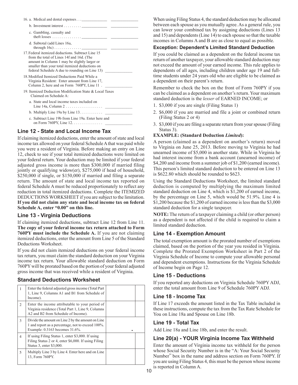| c. Gambling, casualty and                                                                                                                                                                                                                         |
|---------------------------------------------------------------------------------------------------------------------------------------------------------------------------------------------------------------------------------------------------|
| d. Subtotal (add Lines 16a,                                                                                                                                                                                                                       |
| 17 Federal itemized deductions. Subtract Line 15<br>from the total of Lines 14f and 16d. (The<br>amount in Column 1 may be slightly larger or<br>smaller than your total itemized deductions on<br>federal Schedule A due to rounding on Line 13) |
| 18 Modified Itemized Deductions Paid While a<br>Virginia Resident: Enter amount from Line 17,<br>Column 2, here and on Form 760PY, Line 11.                                                                                                       |
| 19. Itemized Deduction Modification State & Local Taxes<br>Claimed on Schedule A:                                                                                                                                                                 |
| a. State and local income taxes included on<br>Line 14a, Column $2 \ldots \ldots \ldots \ldots \ldots$                                                                                                                                            |
| b. Multiply Line 19a by Line $13. \ldots \ldots \ldots$                                                                                                                                                                                           |
| c. Subtract Line 19b from Line 19a. Enter here and                                                                                                                                                                                                |
|                                                                                                                                                                                                                                                   |

# **Line 12 - State and Local Income Tax**

If claiming itemized deductions, enter the amount of state and local income tax allowed on your federal Schedule A that was paid while you were a resident of Virginia. Before making an entry on Line 12, check to see if your total itemized deductions were limited on your federal return. Your deduction may be limited if your federal adjusted gross income is more than \$300,000 if married filing jointly or qualifying widow(er), \$275,000 if head of household, \$250,000 if single, or \$150,000 if married and filing a separate return. The amount of state and local income tax reported on federal Schedule A must be reduced proportionately to reflect any reduction in total itemized deductions. Complete the ITEMIZED DEDUCTIONS WORKSHEET if you are subject to the limitation. **If you did not claim any state and local income tax on federal Schedule A, enter "0.00" on this line.**

# **Line 13 - Virginia Deductions**

If claiming itemized deductions, subtract Line 12 from Line 11. **The copy of your federal income tax return attached to Form 760PY must include the Schedule A.** If you are not claiming itemized deductions, enter the amount from Line 5 of the Standard Deductions Worksheet.

If you did not claim itemized deductions on your federal income tax return, you must claim the standard deduction on your Virginia income tax return. Your allowable standard deduction on Form 760PY will be prorated based on the portion of your federal adjusted gross income that was received while a resident of Virginia.

# **Standard Deductions Worksheet**

|                | Enter the federal adjusted gross income (Total Part<br>1, Line 9, Columns A1 and B1 from Schedule of<br>Income).                            |  |
|----------------|---------------------------------------------------------------------------------------------------------------------------------------------|--|
| $\mathfrak{D}$ | Enter the income attributable to your period of<br>Virginia residence (Total Part 1, Line 9, Columns<br>A2 and B2 from Schedule of Income). |  |
| $\mathcal{E}$  | Divide the amount on Line 2 by the amount on Line<br>1 and report as a percentage, not to exceed 100%.<br>Example: 0.3163 becomes 31.6%.    |  |
| $\overline{4}$ | If using Filing Status 1, enter \$3,000. If using<br>Filing Status 2 or 4, enter \$6,000. If using Filing<br>Status 3, enter \$3,000.       |  |
| $\overline{5}$ | Multiply Line 3 by Line 4. Enter here and on Line<br>13, Form 760PY.                                                                        |  |

When using Filing Status 4, the standard deduction may be allocated between each spouse as you mutually agree. As a general rule, you can lower your combined tax by assigning deductions (Lines 13 and 15) and dependents (Line 14) to each spouse so that the taxable incomes in Columns A and B are as close to equal as possible.

# **Exception: Dependent's Limited Standard Deduction**

If you could be claimed as a dependent on the federal income tax return of another taxpayer, your allowable standard deduction may not exceed the amount of your earned income. This rule applies to dependents of all ages, including children under age 19 and fulltime students under 24 years old who are eligible to be claimed as a dependent on their parent's return.

Remember to check the box on the front of Form 760PY if you can be claimed as a dependent on another's return. Your maximum standard deduction is the *lesser* of EARNED INCOME; or

- 1. \$3,000 if you are single (Filing Status 1)
- 2. \$6,000 if you are married and file a joint or combined return (Filing Status 2 or 4)
- 3. \$3,000 if you are filing a separate return from your spouse (Filing Status 3).

# **EXAMPLE: (Standard Deduction** *Limited***):**

A person (claimed as a dependent on another's return) moved to Virginia on June 25, 2013. Before moving to Virginia he had unearned income of \$5,000 in another state. While in Virginia he had interest income from a bank account (unearned income) of \$4,200 and income from a summer job of \$1,200 (earned income). This person's limited standard deduction to be entered on Line 13 is \$622.80 which should be rounded to \$623.

Using the Standard Deductions Worksheet, the limited standard deduction is computed by multiplying the maximum limited standard deduction on Line 4, which is \$1,200 of earned income, by the percentage on Line 5, which would be 51.9%. Line 4 is \$1,200 because the \$1,200 of earned income is less than the \$3,000 standard deduction for a single taxpayer.

**NOTE:** The return of a taxpayer claiming a child (or other person) as a dependent is not affected if the child is required to claim a limited standard deduction.

# **Line 14 - Exemption Amount**

The total exemption amount is the prorated number of exemptions claimed, based on the portion of the year you resided in Virginia. Complete the Prorated Exemption Worksheet in Part 2 of the Virginia Schedule of Income to compute your allowable personal and dependent exemptions. Instructions for the Virginia Schedule of Income begin on Page 12.

# **Line 15 - Deductions**

If you reported any deductions on Virginia Schedule 760PY ADJ, enter the total amount from Line 9 of Schedule 760PY ADJ.

# **Line 18 - Income Tax**

If Line 17 exceeds the amount listed in the Tax Table included in these instructions, compute the tax from the Tax Rate Schedule for You on Line 18a and Spouse on Line 18b.

# **Line 19 - Total Tax**

Add Line 18a and Line 18b, and enter the result.

# **Line 20(a) - YOUR Virginia Income Tax Withheld**

Enter the amount of Virginia income tax withheld for the person whose Social Security Number is in the "A: Your Social Security Number" box in the name and address section on Form 760PY. If you are using Filing Status 4, this must be the person whose income is reported in Column A.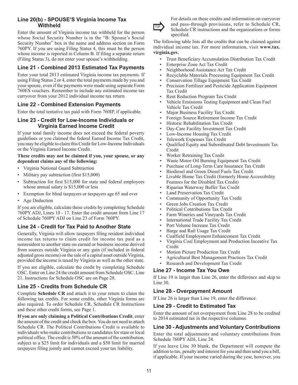# **Line 20(b) - SPOUSE'S Virginia Income Tax Withheld**

Enter the amount of Virginia income tax withheld for the person whose Social Security Number is in the "B: Spouse's Social Security Number" box in the name and address section on Form 760PY. If you are using Filing Status 4, this must be the person whose income is reported in Column B. If filing a separate return (Filing Status 3), do not enter your spouse's withholding.

# **Line 21 - Combined 2013 Estimated Tax Payments**

Enter your total 2013 estimated Virginia income tax payments. If using Filing Status 2 or 4, enter the total payments made by you and your spouse, even if the payments were made using separate Form 760ES vouchers. Remember to include any estimated income tax carryover from your 2012 individual income tax return.

# **Line 22 - Combined Extension Payments**

Enter the total tentative tax paid with Form 760IP, if applicable.

# **Line 23 - Credit for Low-Income Individuals or Virginia Earned Income Credit**

If your total family income does not exceed the federal poverty guidelines or you claimed the federal Earned Income Tax Credit, you may be eligible to claim this Credit for Low-Income Individuals or the Virginia Earned Income Credit.

#### **These credits may not be claimed if you, your spouse, or any dependent claims any of the following:**

- • Virginia National Guard Subtraction
- Military pay subtraction (first \$15,000)
- Subtraction for first \$15,000 for state and federal employees whose annual salary is \$15,000 or less
- Exemption for blind taxpayers or taxpayers age 65 and over
- Age Deduction

If you are eligible, calculate these credits by completing Schedule 760PY ADJ, Lines 10 - 17. Enter the credit amount from Line 17 of Schedule 760PY ADJ on Line 23 of Form 760PY.

# **Line 24 - Credit for Tax Paid to Another State**

Generally, Virginia will allow taxpayers filing resident individual income tax returns to claim credit for income tax paid as a nonresident to another state on earned or business income derived from sources outside Virginia or any gain (if included in federal adjusted gross income) on the sale of a capital asset outside Virginia, provided the income is taxed by Virginia as well as the other state.

If you are eligible, calculate the credit by completing Schedule OSC. Enter on Line 24 the credit amount from Schedule OSC, Line 21. Instructions for Schedule OSC are on Page 28.

# **Line 25 - Credits from Schedule CR**

Complete **Schedule CR** and attach it to your return to claim the following tax credits. For some credits, other Virginia forms are also required. To order Schedule CR, Schedule CR Instructions and these other credit forms, see Page 1.

**If you are only claiming a Political Contributions Credit**, enter the amount of the credit and check the box. You do not need to attach Schedule CR. The Political Contributions Credit is available to individuals who make contributions to candidates for state or local political office. The credit is 50% of the amount of the contribution, subject to a \$25 limit for individuals and a \$50 limit for married taxpayers filing jointly and cannot exceed your tax liability.



For details on these credits and information on carryover and pass-through provisions, refer to Schedule CR,  $TIP$  and pass-through provisions, feler to seneather  $CR$ , Schedule CR instructions and the organizations or forms specified.

The following table lists all the credits that can be claimed against individual income tax. For more information, visit **www.tax. virginia.gov.**

- Trust Beneficiary Accumulation Distribution Tax Credit
- Enterprise Zone Act Tax Credit
- Neighborhood Assistance Act Tax Credit
- Recyclable Materials Processing Equipment Tax Credit
- Conservation Tillage Equipment Tax Credit
- Precision Fertilizer and Pesticide Application Equipment Tax Credit
- Rent Reduction Program Tax Credit
- Vehicle Emissions Testing Equipment and Clean Fuel Vehicle Tax Credit
- Major Business Facility Tax Credit
- Foreign Source Retirement Income Tax Credit
- Historic Rehabilitation Tax Credit
- Day-Care Facility Investment Tax Credit
- Low-Income Housing Tax Credit
- Telework Expenses Tax Credit
- Qualified Equity and Subordinated Debt Investments Tax Credit
- Worker Retraining Tax Credit
- Waste Motor Oil Burning Equipment Tax Credit
- Purchase of Long-Term Care Insurance Tax Credit
- Biodiesel and Green Diesel Fuels Tax Credit
- Livable Home Tax Credit (formerly Home Accessibility Features for the Disabled Tax Credit)
- Riparian Waterway Buffer Tax Credit
- Land Preservation Tax Credit
- Community of Opportunity Tax Credit
- Green Jobs Creation Tax Credit
- Political Contributions Tax Credit
- Farm Wineries and Vineyards Tax Credit
- International Trade Facility Tax Credit
- Port Volume Increase Tax Credit
- Barge and Rail Usage Tax Credit
- Coalfield Employment Enhancement Tax Credit
- Virginia Coal Employment and Production Incentive Tax Credit
- Motion Picture Production Tax Credit
- Agricultural Best Management Practices Tax Credit
- • Research and Development Tax Credit

# **Line 27 - Income Tax You Owe**

If Line 19 is larger than Line 26, enter the difference and skip to Line 30.

# **Line 28 - Overpayment Amount**

If Line 26 is larger than Line 19, enter the difference.

# **Line 29 - Credit to Estimated Tax**

Enter the amount of net overpayment from Line 28 to be credited to 2014 estimated tax in the respective columns.

# **Line 30 - Adjustments and Voluntary Contributions**

Enter the total adjustments and voluntary contributions from Schedule 760PY ADJ, Line 24.

If you leave Line 30 blank, the Department will compute the addition to tax, penalty and interest for you and then send you a bill, if applicable. If your income varied during the year, however, you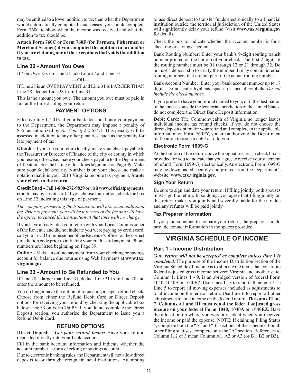may be entitled to a lower addition to tax than what the Department would automatically compute. In such cases, you should complete Form 760C to show when the income was received and what the addition to tax should be.

**Attach Form 760C or Form 760F (for Farmers, Fishermen or Merchant Seamen) if you computed the addition to tax and/or if you are claiming one of the exceptions that voids the addition to tax.**

# **Line 32 - Amount You Owe**

If You Owe Tax on Line 27, add Line 27 and Line 31.

**—OR—**

If Line 28 is an OVERPAYMENT and Line 31 is LARGER THAN Line 28, deduct Line 28 from Line 31.

This is the amount you owe. The amount you owe must be paid in full at the time of filing your return.

# **Payment Options**

Effective July 1, 2013, if your bank does not honor your payment to the Department, the Department may impose a penalty of \$35, as authorized by *Va. Code* § 2.2-614.1. This penalty will be assessed in addition to any other penalties, such as the penalty for late payment of tax.

**Check -** If you file your return locally, make your check payable to the Treasurer or Director of Finance of the city or county in which you reside; otherwise, make your check payable to the Department of Taxation. See the listing of localities beginning on Page 39. Make sure your Social Security Number is on your check and make a notation that it is your 2013 Virginia income tax payment. **Staple your check to the return.**

**Credit Card -** Call **1-800-272-9829** or visit **www.officialpayments. com** to pay by credit card. If you choose this option, check the box on Line 32 indicating this type of payment.

*The company processing the transaction will assess an additional fee. Prior to payment, you will be informed of the fee and will have the option to cancel the transaction at that time with no charge.*

If you have already filed your return with your Local Commissioner of the Revenue and did not indicate you were paying by credit card, call your Local Commissioner of the Revenue's office for the correct jurisdiction code prior to initiating your credit card payment. Phone numbers are listed beginning on Page 39.

**Online -** Make an online payment from your checking or savings account for balance due returns using Web Payments at **www.tax. virginia.gov**.

# **Line 33 - Amount to Be Refunded to You**

If Line 28 is larger than Line 31, deduct Line 31 from Line 28 and enter the amount to be refunded.

You no longer have the option of requesting a paper refund check. Choose from either the Refund Debit Card or Direct Deposit options for receiving your refund by checking the applicable box below Line 33 on Form 760PY. If you do not complete the Direct Deposit section, you authorize the Department to issue you a Refund Debit Card.

# **REFUND OPTIONS**

**Direct Deposit -** *Get your refund faster:* Have your refund deposited directly into your bank account.

Fill in the bank account information and indicate whether the account number is for a checking or savings account.

Due to electronic banking rules, the Department will not allow direct deposits to or through foreign financial institutions. Attempting

to use direct deposit to transfer funds electronically to a financial institution outside the territorial jurisdiction of the United States will significantly delay your refund. Visit **www.tax.virginia.gov** for details.

Check the box to indicate whether the account number is for a checking or savings account.

Bank Routing Number: Enter your bank's 9-digit routing transit number printed on the bottom of your check. The first 2 digits of the routing number must be 01 through 12 or 21 through 32. Do not use a deposit slip to verify the number. It may contain internal routing numbers that are not part of the actual routing number.

Bank Account Number: Enter your bank account number up to 17 digits. Do not enter hyphens, spaces or special symbols. *Do not include the check number.*

If you prefer to have your refund mailed to you, or if the destination of the funds is outside the territorial jurisdiction of the United States, do not complete the Direct Bank Deposit information.

**Debit Card:** The Commonwealth of Virginia no longer issues individual income tax refund checks. If you do not choose the direct deposit option for your refund and complete in the applicable information on Form 760PY, you are authorizing the Department of Taxation to issue a debit card to you.

#### **Electronic Form 1099-G**

At the bottom of the return above the signature area, a check box is provided for you to indicate that you agree to receive your statement of refund (Form 1099-G) electronically. An electronic Form 1099-G may be downloaded securely and printed from the Department's website, **www.tax.virginia.gov**.

#### **Sign Your Return**

Be sure to sign and date your return. If filing jointly, both spouses must sign the return. In so doing, you agree that filing jointly on this return makes you jointly and severally liable for the tax due and any refunds will be paid jointly.

#### **Tax Preparer Information**

If you paid someone to prepare your return, the preparer should provide contact information in the spaces provided.

# **Virginia Schedule Of Income**

# **Part 1 - Income Distribution**

*Your return will not be accepted as complete unless Part 1 is completed.* The purpose of the Income Distribution section of the Virginia Schedule of Income is to allocate the items that constitute federal adjusted gross income between Virginia and another state. Column 1, Lines 1 - 9, is an abridged version of federal Form 1040, 1040A or 1040EZ. Use Lines 1 - 3 to report all income. Use Line 5 to report all moving expenses included as adjustments to total income on the federal return. Use Line 6 to report all other adjustments to total income on the federal return. **The sum of Line 7, Columns A1 and B1 must equal the federal adjusted gross income on your federal Form 1040, 1040A or 1040EZ.** Base the allocation on where you were a resident when you received the income or paid the expense. NOTE: If claiming Filing Status 4, complete both the "A" and "B" sections of the schedule. For all other filing statuses, complete only the "A" section. References to Column 1, 2 or 3 mean Column A1, A2 or A3 (or B1, B2 or B3).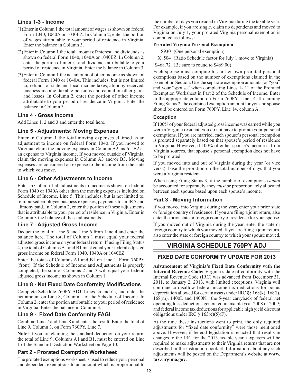# **Lines 1-3 - Income**

- (1)Enter in Column 1 the total amount of wages as shown on federal Form 1040, 1040A or 1040EZ. In Column 2, enter the portion of wages attributable to your period of residence in Virginia. Enter the balance in Column 3.
- (2)Enter in Column 1 the total amount of interest and dividends as shown on federal Form 1040, 1040A or 1040EZ. In Column 2, enter the portion of interest and dividends attributable to your period of residence in Virginia. Enter the balance in Column 3.
- (3)Enter in Column 1 the net amount of other income as shown on federal Form 1040 or 1040A. This includes, but is not limited to, refunds of state and local income taxes, alimony received, business income, taxable pensions and capital or other gains and losses. In Column 2, enter the portion of other income attributable to your period of residence in Virginia. Enter the balance in Column 3.

# **Line 4 - Gross Income**

Add Lines 1, 2 and 3 and enter the total here.

# **Line 5 - Adjustments: Moving Expenses**

Enter in Column 1 the total moving expenses claimed as an adjustment to income on federal Form 1040. If you moved to Virginia, claim the moving expenses in Column A2 and/or B2 as an expense to Virginia income. If you moved outside of Virginia, claim the moving expenses in Column A3 and/or B3. Moving expenses are considered an expense to the income from the state to which you move.

# **Line 6 - Other Adjustments to Income**

Enter in Column 1 all adjustments to income as shown on federal Form 1040 or 1040A other than the moving expenses included on Schedule of Income, Line 5. This includes, but is not limited to, reimbursed employee business expenses, payments to an IRA and alimony paid. In Column 2, enter the portion of these adjustments that is attributable to your period of residence in Virginia. Enter in Column 3 the balance of these adjustments.

# **Line 7 - Adjusted Gross Income**

Deduct the total of Line 5 and Line 6 from Line 4 and enter the balance here. The total of Column 1 must equal your federal adjusted gross income on your federal return. If using Filing Status 4, the total of Columns A1 and B1 must equal your federal adjusted gross income on federal Form 1040, 1040A or 1040EZ.

Enter the totals of Columns A1 and B1 on Line 1, Form 760PY (front). If the Schedule of Income and Adjustments is properly completed, the sum of Columns 2 and 3 will equal your federal adjusted gross income as shown in Column 1.

# **Line 8 - Net Fixed Date Conformity Modifications**

Complete Schedule 760PY ADJ, Lines 2a and 6a, and enter the net amount on Line 8, Column 1 of the Schedule of Income. In Column 2, enter the portion attributable to your period of residence in Virginia. Enter the balance in Column 3.

# **Line 9 - Fixed Date Conformity FAGI**

Combine Line 7 and Line 8 and enter the result. Enter the total of Line 9, Column 3, on Form 760PY, Line 7.

**Note:** If you are claiming the standard deduction on your return, the total of Line 9, Columns A1 and B1, must be entered on Line 1 of the Standard Deduction Worksheet on Page 10.

# **Part 2 - Prorated Exemption Worksheet**

The prorated exemptions worksheet is used to reduce your personal and dependent exemptions to an amount which is proportional to the number of days you resided in Virginia during the taxable year. For example, if you are single, claim no dependents and moved to Virginia on July 1, your prorated Virginia personal exemption is computed as follows:

#### **Prorated Virginia Personal Exemption**

\$930 (One personal exemption)

X .504 (Ratio Schedule factor for July 1 move to Virginia)

\$468.72 (Be sure to round to \$469.00)

Each spouse must compute his or her own prorated personal exemptions based on the number of exemptions claimed in the Exemption Section. Use the separate exemption amounts for "you" and your "spouse" when completing Lines 1- 11 of the Prorated Exemption Worksheet in Part 2 of the Schedule of Income. Enter in the appropriate column on Form 760PY, Line 14. If claiming Filing Status 2, the combined exemption amount for you and spouse should be entered on Form 760PY, Line 14, column A.

#### **Exception**

If 100% of your federal adjusted gross income was earned while you were a Virginia resident, you do not have to prorate your personal exemptions. If you are married, each spouse's personal exemption is prorated separately based on that spouse's period of residence in Virginia. However, if 100% of either spouse's income is from Virginia sources, that spouse's personal exemption does not have to be prorated.

If you moved into and out of Virginia during the year (or vice versa), base the proration on the total number of days that you were a Virginia resident.

When using Filing Status 3, if the number of exemptions *cannot* be accounted for separately, they *must* be proportionately allocated between each spouse based upon each spouse's income.

# **Part 3 - Moving Information**

If you moved into Virginia during the year, enter your prior state or foreign country of residence. If you are filing a joint return, also enter the prior state or foreign country of residence for your spouse.

If you moved out of Virginia during the year, enter the state or foreign country to which you moved. If you are filing a joint return, also enter the state or foreign country to which your spouse moved.

# **VIRGINIA SCHEDULE 760PY ADJ**

# **FIXED DATE CONFORMITY UPDATE FOR 2013**

**Advancement of Virginia's Fixed Date Conformity with the Internal Revenue Code:** Virginia's date of conformity with the Internal Revenue Code (IRC) was advanced from December 31, 2011, to January 2, 2013, with limited exceptions. Virginia will continue to disallow federal income tax deductions for bonus depreciation allowed for certain assets under IRC §§ 168(k), 168(l), 168(m), 1400L and 1400N; the 5-year carryback of federal net operating loss deductions generated in taxable year 2008 or 2009; and federal income tax deductions for applicable high yield discount obligations under IRC  $\S$  163(e)(5)(F).

At the time these instructions went to print, the only required adjustments for "fixed date conformity" were those mentioned above. However, if federal legislation is enacted that results in changes to the IRC for the 2013 taxable year, taxpayers will be required to make adjustments to their Virginia returns that are not described in the instruction booklet. Information about any such adjustments will be posted on the Department's website at **www. tax.virginia.gov**.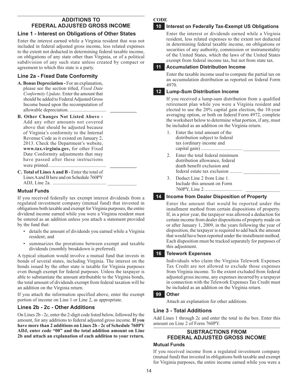# **Additions To Federal Adjusted Gross Income**

# **Line 1 - Interest on Obligations of Other States**

Enter the interest earned while a Virginia resident that was not included in federal adjusted gross income, less related expenses to the extent not deducted in determining federal taxable income, on obligations of any state other than Virginia, or of a political subdivision of any such state unless created by compact or agreement to which this state is a party.

# **Line 2a - Fixed Date Conformity**

- **A. Bonus Depreciation** For an explanation, please see the section titled, *Fixed Date Conformity Update*. Enter the amount that should be added to Federal Adjusted Gross Income based upon the recomputation of allowable depreciation. .............................. **\_\_\_\_\_\_\_\_\_\_\_**
- **B. Other Changes Not Listed Above**  Add any other amounts not covered above that should be adjusted because of Virginia's conformity to the Internal Revenue Code as it existed on January 2, 2013. Check the Department's website, **www.tax.virginia.gov,** for other Fixed Date Conformity adjustments that may have passed after these instructions were printed................................................ **\_\_\_\_\_\_\_\_\_\_\_**
- **C. Total of Lines A and B** Enter the total of Lines A and B here and on Schedule 760PY ADJ, Line 2a. ............................................ \_\_\_\_\_\_\_\_\_\_\_\_

# **Mutual Funds**

If you received federally tax exempt interest dividends from a regulated investment company (mutual fund) that invested in obligations both taxable and exempt for Virginia purposes, the entire dividend income earned while you were a Virginia resident must be entered as an addition unless you attach a statement provided by the fund that:

- details the amount of dividends you earned while a Virginia resident; and
- summarizes the prorations between exempt and taxable dividends (monthly breakdown is preferred).

A typical situation would involve a mutual fund that invests in bonds of several states, including Virginia. The interest on the bonds issued by the other state is taxable for Virginia purposes even though exempt for federal purposes. Unless the taxpayer is able to substantiate the amount attributable to the Virginia bonds, the total amount of dividends exempt from federal taxation will be an addition on the Virginia return.

If you attach the information specified above, enter the exempt portion of income on Line 1 or Line 2, as appropriate.

# **Lines 2b - 2c - Other Additions**

On Lines 2b - 2c, enter the 2-digit code listed below, followed by the amount, for any additions to federal adjusted gross income. **If you have more than 2 additions on Lines 2b - 2c of Schedule 760PY ADJ, enter code "00" and the total addition amount on Line 2b and attach an explanation of each addition to your return.**

# **CODE**

# **10 Interest on Federally Tax-Exempt US Obligations**

Enter the interest or dividends earned while a Virginia resident, less related expenses to the extent not deducted in determining federal taxable income, on obligations or securities of any authority, commission or instrumentality of the United States, which the laws of the United States exempt from federal income tax, but not from state tax.

# **11 Accumulation Distribution Income**

Enter the taxable income used to compute the partial tax on an accumulation distribution as reported on federal Form 4970.

# **12 Lump-Sum Distribution Income**

If you received a lump-sum distribution from a qualified retirement plan while you were a Virginia resident and elected to use the 20% capital gain election, the 10-year averaging option, or both on federal Form 4972, complete the worksheet below to determine what portion, if any, must be included as an addition on the Virginia return.

- 1. Enter the total amount of the distribution subject to federal tax (ordinary income and capital gain).................................. \_\_\_\_\_\_\_\_\_\_\_\_\_\_\_
- 2. Enter the total federal minimum distribution allowance, federal death benefit exclusion and federal estate tax exclusion ..........
- 3. Deduct Line 2 from Line 1. Include this amount on Form 760PY, Line 2 ............................... \_\_\_\_\_\_\_\_\_\_\_\_\_\_

# **14 Income from Dealer Disposition of Property**

Enter the amount that would be reported under the installment method from certain dispositions of property. If, in a prior year, the taxpayer was allowed a deduction for certain income from dealer dispositions of property made on or after January 1, 2009, in the years following the year of disposition, the taxpayer is required to add back the amount that would have been reported under the installment method. Each disposition must be tracked separately for purposes of this adjustment.

# **16 Telework Expenses**

Individuals who claim the Virginia Telework Expenses Tax Credit are not allowed to exclude those expenses from Virginia income. To the extent excluded from federal adjusted gross income, any expenses incurred by a taxpayer in connection with the Telework Expenses Tax Credit must be included as an addition on the Virginia return.

# **99 Other**

Attach an explanation for other additions.

# **Line 3 - Total Additions**

Add Lines 1 through 2c and enter the total in the box. Enter this amount on Line 2 of Form 760PY.

# **Subtractions from Federal Adjusted Gross Income**

# **Mutual Funds**

If you received income from a regulated investment company (mutual fund) that invested in obligations both taxable and exempt for Virginia purposes, the entire income earned while you were a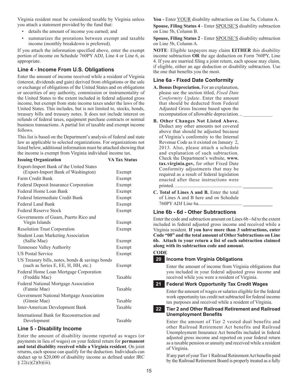Virginia resident must be considered taxable by Virginia unless you attach a statement provided by the fund that:

- • details the amount of income you earned; and
- summarizes the prorations between exempt and taxable income (monthly breakdown is preferred).

If you attach the information specified above, enter the exempt portion of income on Schedule 760PY ADJ, Line 4 or Line 6, as appropriate.

# **Line 4 - Income From U.S. Obligations**

Enter the amount of income received while a resident of Virginia (interest, dividends and gain) derived from obligations or the sale or exchange of obligations of the United States and on obligations or securities of any authority, commission or instrumentality of the United States to the extent included in federal adjusted gross income, but exempt from state income taxes under the laws of the United States. This includes, but is not limited to, stocks, bonds, treasury bills and treasury notes. It does not include interest on refunds of federal taxes, equipment purchase contracts or normal business transactions. A partial list of taxable and exempt income follows.

This list is based on the Department's analysis of federal and state law as applicable to selected organizations. For organizations not listed below, additional information must be attached showing that the income is exempt from Virginia individual income tax.

**Issuing Organization VA Tax Status**

| $1330$ ung Organization                         |         |
|-------------------------------------------------|---------|
| Export-Import Bank of the United States         |         |
| (Export-Import Bank of Washington)              | Exempt  |
| Farm Credit Bank                                | Exempt  |
| Federal Deposit Insurance Corporation           | Exempt  |
| Federal Home Loan Bank                          | Exempt  |
| Federal Intermediate Credit Bank                | Exempt  |
| Federal Land Bank                               | Exempt  |
| <b>Federal Reserve Stock</b>                    | Exempt  |
| Governments of Guam, Puerto Rico and            |         |
| Virgin Islands                                  | Exempt  |
| <b>Resolution Trust Corporation</b>             | Exempt  |
| <b>Student Loan Marketing Association</b>       |         |
| (Sallie Mae)                                    | Exempt  |
| Tennessee Valley Authority                      | Exempt  |
| <b>US Postal Service</b>                        | Exempt  |
| US Treasury bills, notes, bonds & savings bonds |         |
| (such as Series E, EE, H, HH, etc.)             | Exempt  |
| Federal Home Loan Mortgage Corporation          |         |
| (Freddie Mac)                                   | Taxable |
| Federal National Mortgage Association           |         |
| (Fannie Mae)                                    | Taxable |
| Government National Mortgage Association        |         |
| (Ginnie Mae)                                    | Taxable |
| Inter-American Development Bank                 | Taxable |
| International Bank for Reconstruction and       |         |
| Development                                     | Taxable |

# **Line 5 - Disability Income**

Enter the amount of disability income reported as wages (or payments in lieu of wages) on your federal return for **permanent and total disability received while a Virginia resident**. On joint returns, each spouse can qualify for the deduction. Individuals can deduct up to \$20,000 of disability income as defined under IRC  $§ 22(c)(2)(b)(iii).$ 

**You -** Enter YOUR disability subtraction on Line 5a, Column A.

**Spouse, Filing Status 4** - Enter SPOUSE'S disability subtraction on Line 5b, Column B.

**Spouse, Filing Status 2** - Enter SPOUSE'S disability subtraction on Line 5b, Column A.

**NOTE**: Eligible taxpayers may claim **EITHER** this disability income subtraction **OR** the age deduction on Form 760PY, Line 4. If you are married filing a joint return, each spouse may claim, if eligible, either an age deduction or disability subtraction. Use the one that benefits you the most.

# **Line 6a - Fixed Date Conformity**

- **A. Bonus Depreciation.** For an explanation, please see the section titled, *Fixed Date Conformity Update*. Enter the amount that should be deducted from Federal Adjusted Gross Income based upon the recomputation of allowable depreciation...
- **B. Other Changes Not Listed Above.**  Deduct any other amounts not covered above that should be adjusted because of Virginia's conformity to the Internal Revenue Code as it existed on January 2, 2013. Also, please attach a schedule and explanation of such subtraction. Check the Department's website, **www. tax.virginia.gov,** for other Fixed Date Conformity adjustments that may be required as a result of federal legislation enacted after these instructions were printed. ....................................................... **\_\_\_\_\_\_\_\_\_\_\_\_**
- **C. Total of Lines A and B.** Enter the total of Lines A and B here and on Schedule 760PY ADJ Line 6a.................................... **\_\_\_\_\_\_\_\_\_\_\_\_**

# **Line 6b - 6d - Other Subtractions**

Enter the code and subtraction amount on Lines 6b - 6d to the extent included in federal adjusted gross income and received while a Virginia resident. **If you have more than 3 subtractions, enter Code "00" and the total amount of Other Subtractions on Line 6b. Attach to your return a list of each subtraction claimed along with its subtraction code and amount.** 

# **CODE**

**20 Income from Virginia Obligations**

Enter the amount of income from Virginia obligations that you included in your federal adjusted gross income and received while you were a resident of Virginia.

# **21 Federal Work Opportunity Tax Credit Wages**

Enter the amount of wages or salaries eligible for the federal work opportunity tax credit not subtracted for federal income tax purposes and received while a resident of Virginia.

# **22 Tier 2 and Other Railroad Retirement and Railroad Unemployment Benefits**

Enter the amount of Tier 2 vested dual benefits and other Railroad Retirement Act benefits and Railroad Unemployment Insurance Act benefits included in federal adjusted gross income and reported on your federal return as a taxable pension or annuity and received while a resident of Virginia.

If any part of your Tier 1 Railroad Retirement Act benefits paid by the Railroad Retirement Board is properly treated as a fully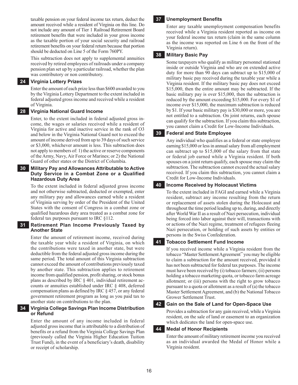taxable pension on your federal income tax return, deduct the amount received while a resident of Virginia on this line. Do not include any amount of Tier 1 Railroad Retirement Board retirement benefits that were included in your gross income as the taxable portion of your social security and railroad retirement benefits on your federal return because that portion should be deducted on Line 5 of the Form 760PY.

This subtraction does not apply to supplemental annuities received by retired employees of railroads under a company pension plan set up by a particular railroad, whether the plan was contributory or non contributory.

#### **24 Virginia Lottery prizes**

Enter the amount of each prize less than \$600 awarded to you by the Virginia Lottery Department to the extent included in federal adjusted gross income and received while a resident of Virginia.

#### **28 Virginia National Guard income**

Enter, to the extent included in federal adjusted gross income, the wages or salaries received while a resident of Virginia for active and inactive service in the rank of O3 and below in the Virginia National Guard not to exceed the amount of income derived from up to 39 days of such service or \$3,000, whichever amount is less. This subtraction does not apply to members of: 1) the active or reserve components of the Army, Navy, Air Force or Marines; or 2) the National Guard of other states or the District of Columbia.

#### **30 Military Pay and Allowances Attributable to Active Duty Service in a Combat Zone or a Qualified Hazardous Duty Area**

To the extent included in federal adjusted gross income and not otherwise subtracted, deducted or exempted, enter any military pay and allowances earned while a resident of Virginia serving by order of the President of the United States with the consent of Congress in a combat zone or qualified hazardous duty area treated as a combat zone for federal tax purposes pursuant to IRC §112.

#### **31 Retirement plan income previously taxed by another state**

Enter the amount of retirement income, received during the taxable year while a resident of Virginia, on which the contributions were taxed in another state, but were deductible from the federal adjusted gross income during the same period. The total amount of this Virginia subtraction cannot exceed the amount of contributions previously taxed by another state. This subtraction applies to retirement income from qualified pension, profit sharing, or stock bonus plans as described by IRC § 401, individual retirement accounts or annuities established under IRC § 408, deferred compensation plans as defined by IRC § 457, or any federal government retirement program as long as you paid tax to another state on contributions to the plan.

#### **34 Virginia College Savings Plan Income Distribution or Refund**

Enter the amount of any income included in federal adjusted gross income that is attributable to a distribution of benefits or a refund from the Virginia College Savings Plan (previously called the Virginia Higher Education Tuition Trust Fund), in the event of a beneficiary's death, disability or receipt of scholarship.

#### **37 Unemployment Benefits**

Enter any taxable unemployment compensation benefits received while a Virginia resident reported as income on your federal income tax return (claim in the same column as the income was reported on Line 6 on the front of the Virginia return).

#### **38 Military Basic Pay**

Some taxpayers who qualify as military personnel stationed inside or outside Virginia and who are on extended active duty for more than 90 days can subtract up to \$15,000 of military basic pay received during the taxable year while a Virginia resident. If the military basic pay does not exceed \$15,000, then the entire amount may be subtracted. If the basic military pay is over \$15,000, then the subtraction is reduced by the amount exceeding \$15,000. For every \$1 of income over \$15,000, the maximum subtraction is reduced by \$1. If your basic military pay is \$30,000 or more, you are not entitled to a subtraction. On joint returns, each spouse can qualify for the subtraction. If you claim this subtraction, you cannot claim a Credit for Low-Income Individuals.

#### **39 Federal and State Employee**

Any individual who qualifies as a federal or state employee earning \$15,000 or less in annual salary from all employment can subtract up to \$15,000 of the salary from that state or federal job earned while a Virginia resident. If both spouses on a joint return qualify, each spouse may claim the subtraction. The subtraction cannot exceed the actual salary received. If you claim this subtraction, you cannot claim a Credit for Low-Income Individuals.

#### **40 Income Received by Holocaust Victims**

To the extent included in FAGI and earned while a Virginia resident, subtract any income resulting from the return or replacement of assets stolen during the Holocaust and throughout the time period leading up to, during, and directly after World War II as a result of Nazi persecution, individual being forced into labor against their will, transactions with or actions of the Nazi regime, treatment of refugees fleeing Nazi persecution, or holding of such assets by entities or persons in the Swiss Confederation.

#### **41 Tobacco Settlement Fund Income**

If you received income while a Virginia resident from the tobacco "Master Settlement Agreement" you may be eligible to claim a subtraction for the amount received, provided it has not been subtracted for federal tax purposes. The income must have been received by (i) tobacco farmers; (ii) persons holding a tobacco marketing quota, or tobacco farm acreage allotment; or (iii) persons with the right to grow tobacco pursuant to a quota or allotment as a result of (a) the tobacco Master Settlement Agreement, and (b) the National Tobacco Grower Settlement Trust.

# **42 Gain on the Sale of Land for Open-Space Use**

Provides a subtraction for any gain received, while a Virginia resident, on the sale of land or easement to an organization which dedicates the land for open-space use.

#### **44 Medal of Honor Recipients**

Enter the amount of military retirement income you received as an individual awarded the Medal of Honor while a Virginia resident.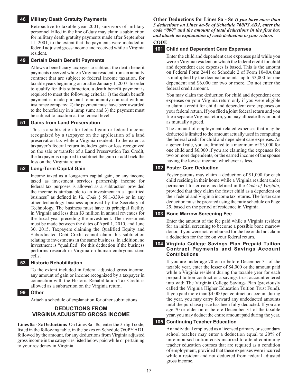#### **46 Military Death Gratuity Payments**

Retroactive to taxable year 2001, survivors of military personnel killed in the line of duty may claim a subtraction for military death gratuity payments made after September 11, 2001, to the extent that the payments were included in federal adjusted gross income and received while a Virginia resident.

#### **49 Certain Death Benefit Payments**

Allows a beneficiary taxpayer to subtract the death benefit payments received while a Virginia resident from an annuity contract that are subject to federal income taxation, for taxable years beginning on or after January 1, 2007. In order to qualify for this subtraction, a death benefit payment is required to meet the following criteria: 1) the death benefit payment is made pursuant to an annuity contract with an insurance company; 2) the payment must have been awarded to the beneficiary in a lump sum; and 3) the payment must be subject to taxation at the federal level.

#### **51 Gains from Land Preservation**

This is a subtraction for federal gain or federal income recognized by a taxpayer on the application of a land preservation tax while a Virginia resident. To the extent a taxpayer's federal return includes gain or loss recognized on the sale or transfer of a Land Preservation Tax Credit, the taxpayer is required to subtract the gain or add back the loss on the Virginia return.

#### **52 Long-Term Capital Gain**

Income taxed as a long-term capital gain, or any income taxed as investment services partnership income for federal tax purposes is allowed as a subtraction provided the income is attributable to an investment in a "qualified business" as defined in *Va. Code* § 58.1-339.4 or in any other technology business approved by the Secretary of Technology. The business must have its principal facility in Virginia and less than \$3 million in annual revenues for the fiscal year preceding the investment. The investment must be made between the dates of April 1, 2010, and June 30, 2015. Taxpayers claiming the Qualified Equity and Subordinated Debt Credit cannot claim this subtraction relating to investments in the same business. In addition, no investment is "qualified" for this deduction if the business performs research in Virginia on human embryonic stem cells.

#### **53 Historic Rehabilitation**

To the extent included in federal adjusted gross income, any amount of gain or income recognized by a taxpayer in connection with the Historic Rehabilitation Tax Credit is allowed as a subtraction on the Virginia return.

#### **99 Other**

Attach a schedule of explanation for other subtractions.

#### **Deductions From Virginia Adjusted Gross Income**

**Lines 8a - 8c Deductions** On Lines 8a - 8c, enter the 3-digit code, listed in the following table, in the boxes on Schedule 760PY ADJ, followed by the amount, for any deductions from Virginia adjusted gross income in the categories listed below paid while or pertaining to your residency in Virginia.

**Other Deductions for Lines 8a - 8c** *If you have more than 3 deductions on Lines 8a-8c of Schedule 760PY ADJ, enter the code "000" and the amount of total deductions in the first box and attach an explanation of each deduction to your return.*

# **CODE**

#### **101 Child and Dependent Care Expenses**

Enter the child and dependent care expenses paid while you were a Virginia resident on which the federal credit for child and dependent care expenses is based. This is the amount on Federal Form 2441 or Schedule 2 of Form 1040A that is multiplied by the decimal amount - up to \$3,000 for one dependent and \$6,000 for two or more. Do not enter the federal credit amount.

You may claim the deduction for child and dependent care expenses on your Virginia return only if you were eligible to claim a credit for child and dependent care expenses on your federal return. If you filed a joint federal return and you file a separate Virginia return, you may allocate this amount as mutually agreed.

The amount of employment-related expenses that may be deducted is limited to the amount actually used in computing the federal credit for child and dependent care expenses. As a general rule, you are limited to a maximum of \$3,000 for one child and \$6,000 if you are claiming the expenses for two or more dependents, or the earned income of the spouse having the lowest income, whichever is less.

#### **102 Foster Care Deduction**

Foster parents may claim a deduction of \$1,000 for each child residing in their home while a Virginia resident under permanent foster care, as defined in the *Code of Virginia*, provided that they claim the foster child as a dependent on their federal and Virginia income tax returns. The foster care deduction must be prorated using the ratio schedule on Page 29, based on the period of residence in Virginia.

#### **103 Bone Marrow Screening Fee**

Enter the amount of the fee paid while a Virginia resident for an initial screening to become a possible bone marrow donor, if you were not reimbursed for the fee or did not claim a deduction for the fee on your federal return.

#### **104 Virginia College Savings Plan Prepaid Tuition Contract Payments and Savings Account Contributions**

If you are under age 70 on or before December 31 of the taxable year, enter the lesser of \$4,000 or the amount paid while a Virginia resident during the taxable year for each prepaid tuition contract or a savings trust account entered into with The Virginia College Savings Plan (previously called the Virginia Higher Education Tuition Trust Fund). If you paid more than \$4,000 per contract or account during the year, you may carry forward any undeducted amounts until the purchase price has been fully deducted. If you are age 70 or older on or before December 31 of the taxable year, you may deduct the entire amount paid during the year.

# **105 Continuing Teacher Education**

An individual employed as a licensed primary or secondary school teacher may enter a deduction equal to 20% of unreimbursed tuition costs incurred to attend continuing teacher education courses that are required as a condition of employment, provided that these expenses were incurred while a resident and not deducted from federal adjusted gross income.

17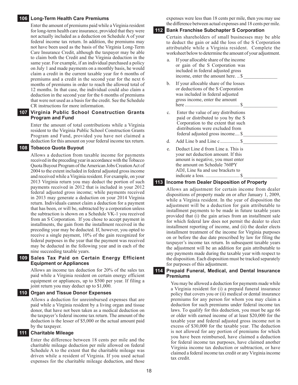#### **106 Long-Term Health Care Premiums**

Enter the amount of premiums paid while a Virginia resident for long-term health care insurance, provided that they were not actually included as a deduction on Schedule A of your federal income tax return. In addition, the premiums may not have been used as the basis of the Virginia Long-Term Care Insurance Credit, although the taxpayer may be able to claim both the Credit and the Virginia deduction in the same year. For example, if an individual purchased a policy on July 1 and made payments on a monthly basis, he would claim a credit in the current taxable year for 6 months of premiums and a credit in the second year for the next 6 months of premiums in order to reach the allowed total of 12 months. In that case, the individual could also claim a deduction in the second year for the 6 months of premiums that were not used as a basis for the credit. See the Schedule CR instructions for more information.

#### **107 Virginia Public School Construction Grants Program and Fund**

Enter the amount of total contributions while a Virginia resident to the Virginia Public School Construction Grants Program and Fund, provided you have not claimed a deduction for this amount on your federal income tax return.

#### **108 Tobacco Quota Buyout**

Allows a deduction from taxable income for payments received in the preceding year in accordance with the Tobacco Quota Buyout Program of the American Jobs Creation Act of 2004 to the extent included in federal adjusted gross income and received while a Virginia resident. For example, on your 2013 Virginia return you may deduct the portion of such payments received in 2012 that is included in your 2012 federal adjusted gross income; while payments received in 2013 may generate a deduction on your 2014 Virginia return. Individuals cannot claim a deduction for a payment that has been, or will be, subtracted by a corporation unless the subtraction is shown on a Schedule VK-1 you received from an S Corporation. If you chose to accept payment in installments, the gain from the installment received in the preceding year may be deducted. If, however, you opted to receive a single payment, 10% of the gain recognized for federal purposes in the year that the payment was received may be deducted in the following year and in each of the nine succeeding taxable years.

#### **109 Sales Tax Paid on Certain Energy Efficient Equipment or Appliances**

Allows an income tax deduction for 20% of the sales tax paid while a Virginia resident on certain energy efficient equipment or appliances, up to \$500 per year. If filing a joint return you may deduct up to \$1,000.

#### **110 Organ and Tissue Donor Expenses**

Allows a deduction for unreimbursed expenses that are paid while a Virginia resident by a living organ and tissue donor, that have not been taken as a medical deduction on the taxpayer's federal income tax return. The amount of the deduction is the lesser of \$5,000 or the actual amount paid by the taxpayer.

#### **111 Charitable Mileage**

Enter the difference between 18 cents per mile and the charitable mileage deduction per mile allowed on federal Schedule A to the extent that the charitable mileage was driven while a resident of Virginia. If you used actual expenses for the charitable mileage deduction, and those

expenses were less than 18 cents per mile, then you may use the difference between actual expenses and 18 cents per mile.

#### **112 Bank Franchise Subchapter S Corporation**

Certain shareholders of small businesses may be able to deduct the gain or add the loss of the S Corporation attributable while a Virginia resident. Complete the worksheet below to determine the amount of your adjustment.

| a. | If your allocable share of the income<br>or gain of the S Corporation was<br>included in federal adjusted gross<br>income, enter the amount here\$                                         |
|----|--------------------------------------------------------------------------------------------------------------------------------------------------------------------------------------------|
| b. | If your allocable share of the losses<br>or deductions of the S Corporation<br>was included in federal adjusted<br>gross income, enter the amount                                          |
| c. | Enter the value of any distributions<br>paid or distributed to you by the S<br>Corporation to the extent that such<br>distributions were excluded from<br>federal adjusted gross income \$ |
| d. |                                                                                                                                                                                            |
| e. | Deduct Line d from Line a. This is<br>your net deduction amount. If this<br>amount is negative, you must enter<br>the amount on Schedule 760PY<br>ADJ, Line 8a and use brackets to         |

#### **113 Income from Dealer Disposition of Property**

Allows an adjustment for certain income from dealer dispositions of property made on or after January 1, 2009, while a Virginia resident. In the year of disposition the adjustment will be a deduction for gain attributable to installment payments to be made in future taxable years provided that (i) the gain arises from an installment sale for which federal law does not permit the dealer to elect installment reporting of income, and (ii) the dealer elects installment treatment of the income for Virginia purposes on or before the due date prescribed by law for filing the taxpayer's income tax return. In subsequent taxable years the adjustment will be an addition for gain attributable to any payments made during the taxable year with respect to the disposition. Each disposition must be tracked separately for purposes of this adjustment.

#### **114 Prepaid Funeral, Medical, and Dental Insurance Premiums**

You may be allowed a deduction for payments made while a Virginia resident for (i) a prepaid funeral insurance policy that covers you or (ii) medical or dental insurance premiums for any person for whom you may claim a deduction for such premiums under federal income tax laws. To qualify for this deduction, you must be age 66 or older with earned income of at least \$20,000 for the taxable year and federal adjusted gross income not in excess of \$30,000 for the taxable year. The deduction is not allowed for any portion of premiums for which you have been reimbursed, have claimed a deduction for federal income tax purposes, have claimed another Virginia income tax deduction or subtraction, or have claimed a federal income tax credit or any Virginia income tax credit.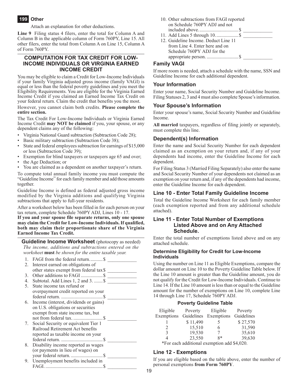# **199 Other**

Attach an explanation for other deductions.

**Line 9** Filing status 4 filers, enter the total for Column A and Column B in the applicable column of Form 760PY, Line 15. All other filers, enter the total from Column A on Line 15, Column A of Form 760PY.

#### **Computation for Tax Credit for Low-Income Individuals OR Virginia Earned Income Credit**

You may be eligible to claim a Credit for Low-Income Individuals if your family Virginia adjusted gross income (family VAGI) is equal or less than the federal poverty guidelines and you meet the Eligibility Requirements. You are eligible for the Virginia Earned Income Credit if you claimed an Earned Income Tax Credit on your federal return. Claim the credit that benefits you the most.

However, you cannot claim both credits. **Please complete the entire section.**

The Tax Credit For Low-Income Individuals or Virginia Earned Income Credit **may NOT be claimed** if you, your spouse, or any dependent claims any of the following:

- Virginia National Guard subtraction (Subtraction Code 28);
- Basic military subtraction (Subtraction Code 38);
- State and federal employees subtraction for earnings of \$15,000 or less (Subtraction Code 39);
- Exemption for blind taxpayers or taxpayers age 65 and over;
- the Age Deduction; or
- You are claimed as a dependent on another taxpayer's return.

To compute total annual family income you must compute the "Guideline Income" for each family member and add those amounts together.

Guideline Income is defined as federal adjusted gross income modified by the Virginia additions and qualifying Virginia subtractions that apply to full-year residents.

After a worksheet below has been filled in for each person on your tax return, complete Schedule 760PY ADJ, Lines 10 - 17.

**If you and your spouse file separate returns, only one spouse may claim the Credit for Low-Income Individuals. If qualified, both may claim their proportionate share of the Virginia Earned Income Tax Credit.**

**Guideline Income Worksheet** (photocopy as needed) *The income, additions and subtractions entered on the worksheet* **must** *be shown for the entire taxable year.*

| 1. |                                          |
|----|------------------------------------------|
| 2. | Interest earned on obligations of        |
|    | other states exempt from federal tax \$  |
| 3. | Other additions to FAGI\$                |
|    | 4. Subtotal. Add Lines 1, 2 and 3.  \$   |
| 5. | State income tax refund or               |
|    | overpayment credit reported on your      |
|    |                                          |
|    | 6. Income (interest, dividends or gains) |
|    | on U.S. obligations or securities        |
|    | exempt from state income tax, but        |
|    |                                          |
|    | 7. Social Security or equivalent Tier 1  |
|    | Railroad Retirement Act benefits         |
|    | reported as taxable income on your       |
|    |                                          |
|    | 8. Disability income reported as wages   |
|    | (or payments in lieu of wages) on        |
|    |                                          |
|    | 9. Unemployment benefits included in     |
|    |                                          |

- 10. Other subtractions from FAGI reported on Schedule 760PY ADJ and not included above.................................\$ \_\_\_\_\_\_\_\_\_\_\_\_
- 11. Add Lines 5 through 10...................\$ \_\_\_\_\_\_\_\_\_\_\_\_ 12. Guideline Income. Deduct Line 11 from Line 4. Enter here and on Schedule 760PY ADJ for the appropriate person. ..........................\$ \_\_\_\_\_\_\_\_\_\_\_\_

# **Family VAGI**

If more room is needed, attach a schedule with the name, SSN and Guideline Income for each additional dependent.

# **Your Information**

Enter your name, Social Security Number and Guideline Income. Filing Statuses 2, 3 and 4 must also complete Spouse's information.

#### **Your Spouse's Information**

Enter your spouse's name, Social Security Number and Guideline Income.

**All married** taxpayers, regardless of filing jointly or separately, must complete this line.

# **Dependent(s) Information**

Enter the name and Social Security Number for each dependent claimed as an exemption on your return and, if any of your dependents had income, enter the Guideline Income for each dependent.

For Filing Status 3 (Married Filing Separately) also enter the name and Social Security Number of your dependents not claimed as an exemption on your return and, if any of the dependents had income, enter the Guideline Income for each dependent.

#### **Line 10 - Enter Total Family Guideline Income**

Total the Guideline Income Worksheet for each family member (each exemption reported and from any additional schedule attached).

#### **Line 11 - Enter Total Number of Exemptions Listed Above and on Any Attached Schedule.**

Enter the total number of exemptions listed above and on any attached schedule.

#### **Determine Eligibility for Credit for Low-Income Individuals**

Using the number on Line 11 as Eligible Exemptions, compare the dollar amount on Line 10 to the Poverty Guideline Table below. If the Line 10 amount is greater than the Guideline amount, you do not qualify for the Credit for Low-Income Individuals. Continue to Line 14. If the Line 10 amount is less than or equal to the Guideline amount for the number of exemptions on Line 10, complete Line 14 through Line 17, Schedule 760PY ADJ.

#### **Poverty Guideline Table**

| Eligible | Poverty  | Eligible                                    | Poverty  |
|----------|----------|---------------------------------------------|----------|
|          |          | Exemptions Guidelines Exemptions Guidelines |          |
|          | \$11,490 | 5                                           | \$27,570 |
|          | 15,510   | 6                                           | 31,590   |
| 3        | 19,530   |                                             | 35,610   |
| 4        | 23,550   | $8*$                                        | 39,630   |

\*For each additional exemption add \$4,020.

# **Line 12 - Exemptions**

If you are eligible based on the table above, enter the number of personal exemptions **from Form 760PY**.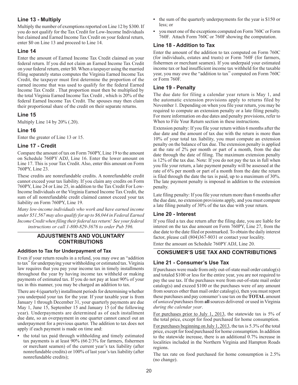# **Line 13 - Multiply**

Multiply the number of exemptions reported on Line 12 by \$300. If you do not qualify for the Tax Credit for Low-Income Individuals but claimed and Earned Income Tax Credit on your federal return, enter \$0 on Line 13 and proceed to Line 14.

# **Line 14**

Enter the amount of Earned Income Tax Credit claimed on your federal return. If you did not claim an Earned Income Tax Credit on your federal return, enter \$0. When a taxpayer using the married filing separately status computes the Virginia Earned Income Tax Credit, the taxpayer must first determine the proportion of the earned income that was used to qualify for the federal Earned Income Tax Credit . That proportion must then be multiplied by the total Virginia Earned Income Tax Credit , which is 20% of the federal Earned Income Tax Credit. The spouses may then claim their proportional share of the credit on their separate returns.

# **Line 15**

Multiply Line 14 by 20% (.20).

# **Line 16**

Enter the greater of Line 13 or 15.

# **Line 17 - Credit**

Compare the amount of tax on Form 760PY, Line 19 to the amount on Schedule 760PY ADJ, Line 16. Enter the lower amount on Line 17. This is your Tax Credit. Also, enter this amount on Form 760PY, Line 23.

These credits are nonrefundable credits. A nonrefundable credit cannot exceed your tax liability. If you claim any credits on Form 760PY, Line 24 or Line 25, in addition to the Tax Credit For Low-Income Individuals or the Virginia Earned Income Tax Credit, the sum of all nonrefundable credit claimed cannot exceed your tax liability on Form 760PY, Line 19.

*Many low-income individuals who work and have earned income under \$51,567 may also qualify for up to \$6,044 in Federal Earned Income Credit when filing their federal tax return! See your federal instructions or call 1-800-829-3676 to order Pub 596.*

# **Adjustments and Voluntary Contributions**

# **Addition to Tax for Underpayment of Tax**

Even if your return results in a refund, you may owe an "addition to tax" for underpaying your withholding or estimated tax. Virginia law requires that you pay your income tax in timely installments throughout the year by having income tax withheld or making payments of estimated tax. If you do not pay at least 90% of your tax in this manner, you may be charged an addition to tax.

There are 4 (quarterly) installment periods for determining whether you underpaid your tax for the year. If your taxable year is from January 1 through December 31, your quarterly payments are due May 1, June 15, September 15 and January 15 (of the following year). Underpayments are determined as of each installment due date, so an overpayment in one quarter cannot cancel out an underpayment for a previous quarter. The addition to tax does not apply if each payment is made on time and:

**•** the total tax paid through withholding and timely estimated tax payments is at least 90% (66 2/3% for farmers, fishermen or merchant seamen) of the current year's tax liability (after nonrefundable credits) or 100% of last year's tax liability (after nonrefundable credits);

- the sum of the quarterly underpayments for the year is \$150 or less; or
- **•** you meet one of the exceptions computed on Form 760C or Form 760F. Attach Form 760C or 760F showing the computation.

# **Line 18 - Addition to Tax**

Enter the amount of the addition to tax computed on Form 760C (for individuals, estates and trusts) or Form 760F (for farmers, fishermen or merchant seamen). If you underpaid your estimated income tax or had insufficient income tax withheld for the taxable year, you may owe the "addition to tax" computed on Form 760C or Form 760F.

# **Line 19 - Penalty**

The due date for filing a calendar year return is May 1, and the automatic extension provisions apply to returns filed by November 1. Depending on when you file your return, you may be required to compute an extension penalty or a late filing penalty. For more information on due dates and penalty provisions, refer to When to File Your Return section in these instructions.

Extension penalty: If you file your return within 6 months after the due date and the amount of tax due with the return is more than 10% of your total tax liability, you must compute an extension penalty on the balance of tax due. The extension penalty is applied at the rate of 2% per month or part of a month, from the due date through the date of filing. The maximum extension penalty is 12% of the tax due. Note: If you do not pay the tax in full when you file your return, a late payment penalty will be assessed at the rate of 6% per month or part of a month from the date the return is filed through the date the tax is paid, up to a maximum of 30%. The late payment penalty is imposed in addition to the extension penalty.

Late filing penalty: If you file your return more than 6 months after the due date, no extension provisions apply, and you must compute a late filing penalty of 30% of the tax due with your return.

# **Line 20 - Interest**

If you filed a tax due return after the filing date, you are liable for interest on the tax due amount on Form 760PY, Line 27, from the due date to the date filed or postmarked. To obtain the daily interest factor, please call (804)367-8031 or contact your locality.

Enter the amount on Schedule 760PY ADJ, Line 20.

# **Consumer's Use Tax and Contributions**

# **Line 21 - Consumer's Use Tax**

If purchases were made from only out-of-state mail order catalog(s) and totaled \$100 or less for the entire year, you are not required to pay the use tax. If the purchases were from out-of-state mail order catalog(s) and exceed \$100 or the purchases were of any amount from sources other than mail order catalog(s), then you must report these purchases and pay consumer's use tax on the **TOTAL** amount of *untaxed* purchases from **all** sources delivered or used in Virginia *during the calendar year*.

For purchases prior to July 1, 2013, the statewide tax is 5% of the total price, except for food purchased for home consumption.

For purchases beginning on July 1, 2013, the tax is 5.3% of the total price, except for food purchased for home consumption. In addition to the statewide increase, there is an additional 0.7% increase in localities included in the Northern Virginia and Hampton Roads regions.

The tax rate on food purchased for home consumption is 2.5% (no change).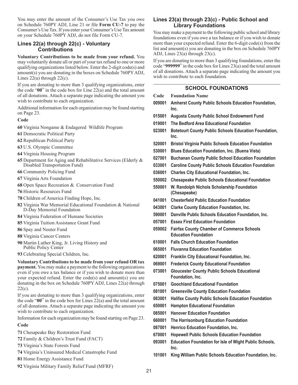You may enter the amount of the Consumer's Use Tax you owe on Schedule 760PY ADJ, Line 21 or file **Form CU-7** to pay the Consumer's Use Tax. If you enter your Consumer's Use Tax amount on your Schedule 760PY ADJ, do not file Form CU-7.

# **Lines 22(a) through 22(c) - Voluntary Contributions**

**Voluntary Contributions to be made from your refund.** You may voluntarily donate all or part of your tax refund to one or more qualifying organizations listed below. Enter the 2-digit code(s) and amount(s) you are donating in the boxes on Schedule 760PY ADJ, Lines  $22(a)$  through  $22(c)$ .

If you are donating to more than 3 qualifying organizations, enter the code "**00**" in the code box for Line 22(a) and the total amount of all donations. Attach a separate page indicating the amount you wish to contribute to each organization.

Additional information for each organization may be found starting on Page 23.

#### **Code**

- **60** Virginia Nongame & Endagered Wildlife Program
- **61** Democratic Political Party
- **62** Republican Political Party
- **63** U.S. Olympic Committee
- **64** Virginia Housing Program
- **65** Department for Aging and Rehabilitative Services (Elderly & Disabled Transportation Fund)
- **66** Community Policing Fund
- **67** Virginia Arts Foundation
- **68** Open Space Recreation & Conservation Fund
- **76** Historic Resources Fund
- **78** Children of America Finding Hope, Inc.
- **82** Virginia War Memorial Educational Foundation & National D-Day Memorial Foundation
- **84** Virginia Federation of Humane Societies
- **85** Virginia Tuition Assistance Grant Fund
- **86** Spay and Neuter Fund
- **88** Virginia Cancer Centers
- **90** Martin Luther King, Jr. Living History and Public Policy Center
- **93** Celebrating Special Children, Inc.

**Voluntary Contributions to be made from your refund OR tax payment.** You may make a payment to the following organizations even if you owe a tax balance or if you wish to donate more than your expected refund. Enter the code(s) and amount(s) you are donating in the box on Schedule 760PY ADJ, Lines 22(a) through  $22(c)$ .

If you are donating to more than 3 qualifying organizations, enter the code "**00**" in the code box for Lines 22(a) and the total amount of all donations. Attach a separate page indicating the amount you wish to contribute to each organization.

Information for each organization may be found starting on Page 23.

#### **Code**

- **71** Chesapeake Bay Restoration Fund
- **72** Family & Children's Trust Fund (FACT)
- **73** Virginia's State Forests Fund
- **74** Virginia's Uninsured Medical Catastrophe Fund
- **81** Home Energy Assistance Fund
- **92** Virginia Military Family Relief Fund (MFRF)

# **Lines 23(a) through 23(c) - Public School and Library Foundations**

You may make a payment to the following public school and library foundations even if you owe a tax balance or if you wish to donate more than your expected refund. Enter the 6-digit code(s) from the list and amount(s) you are donating in the box on Schedule 760PY ADJ, Lines 23(a) through 23(c).

If you are donating to more than 3 qualifying foundations, enter the code "**999999**" in the code box for Lines 23(a) and the total amount of all donations. Attach a separate page indicating the amount you wish to contribute to each foundation.

# **School Foundations**

| Code   | <b>Foundation Name</b>                                                           |
|--------|----------------------------------------------------------------------------------|
| 009001 | <b>Amherst County Public Schools Education Foundation,</b><br>Inc.               |
| 015001 | <b>Augusta County Public School Endowment Fund</b>                               |
| 019001 | The Bedford Area Educational Foundation                                          |
| 023001 | <b>Botetourt County Public Schools Education Foundation,</b><br>Inc.             |
| 520001 | <b>Bristol Virginia Public Schools Education Foundation</b>                      |
| 530001 | <b>Blues Education Foundation, Inc. (Buena Vista)</b>                            |
| 027001 | <b>Buchanan County Public School Education Foundation</b>                        |
| 033001 | <b>Caroline County Public Schools Education Foundation</b>                       |
| 036001 | <b>Charles City Educational Foundation, Inc.</b>                                 |
| 550002 | <b>Chesapeake Public Schools Educational Foundation</b>                          |
| 550001 | W. Randolph Nichols Scholarship Foundation<br>(Chesapeake)                       |
| 041001 | <b>Chesterfield Public Education Foundation</b>                                  |
| 043001 | <b>Clarke County Education Foundation, Inc.</b>                                  |
| 590001 | Danville Public Schools Education Foundation, Inc.                               |
| 057001 | <b>Essex First Education Foundation</b>                                          |
| 059002 | <b>Fairfax County Chamber of Commerce Schools</b><br><b>Education Foundation</b> |
| 610001 | <b>Falls Church Education Foundation</b>                                         |
| 065001 | <b>Fluvanna Education Foundation</b>                                             |
| 620001 | <b>Franklin City Educational Foundation, Inc.</b>                                |
| 069001 | <b>Frederick County Educational Foundation</b>                                   |
| 073001 | <b>Gloucester County Public Schools Educational</b><br>Foundation, Inc.          |
| 075001 | <b>Goochland Educational Foundation</b>                                          |
| 081001 | <b>Greensville County Education Foundation</b>                                   |
| 083001 | <b>Halifax County Public Schools Education Foundation</b>                        |
| 650001 | <b>Hampton Educational Foundation</b>                                            |
| 085001 | <b>Hanover Education Foundation</b>                                              |
| 660001 | The Harrisonburg Education Foundation                                            |
| 087001 | Henrico Education Foundation, Inc.                                               |
| 670001 | <b>Hopewell Public Schools Education Foundation</b>                              |
| 093001 | <b>Education Foundation for Isle of Wight Public Schools,</b><br>Inc.            |
| 101001 | King William Public Schools Education Foundation, Inc.                           |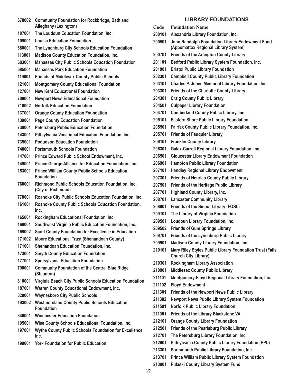- **Community Foundation for Rockbridge, Bath and Alleghany (Lexington)**
- **The Loudoun Education Foundation, Inc.**
- **Louisa Education Foundation**
- **The Lynchburg City Schools Education Foundation**
- **Madison County Education Foundation, Inc.**
- **Manassas City Public Schools Education Foundation**
- **Manassas Park Education Foundation**
- **Friends of Middlesex County Public Schools**
- **Montgomery County Educational Foundation**
- **New Kent Educational Foundation**
- **Newport News Educational Foundation**
- **Norfolk Education Foundation**
- **Orange County Education Foundation**
- **Page County Education Foundation**
- **Petersburg Public Education Foundation**
- **Pittsylvania Vocational Education Foundation, Inc.**
- **Poquoson Education Foundation**
- **Portsmouth Schools Foundation**
- **Prince Edward Public School Endowment, Inc.**
- **Prince George Alliance for Education Foundation, Inc.**
- **Prince William County Public Schools Education Foundation**
- **Richmond Public Schools Education Foundation, Inc. (City of Richmond)**
- **Roanoke City Public Schools Education Foundation, Inc.**
- **Roanoke County Public Schools Education Foundation, Inc.**
- **Rockingham Educational Foundation, Inc.**
- **Southwest Virginia Public Education Foundation, Inc.**
- **Scott County Foundation for Excellence in Education**
- **Moore Educational Trust (Shenandoah County)**
- **Shenandoah Education Foundation, Inc.**
- **Smyth County Education Foundation**
- **Spotsylvania Education Foundation**
- **Community Foundation of the Central Blue Ridge (Staunton)**
- **Virginia Beach City Public Schools Education Foundation**
- **Warren County Educational Endowment, Inc.**
- **Waynesboro City Public Schools**
- **Westmoreland County Public Schools Education Foundation**
- **Winchester Education Foundation**
- **195001 Wise County Schools Educational Foundation, Inc.**
- **Wythe County Public Schools Foundation for Excellence, Inc.**
- **York Foundation for Public Education**

# **Library Foundations**

- **Code Foundation Name Alexandria Library Foundation, Inc. John Randolph Foundation Library Endowment Fund (Appomattox Regional Library System) Friends of the Arlington County Library Bedford Public Library System Foundation, Inc. Bristol Public Library Foundation Campbell County Public Library Foundation Charles P. Jones Memorial Library Foundation, Inc. Friends of the Charlotte County Library Craig County Public Library Culpeper Library Foundation Cumberland County Public Library, Inc. Eastern Shore Public Library Foundation Fairfax County Public Library Foundation, Inc. Friends of Fauquier Library Franklin County Library Galax-Carroll Regional Library Foundation, Inc. Gloucester Library Endowment Foundation Hampton Public Library Foundation Handley Regional Library Endowment Friends of Henrico County Public Library Friends of the Heritage Public Library Highland County Library, Inc. Lancaster Community Library Friends of the Smoot Library (FOSL) The Library of Virginia Foundation Loudoun Library Foundation, Inc. Friends of Gum Springs Library Friends of the Lynchburg Public Library Madison County Library Foundation, Inc. Mary Riley Styles Public Library Foundation Trust (Falls Church City Library) Rockingham Library Association Middlesex County Public Library Montgomery-Floyd Regional Library Foundation, Inc. Floyd Endowment Friends of the Newport News Public Library Newport News Public Library System Foundation Norfolk Public Library Foundation Friends of the Library Blackstone VA**
- **Orange County Library Foundation**
- **Friends of the Pearisburg Public Library**
- **The Petersburg Library Foundation, Inc.**
- **Pittsylvania County Public Library Foundation (PPL)**
- **Portsmouth Public Library Foundation, Inc.**
- **Prince William Public Library System Foundation**
- **Pulaski County Library System Fund**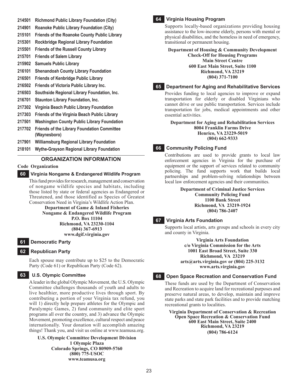- **214501 Richmond Public Library Foundation (City)**
- **214901 Roanoke Public Library Foundation (City)**
- **215101 Friends of the Roanoke County Public Library**
- **215301 Rockbridge Regional Library Foundation**
- **215501 Friends of the Russell County Library**
- **215701 Friends of Salem Library**
- **215902 Samuels Public Library**
- **216101 Shenandoah County Library Foundation**
- **216501 Friends of Kenbridge Public Library**
- **216502 Friends of Victoria Public Library Inc.**
- **216503 Southside Regional Library Foundation, Inc.**
- **216701 Staunton Library Foundation, Inc.**
- **217302 Virginia Beach Public Library Foundation**
- **217303 Friends of the Virginia Beach Public Library**
- **217501 Washington County Public Library Foundation**
- **217702 Friends of the Library Foundation Committee (Waynesboro)**
- **217901 Williamsburg Regional Library Foundation**
- **218101 Wythe-Grayson Regional Library Foundation**

# **Organization Information**

# **Code Organization**

# **60 Virginia Nongame & Endangered Wildlife Program**

This fund provides for research, management and conservation of nongame wildlife species and habitats, including those listed by state or federal agencies as Endangered or Threatened, and those identified as Species of Greatest Conservation Need in Virginia's Wildlife Action Plan.

**Department of Game & Inland Fisheries Nongame & Endangered Wildlife Program P.O. Box 11104 Richmond, VA 23230-1104 (804) 367-6913 www.dgif.virginia.gov**

# **61 Democratic Party**

# **62 Republican Party**

Each spouse may contribute up to \$25 to the Democratic Party (Code 61) or Republican Party (Code 62).

# **63 U.S. Olympic Committee**

A leader in the global Olympic Movement, the U.S. Olympic Committee challenges thousands of youth and adults to live healthier, more productive lives through sport. By contributing a portion of your Virginia tax refund, you will 1) directly help prepare athletes for the Olympic and Paralympic Games, 2) fund community and elite sport programs all over the country, and 3) advance the Olympic Movement, promoting excellence, cultural respect and peace internationally. Your donation will accomplish amazing things! Thank you, and visit us online at www.teamusa.org.

**U.S. Olympic Committee Development Division 1 Olympic Plaza Colorado Springs, CO 80909-5760 (800) 775-USOC www.teamusa.org**

# **64 Virginia Housing Program**

Supports locally-based organizations providing housing assistance to the low-income elderly, persons with mental or physical disabilities, and the homeless in need of emergency, transitional or permanent housing.

**Department of Housing & Community Development Check-Off for Housing Programs Main Street Centre 600 East Main Street, Suite 1100 Richmond, VA 23219 (804) 371-7100**

#### **65 Department for Aging and Rehabilitative Services**

Provides funding to local agencies to improve or expand transportation for elderly or disabled Virginians who cannot drive or use public transportation. Services include transportation for jobs, medical appointments and other essential activities.

**Department for Aging and Rehabilitation Services 8004 Franklin Farms Drive Henrico, VA 23229-5019 (804) 662-9333**

# **66 Community Policing Fund**

Contributions are used to provide grants to local law enforcement agencies in Virginia for the purchase of equipment or the support of services related to community policing. The fund supports work that builds local partnerships and problem-solving relationships between local law enforcement agencies and their communities.

> **Department of Criminal Justice Services Community Policing Fund 1100 Bank Street Richmond, VA 23219-1924 (804) 786-2407**

# **67 Virginia Arts Foundation**

Supports local artists, arts groups and schools in every city and county in Virginia.

> **Virginia Arts Foundation c/o Virginia Commission for the Arts 1001 East Broad Street, Suite 330 Richmond, VA 23219 arts@arts.virginia.gov or (804) 225-3132 www.arts.virginia.gov**

# **68 Open Space Recreation and Conservation Fund**

These funds are used by the Department of Conservation and Recreation to acquire land for recreational purposes and preserve natural areas, to develop, maintain and improve state parks and state park facilities and to provide matching recreational grants to localities.

**Virginia Department of Conservation & Recreation Open Space Recreation & Conservation Fund 600 East Main Street, Suite 2400 Richmond, VA 23219 (804) 786-6124**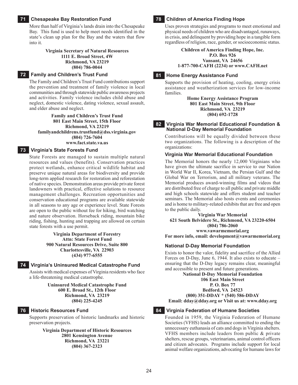# **71 Chesapeake Bay Restoration Fund**

More than half of Virginia's lands drain into the Chesapeake Bay. This fund is used to help meet needs identified in the state's clean up plan for the Bay and the waters that flow into it.

#### **Virginia Secretary of Natural Resources 1111 E. Broad Street, 4W Richmond, VA 23219 (804) 786-0044**

#### **72 Family and Children's Trust Fund**

The Family and Children's Trust Fund contributions support the prevention and treatment of family violence in local communities and through statewide public awareness projects and activities. Family violence includes child abuse and neglect, domestic violence, dating violence, sexual assault, and elder abuse and neglect.

#### **Family and Children's Trust Fund 801 East Main Street, 15th Floor Richmond, VA 23219 familyandchildrens.trustfund@dss.virginia.gov (804) 726-7604 www.fact.state.va.us**

#### **73 Virginia's State Forests Fund**

State Forests are managed to sustain multiple natural resources and values (benefits). Conservation practices protect wetlands, enhance critical wildlife habitat and preserve unique natural areas for biodiversity and provide long-term applied research for restoration and reforestation of native species. Demonstration areas provide private forest landowners with practical, effective solutions to resource management challenges. Recreation opportunities and conservation educational programs are available statewide in all seasons to any age or experience level. State Forests are open to the public without fee for hiking, bird watching and nature observation. Horseback riding, mountain bike riding, fishing, hunting and trapping are allowed on certain state forests with a use permit.

#### **Virginia Department of Forestry Attn: State Forest Fund 900 Natural Resources Drive, Suite 800 Charlottesville, VA 22903 (434) 977-6555**

#### **74 Virginia's Uninsured Medical Catastrophe Fund**

Assists with medical expenses of Virginia residents who face a life-threatening medical catastrophe.

> **Uninsured Medical Catastrophe Fund 600 E. Broad St., 12th Floor Richmond, VA 23219 (804) 225-4245**

#### **76 Historic Resources Fund**

Supports preservation of historic landmarks and historic preservation projects.

> **Virginia Department of Historic Resources 2801 Kensington Avenue Richmond, VA 23221 (804) 367-2323**

#### **78 Children of America Finding Hope**

Uses proven strategies and programs to meet emotional and physical needs of children who are disadvantaged, runaways, in crisis, and delinquent by providing hope in a tangible form regardless of religion, race, gender, or socioeconomic status.

> **Children of America Finding Hope, Inc. P.O. Box 926 Vansant, VA 24656 1-877-700-CAFH (2234) or www.CAFH.net**

#### **81 Home Energy Assistance Fund**

Supports the provision of heating, cooling, energy crisis assistance and weatherization services for low-income families.

> **Home Energy Assistance Program 801 East Main Street, 9th Floor Richmond, VA 23219 (804) 692-1728**

#### **82 Virginia War Memorial Educational Foundation & National D-Day Memorial Foundation**

Contributions will be equally divided between these two organizations. The following is a description of the organizations:

#### **Virginia War Memorial Educational Foundation**

The Memorial honors the nearly 12,000 Virginians who have given the ultimate sacrifice in service to our Nation in World War II, Korea, Vietnam, the Persian Gulf and the Global War on Terrorism, and all military veterans. The Memorial produces award-winning films and videos that are distributed free of charge to all public and private middle and high schools statewide and offers student and teacher seminars. The Memorial also hosts events and ceremonies and is home to military-related exhibits that are free and open to the public daily.

**Virginia War Memorial 621 South Belvidere St., Richmond, VA 23220-6504 (804) 786-2060 www.vawarmemorial.org For more info, email: development@vawarmemorial.org**

#### **National D-Day Memorial Foundation**

Exists to honor the valor, fidelity and sacrifice of the Allied Forces on D-Day, June 6, 1944. It also exists to educate – ensuring that the D-Day legacy remains clear, meaningful and accessible to present and future generations.

**National D-Day Memorial Foundation**

**106 East Main Street**

**P. O. Box 77 Bedford, VA 24523**

**(800) 351-DDAY \* (540) 586-DDAY**

**Email: dday@dday.org or Visit us at: www.dday.org**

#### **84 Virginia Federation of Humane Societies**

Founded in 1959, the Virginia Federation of Humane Societies (VFHS) leads an alliance committed to ending the unnecessary euthanasia of cats and dogs in Virginia shelters. VFHS members include leaders from public & private shelters, rescue groups, veterinarians, animal control officers and citizen advocates. Programs include support for local animal welfare organizations, advocating for humane laws for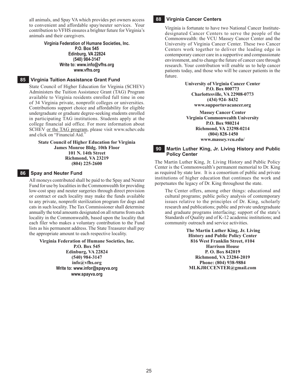all animals, and Spay VA which provides pet owners access to convenient and affordable spay/neuter services. Your contribution to VFHS ensures a brighter future for Virginia's animals and their caregivers.

#### **Virginia Federation of Humane Societies, Inc.**

#### **P.O. Box 545 Edinburg, VA 22824 (540) 984-3147 Write to: www.info@vfhs.org www.vfhs.org**

#### **85 Virginia Tuition Assistance Grant Fund**

State Council of Higher Education for Virginia (SCHEV) Administers the Tuition Assistance Grant (TAG) Program available to Virginia residents enrolled full time in one of 34 Virginia private, nonprofit colleges or universities. Contributions support choice and affordability for eligible undergraduate or graduate degree-seeking students enrolled in participating TAG institutions. Students apply at the college financial aid office. For more information about SCHEV or the TAG program, please visit www.schev.edu and click on "Financial Aid."

#### **State Council of Higher Education for Virginia James Monroe Bldg. 10th Floor 101 N. 14th Street Richmond, VA 23219 (804) 225-2600**

#### **86 Spay and Neuter Fund**

All moneys contributed shall be paid to the Spay and Neuter Fund for use by localities in the Commonwealth for providing low-cost spay and neuter surgeries through direct provision or contract or each locality may make the funds available to any private, nonprofit sterilization program for dogs and cats in such locality. The Tax Commissioner shall determine annually the total amounts designated on all returns from each locality in the Commonwealth, based upon the locality that each filer who makes a voluntary contribution to the Fund lists as his permanent address. The State Treasurer shall pay the appropriate amount to each respective locality.

**Virginia Federation of Humane Societies, Inc.**

**P.O. Box 545 Edinburg, VA 22824 (540) 984-3147 info@vfhs.org Write to: www.infor@spayva.org www.spayva.org**

# **88 Virginia Cancer Centers**

Virginia is fortunate to have two National Cancer Institutedesignated Cancer Centers to serve the people of the Commonwealth: the VCU Massey Cancer Center and the University of Virginia Cancer Center. These two Cancer Centers work together to deliver the leading edge in contemporary cancer care in a supportive and compassionate environment, and to change the future of cancer care through research. Your contribution will enable us to help cancer patients today, and those who will be cancer patients in the future.

> **University of Virginia Cancer Center P.O. Box 800773 Charlottesville, VA 22908-0773 (434) 924- 8432 www.supportuvacancer.org**

**Massey Cancer Center Virginia Commonwealth University P.O. Box 980214 Richmond, VA 23298-0214 (804) 828-1450 www.massey.vcu.edu/**

# **90 Martin Luther King, Jr. Living History and Public Policy Center**

The Martin Luther King, Jr. Living History and Public Policy Center is the Commonwealth's permanent memorial to Dr. King as required by state law. It is a consortium of public and private institutions of higher education that continues the work and perpetuates the legacy of Dr. King throughout the state.

The Center offers, among other things: educational and cultural programs; public policy analysis of contemporary issues relative to the principles of Dr. King, scholarly research and publications; public and private undergraduate and graduate programs interfacing; support of the state's Standards of Quality and of K-12 academic institutions; and community outreach and service activities.

> **The Martin Luther King, Jr. Living History and Public Policy Center 816 West Franklin Street, #104 Harrison House P. O. Box 842019 Richmond, VA 23284-2019 Phone: (804) 938-9884 MLKJRCCENTER@gmail.com**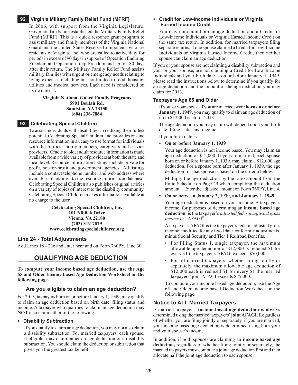#### **92 Virginia Military Family Relief Fund (MFRF)**

In 2006, with support from the Virginia Legislature, Governor Tim Kaine established the Military Family Relief Fund (MFRF). This is a quick response grant program to assist military and family members of the Virginia National Guard and the United States Reserve Components who are residents of Virginia, and, who are called to active duty for periods in excess of 90 days in support of Operation Enduring Freedom and Operation Iraqi Freedom and up to 180 days after their return. The Military Family Relief Fund assists military families with urgent or emergency needs relating to living expenses including but not limited to food, housing, utilities and medical services. Each need is considered on its own merit.

#### **Virginia National Guard Family Programs 5901 Beulah Rd. Sandston, VA 23150 (804) 236-7864**

#### **93 Celebrating Special Children**

To assist individuals with disabilities in realizing their fullest potential, Celebrating Special Children, Inc. provides on-line resource information in an easy to use format for individuals with disabilities, family members, caregivers and service providers. Cradle to older adult resource information is made available from a wide variety of providers at both the state and local level. Resource information listings include private for profit, not-for-profit and government agencies. All listings include a contact telephone number and web address where available. In addition to the resource information database, Celebrating Special Children also publishes original articles on a variety of topics of interest to the disability community. Celebrating Special Children makes information available at no charge to the user.

> **Celebrating Special Children, Inc. 101 Niblick Drive Vienna, VA 22180 (703) 319-7829 www.celebratingspecialchildren.org**

#### **Line 24 - Total Adjustments**

Add Lines 18 - 23c and enter here and on Form 760PY, Line 30.

# **QUALIFYING AGE DEDUCTION**

**To compute your income based age deduction, use the Age 65 and Older Income based Age Deduction Worksheet on the following page.**

#### **Are you eligible to claim an age deduction?**

For 2013, taxpayers born on or before January 1, 1949, may qualify to claim an age deduction based on birth date, filing status and income. A taxpayer who qualifies to claim an age deduction may **NOT** also claim either of the following:

#### **• Disability Subtraction**

If you qualify to claim an age deduction, you may not also claim a disability subtraction. For married taxpayers, each spouse, if eligible, may claim either an age deduction or a disability subtraction. You should claim the deduction or subtraction that gives you the greatest tax benefit.

#### **• Credit for Low-Income Individuals or Virginia Earned Income Credit**

You may not claim both an age deduction and a Credit for Low-Income Individuals or Virginia Earned Income Credit on the same tax return. In addition, for married taxpayers filing separate returns, if one spouse claimed a Credit for Low-Income Individuals or Virginia Earned Income Credit, then neither spouse can claim an age deduction.

If you or your spouse are not claiming a disability subtraction and you, or your spouse, are not claiming a Credit for Low-Income Individuals and your birth date is on or before January 1, 1949, please read the instructions below to determine if you qualify for an age deduction and the amount of the age deduction you may claim for 2013.

#### **Taxpayers Age 65 and Older**

If you, or your spouse if you are married, were **born on or before January 1, 1949,** you may qualify to claim an age deduction of up to \$12,000 each for 2013.

The age deduction you may claim will depend upon your birth date, filing status and income.

If your birth date is:

#### **• On or before January 1, 1939**

Your age deduction is not income based. You may claim an age deduction of \$12,000. If you are married, each spouse born on or before January 1, 1939, may claim a \$12,000 age deduction. For a spouse born after January 1, 1939, the age deduction for that spouse is based on the criteria below.

Multiply the age deduction by the ratio amount from the Ratio Schedule on Page 29 when computing the deduction amount. Enter the adjusted amount on Form 760PY, Line 4.

#### **• On or between January 2, 1939, and January 1, 1949**

Your age deduction is based on your income. A taxpayer's income, for purposes of determining an **income based age deduction**, is the taxpayer's *adjusted federal adjusted gross income* or "AFAGI".

A taxpayer's AFAGI is the taxpayer's federal adjusted gross income, modified for any fixed date conformity adjustments, minus Social Security and Tier 1 Railroad Benefits.

- For Filing Status 1, single taxpayer, the maximum allowable age deduction of \$12,000 is reduced \$1 for every \$1 the taxpayer's AFAGI exceeds \$50,000.
- For all married taxpayers, whether filing jointly or separately, the maximum allowable age deduction of \$12,000 each is reduced \$1 for every \$1 the married taxpayers' joint AFAGI exceeds \$75,000.

To compute your income based age deduction, use the Age 65 and Older Income based Deduction Worksheet on the following page.

#### **Notice to All Married Taxpayers**

A married taxpayer's **income based age deduction** is **always** determined using the married taxpayers' **joint AFAGI**. Regardless of whether you are filing jointly or separately, if you are married, your income based age deduction is determined using both your and your spouse's income.

In addition, if both spouses are claiming an **income based age deduction,** regardless of whether filing jointly or separately, the married taxpayers must compute a joint age deduction first and then allocate half the joint age deduction to each spouse.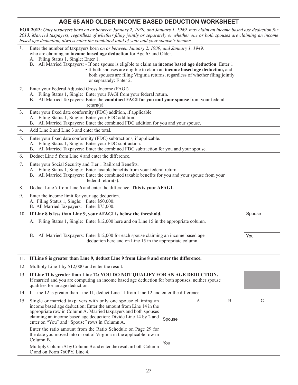# **AGE 65 AND OLDER INCOME BASED Deduction Worksheet**

**FOR 2013**: *Only taxpayers born on or between January 2, 1939, and January 1, 1949, may claim an income based age deduction for 2013. Married taxpayers, regardless of whether filing jointly or separately or whether one or both spouses are claiming an income based age deduction, always enter the combined total of your and your spouse's income.* 

| 1.  | Enter the number of taxpayers born on or between January 2, 1939, and January 1, 1949,<br>who are claiming an income based age deduction for Age 65 and Older.<br>A. Filing Status 1, Single: Enter 1.<br>B. All Married Taxpayers: • If one spouse is eligible to claim an income based age deduction: Enter 1<br>• If both spouses are eligible to claim an income based age deduction, and<br>both spouses are filing Virginia returns, regardless of whether filing jointly<br>or separately: Enter 2. |        |   |   |             |
|-----|------------------------------------------------------------------------------------------------------------------------------------------------------------------------------------------------------------------------------------------------------------------------------------------------------------------------------------------------------------------------------------------------------------------------------------------------------------------------------------------------------------|--------|---|---|-------------|
| 2.  | Enter your Federal Adjusted Gross Income (FAGI).<br>A. Filing Status 1, Single: Enter your FAGI from your federal return.<br>B. All Married Taxpayers: Enter the combined FAGI for you and your spouse from your federal<br>$return(s)$ .                                                                                                                                                                                                                                                                  |        |   |   |             |
| 3.  | Enter your fixed date conformity (FDC) addition, if applicable.<br>A. Filing Status 1, Single: Enter your FDC addition.<br>B. All Married Taxpayers: Enter the combined FDC addition for you and your spouse.                                                                                                                                                                                                                                                                                              |        |   |   |             |
| 4.  | Add Line 2 and Line 3 and enter the total.                                                                                                                                                                                                                                                                                                                                                                                                                                                                 |        |   |   |             |
| 5.  | Enter your fixed date conformity (FDC) subtractions, if applicable.<br>A. Filing Status 1, Single: Enter your FDC subtraction.<br>B. All Married Taxpayers: Enter the combined FDC subtraction for you and your spouse.                                                                                                                                                                                                                                                                                    |        |   |   |             |
| 6.  | Deduct Line 5 from Line 4 and enter the difference.                                                                                                                                                                                                                                                                                                                                                                                                                                                        |        |   |   |             |
| 7.  | Enter your Social Security and Tier 1 Railroad Benefits.<br>A. Filing Status 1, Single: Enter taxable benefits from your federal return.<br>B. All Married Taxpayers: Enter the combined taxable benefits for you and your spouse from your<br>federal return(s).                                                                                                                                                                                                                                          |        |   |   |             |
| 8.  | Deduct Line 7 from Line 6 and enter the difference. This is your AFAGI.                                                                                                                                                                                                                                                                                                                                                                                                                                    |        |   |   |             |
| 9.  | Enter the income limit for your age deduction.<br>A. Filing Status 1, Single: Enter \$50,000.<br>B. All Married Taxpayers: Enter \$75,000.                                                                                                                                                                                                                                                                                                                                                                 |        |   |   |             |
|     | 10. If Line 8 is less than Line 9, your AFAGI is below the threshold.                                                                                                                                                                                                                                                                                                                                                                                                                                      |        |   |   | Spouse      |
|     | A. Filing Status 1, Single: Enter \$12,000 here and on Line 15 in the appropriate column.                                                                                                                                                                                                                                                                                                                                                                                                                  |        |   |   |             |
|     | B. All Married Taxpayers: Enter \$12,000 for each spouse claiming an income based age<br>deduction here and on Line 15 in the appropriate column.                                                                                                                                                                                                                                                                                                                                                          |        |   |   | You         |
|     | 11. If Line 8 is greater than Line 9, deduct Line 9 from Line 8 and enter the difference.                                                                                                                                                                                                                                                                                                                                                                                                                  |        |   |   |             |
|     | 12. Multiply Line 1 by \$12,000 and enter the result.                                                                                                                                                                                                                                                                                                                                                                                                                                                      |        |   |   |             |
|     | 13. If Line 11 is greater than Line 12: YOU DO NOT QUALIFY FOR AN AGE DEDUCTION.<br>If married and you are computing an income based age deduction for both spouses, neither spouse<br>qualifies for an age deduction.                                                                                                                                                                                                                                                                                     |        |   |   |             |
|     | 14. If Line 12 is greater than Line 11, deduct Line 11 from Line 12 and enter the difference.                                                                                                                                                                                                                                                                                                                                                                                                              |        |   |   |             |
| 15. | Single or married taxpayers with only one spouse claiming an<br>income based age deduction: Enter the amount from Line 14 in the<br>appropriate row in Column A. Married taxpayers and both spouses<br>claiming an income based age deduction: Divide Line 14 by 2 and<br>enter on "You" and "Spouse" rows in Column A.                                                                                                                                                                                    | Spouse | A | B | $\mathsf C$ |
|     | Enter the ratio amount from the Ratio Schedule on Page 29 for<br>the date you moved into or out of Virginia in the applicable row in<br>Column B.<br>Multiply Column A by Column B and enter the result in both Column<br>C and on Form 760PY, Line 4.                                                                                                                                                                                                                                                     |        |   |   |             |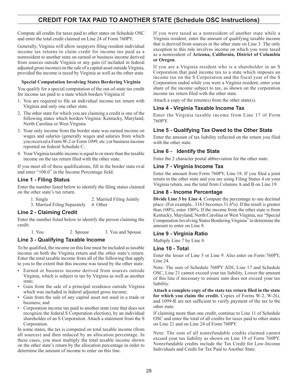# **Credit For Tax Paid To Another State (Schedule OSC Instructions)**

Compute all credits for taxes paid to other states on Schedule OSC and enter the total credit claimed on Line 24 of Form 760PY.

Generally, Virginia will allow taxpayers filing resident individual income tax returns to claim credit for income tax paid as a nonresident to another state on earned or business income derived from sources outside Virginia or any gain (if included in federal adjusted gross income) on the sale of a capital asset outside Virginia, provided the income is taxed by Virginia as well as the other state.

#### **Special Computation Involving States Bordering Virginia**

You qualify for a special computation of the out-of-state tax credit for income tax paid to a state which borders Virginia if:

- 1. You are required to file an individual income tax return with Virginia and only one other state.
- 2. The other state for which you are claiming a credit is one of the following states which borders Virginia: Kentucky, Maryland, North Carolina or West Virginia.
- 3. Your only income from the border state was earned income on wages and salaries (generally wages and salaries from which you received a Form W-2 or Form 1099, etc.) or business income reported on federal Schedule C.
- 4. Your Virginia taxable income is equal to or more than the taxable income on the tax return filed with the other state.

If you meet all of these qualifications, fill in the border state oval and enter "100.0" in the Income Percentage field.

# **Line 1 - Filing Status**

Enter the number listed below to identify the filing status claimed on the other state's tax return.

1. Single 2. Married Filing Jointly

3. Married Filing Separately 4. Other

# **Line 2 - Claiming Credit**

Enter the number listed below to identify the person claiming the credit.

1. You 2. Spouse 3. You and Spouse

# **Line 3 - Qualifying Taxable Income**

To be qualified, the income on this line must be included as taxable income on both the Virginia return and the other state's return. Enter the total taxable income from all of the following that apply to you to the extent that this income was taxed by the other state:

- • Earned or business income derived from sources outside Virginia, which is subject to tax by Virginia as well as another state;
- Gain from the sale of a principal residence outside Virginia which was included in federal adjusted gross income;
- Gain from the sale of any capital asset not used in a trade or business; and
- Corporation income tax paid to another state (one that does not recognize the federal S Corporation election), by an individual shareholder of an S Corporation. Attach a statement from the S Corporation.

In some states, the tax is computed on total taxable income (from all sources) and then reduced by an allocation percentage. In these cases, you must multiply the total taxable income shown on the other state's return by the allocation percentage in order to determine the amount of income to enter on this line.

If you were taxed as a nonresident of another state while a Virginia resident, enter the amount of qualifying taxable income that is derived from sources in the other state on Line 3. The only exception to this rule involves income on which you were taxed as a nonresident of **Arizona, California, District of Columbia or Oregon**.

If you are a Virginia resident who is a shareholder in an S Corporation that paid income tax to a state which imposes an income tax on the S Corporation and the fiscal year of the S Corporation ended while you were a Virginia resident, enter your share of the income subject to tax, as shown on the corporation income tax return filed with the other state.

Attach a copy of the return(s) from the other state(s).

# **Line 4 - Virginia Taxable Income Tax**

Enter the Virginia taxable income from Line 17 of Form 760PY.

# **Line 5 - Qualifying Tax Owed to the Other State**

Enter the amount of tax liability reflected on the return you filed with the other state.

# **Line 6 - Identify the State**

Enter the 2 character postal abbreviation for the other state.

# **Line 7 - Virginia Income Tax**

Enter the amount from Form 760PY, Line 18. If you filed a joint return in the other state and you are using Filing Status 4 on your Virginia return, use the total from Columns A and B on Line 19.

# **Line 8 - Income Percentage**

**Divide Line 3 by Line 4.** Compute the percentage to one decimal place. (For example, .3163 becomes 31.6%). If the result is greater than 100%, enter 100%. If the income from the other state is from Kentucky, Maryland, North Carolina or West Virginia, see "Special Computation Involving States Bordering Virginia" to determine the amount to enter on Line 8.

# **Line 9 - Virginia Ratio**

Multiply Line 7 by Line 8.

# **Line 10 - Total**

Enter the lesser of Line 5 or Line 9. Also enter on Form 760PY, Line 24.

Note: The sum of Schedule 760PY ADJ, Line 17 and Schedule OSC, Line 21 cannot exceed your tax liability. Lower the amount of this line if necessary to ensure sum does not exceed your tax liability.

**Attach a complete copy of the state tax return filed in the state for which you claim the credit.** Copies of Forms W-2, W-2G, and 1099-R are not sufficient to verify payment of the tax to the other state.

If claiming more than one credit, continue to Line 11 of Schedule OSC and enter the total of all credits for taxes paid to other states on Line 21 and on Line 24 of Form 760PY.

Note: The sum of all nonrefundable credits claimed cannot exceed your tax liability as shown on Line 19 of Form 760PY. Nonrefundable credits include the Tax Credit for Low-Income Individuals and Credit for Tax Paid to Another State.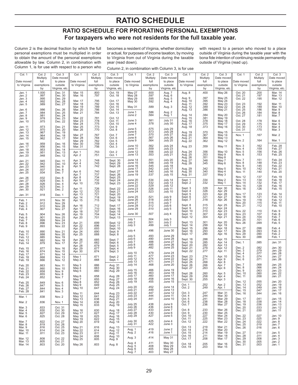# **RATIO SCHEDULE**

# **RATIO SCHEDULE FOR PRORATING PERSONAL EXEMPTIONS For taxpayers who were not residents for the full taxable year.**

Column 2 is the decimal fraction by which the full personal exemptions must be multiplied in order to obtain the amount of the personal exemptions allowable by law. Column 2, in combination with Column 1, is for use with respect to a person who

becomes a resident of Virginia, whether domiciliary or actual, for purposes of income taxation, by moving to Virginia from out of Virginia during the taxable year (read down).

Column 2, in combination with Column 3, is for use

with respect to a person who moved to a place outside of Virginia during the taxable year with the bona fide intention of continuing reside permanently outside of Virginia (read up).

| Col. 1                        | Col. 2<br>Multiply         | Col. 3<br>Date moved          | Col. 1                            | Col. 2<br>Multiply           | Col. 3<br>Date moved                                | Col. 1                        | Col. 2<br>Multiply           | Col. 3<br>Date moved                 | Col. 1                           | Col. 2<br>Multiply      | Col. 3<br>Date moved          | Col. 1                        | Col. 2<br>Multiply       | Col. 3<br>Date moved                     |
|-------------------------------|----------------------------|-------------------------------|-----------------------------------|------------------------------|-----------------------------------------------------|-------------------------------|------------------------------|--------------------------------------|----------------------------------|-------------------------|-------------------------------|-------------------------------|--------------------------|------------------------------------------|
| Date moved<br>to Virginia     | full<br>exemptions         | to place<br>outside           | Date moved<br>to Virginia         | full<br>exemptions           | to place<br>outside                                 | Date moved<br>to Virginia     | full                         | to place<br>outside                  | Date moved<br>to Virginia        | full<br>exemptions      | to place<br>outside           | Date moved<br>to Virginia     | full<br>exemptions       | to place<br>outside                      |
|                               | by                         | Virginia, etc.                |                                   | by                           | Virginia, etc.                                      |                               | exemptions<br>by             | Virginia, etc.                       |                                  | by                      | Virginia, etc                 |                               | by                       | Virginia, etc.                           |
| Jan. 1<br>Jan. 2              | 1.000                      | Dec. 31<br>Dec. 30<br>Dec. 29 | Mar. 15<br>Mar. 16                | .800<br>.797                 | Oct. 19<br>Oct. 18                                  | May 27<br><b>May 28</b>       | .600<br>.597                 | Aug. 7<br>Aug. 6                     | Aug. 8                           | .400                    | May 26                        | Oct. 20<br>Oct. 21            | .200<br>.197             | Mar. 14<br>Mar. 13<br>Mar. 12            |
| Jan. 3<br>Jan. 4              | $.997$<br>$.995$<br>$.992$ | Dec. 28                       | Mar. 17                           | .795                         | Oct. 17                                             | May 29<br><b>May 30</b>       | .595<br>.592                 | Aug. 5<br>Aug. 4                     | Aug. 9<br>Aug. 10                | .397<br>395             | May 25<br>May 24              | Oct. 22                       | .195                     |                                          |
| Jan. 5                        | .989                       | Dec. 27                       | Mar. 18<br>Mar. 19                | .792<br>.789                 | Oct. 16<br>Oct. 15                                  | May 31                        | .589                         | Aug. 3                               | Aug. 11<br>Aug. 12               | 392<br>.389             | May 23<br>May 22              | Oct. 23<br>Oct. 24            | .192<br>.189             | Mar. 11<br>Mar. 10                       |
| Jan. 6<br>Jan. 7<br>Jan. 8    | .986<br>.984<br>.981       | Dec. 26<br>Dec. 25<br>Dec. 24 | Mar. 20<br>Mar. 21                | .786<br>.784                 | Oct. 14<br>Oct. 13                                  | June 1<br>June 2              | .586<br>.584                 | Aug. 2<br>Aug. 1                     | Aug. 13<br>Aug. 14               | .386<br>.384            | May 21<br>May 20              | Oct. 25<br>Oct. 26<br>Oct. 27 | .186<br>.184<br>.181     | Mar. 9<br>Mar. 8<br>Mar. 7               |
| Jan. 9<br>Jan. 10             | .978<br>.975               | Dec. 23<br>Dec. 22            | Mar. 22<br>Mar. 23                | .781<br>.778                 | Oct. 12<br>Oct. 11                                  | June 3                        | .581                         | July 31                              | Aug. 15<br>Aug. 16               | 381<br>378              | May 19<br>May 18              | Oct. 28                       | .178                     | Mar. 6                                   |
| Jan. 11                       | .973                       | Dec. 21                       | Mar. 24<br>Mar. 25                | .775<br>.773                 | Oct. 10<br>Oct. 9                                   | June 4                        | .578                         | July 30                              | Aug. 17<br>Aug. 18               | 375<br>.373             | May 17<br><b>May 16</b>       | Oct. 29<br>Oct. 30            | .175<br>.173             | Mar. 5<br>Mar. 4                         |
| Jan. 12<br>Jan. 13            | .970<br>.967               | Dec. 20<br>Dec. 19            | Mar. 26                           | .770                         | Oct. 8                                              | June 5<br>June 6              | .575<br>.573                 | July 29<br>July 28                   | Aug. 19<br>Aug. 20               | 370                     | May 15                        | Oct. 31                       | .170                     | Mar. 3                                   |
| Jan. 14<br>Jan. 15            | .964<br>.962               | Dec. 18<br>Dec. 17            | Mar. 27<br>Mar. 28                | .767<br>.764<br>.762<br>.759 | Oct. 7<br>Oct. 6                                    | June 7<br>June 8<br>June 9    | .570<br>567<br>.564          | July 27<br>July 26<br>July 25        | Aug. 21                          | 367<br>.364<br>.362     | May 14<br>May 13              | Nov. 1<br>Nov. 2              | .167<br>.164             | Mar. 2<br>Mar. 1                         |
| Jan. 16<br>Jan. 17            | .959<br>.956<br>.953       | Dec. 16<br>Dec. 15            | Mar. 29<br>Mar. 30<br>Mar. 31     | .756                         | Oct. 5<br>Oct. 4<br>Oct. 3                          | June 10                       | 562                          | July 24                              | Aug. 22<br>Aug. 23               | .359                    | <b>May 12</b><br>May 11       | Nov. 3                        | .162                     |                                          |
| Jan. 18<br>Jan. 19            | .951                       | Dec. 14<br>Dec. 13            | Apr. 1                            | .753                         | Oct. 2                                              | June 11<br>June 12            | .559<br>556                  | $July\overline{23}$<br>July 22       |                                  | 356                     | May 10                        | Nov. 4<br>Nov. 5              | .159<br>.156             | Feb. 28<br>Feb. 27<br>Feb. 26            |
| Jan. 20                       | .948                       | Dec. 12                       | Apr. 2                            | .751                         | Oct. 1                                              | June 13                       | .553                         | July 21                              | Aug. 24<br>Aug. 25<br>Aug. 26    | 353<br>351              | May 9<br>May 8                | Nov. 6                        | .153                     | Feb. 25                                  |
| Jan. 21<br>Jan. 22            | .945<br>.942               | Dec. 11<br>Dec. 10            | Apr. 3<br>Apr. 4                  | .748<br>.745                 | Sept. 30<br>Sept. 29                                | June 14<br>June 15<br>June 16 | .551                         | July 20<br>July 19<br>July 18        | Aug. 27<br>Aug. 28               | 348<br>.345             | May 7<br>May 6                | Nov. 7<br>Nov. 8              | .151<br>.148             | Feb. 24<br>Feb. 23<br>Feb. 22            |
| Jan. 23<br>Jan. 24            | .940<br>.937               | Dec. 9<br>Dec. 8              | Apr. 5<br>Apr. 6                  | .742<br>.740                 | Sept. 28<br>Sept. 27                                | June 17<br>June 18            | .548<br>.545<br>.542<br>.540 | July 17<br>July 16                   | Aug. 29<br>Aug. 30               | 342<br>340              | May 5<br>May 4                | Nov. 9<br>Nov. 10<br>Nov. 11  | $.145$<br>$.142$<br>.140 | Feb. 21<br>Feb. 20                       |
| Jan. 25<br>Jan. 26            | .934<br>.932               | Dec. 7<br>Dec. 6              | Apr. 7<br>Apr. 8                  | .737<br>.734                 | Sept. 26<br>Sept. 25                                | June 19                       | .537                         | July 15                              | Aug. 31                          | .337                    | May 3                         | Nov. 12                       | .137                     | Feb. 19                                  |
| Jan. 27<br>Jan. 28            | .929<br>.926               | Dec. 5<br>Dec. 4              | Apr. 9<br>Apr. 10                 | .732<br>.729                 | Sept. 24<br>Sept. 23                                | June 20<br>June 21            | .534<br>.532                 | July 14<br>July 13                   | Sept. 1<br>Sept. 2               | 334<br>332              | May 2<br>May 1                | Nov. 13<br>Nov. 14            | .134<br>.132             | Feb. 18<br>Feb. 17                       |
| Jan. 29<br>Jan. 30            | .923<br>.921               | Dec. 3<br>Dec. 2              | Apr. 11                           | .726                         | Sept. 22                                            | June 22<br>June 23            | .529<br>.526                 | July 12<br>July 11                   | Sept. 3<br>Sept. 4               | 329<br>326              | Apr. 30<br>Apr. 29            | Nov. 15<br>Nov. 16            | .129<br>.126             | Feb. 16<br>Feb. 15                       |
| Jan. 31                       | .918                       | Dec. 1                        | Apr. 12<br>Apr. 13<br>Apr. 14     | .723<br>.721<br>.718         | Sept. 21<br>Sept. 20<br>Sept. 19                    | June 24<br>June 25            | .523                         | July 10<br>July 9                    | Sept. 5<br>Sept. 6               | 323<br>321              | Apr. 28<br>Apr. 27            | Nov. 17<br>Nov. 18            | $.123$<br>$.121$         | Feb. 14<br>Feb. 13                       |
| Feb. 1<br>Feb. 2              | .915<br>.912               | Nov. 30<br>Nov. 29            | Apr. 15                           | .715                         | Sept. 18                                            | June 26<br>June 27            | .521<br>.518<br>.515         | July 8<br>July 7                     | Sept. 7                          | .318                    | Apr. 26                       | Nov. 19<br>Nov. 20            | .118<br>.115             | Feb. 12<br>Feb. 11                       |
| Feb. 3<br>Feb. 4              | .910<br>.907               | Nov. 28<br><b>Nov. 27</b>     | Apr. 16<br>Apr. 17                | .712<br>.710                 | Sept. 17<br>Sept. 16                                | June 28<br>June 29            | .512<br>.510                 | July 6<br>July 5                     | Sept. 8<br>Sept. 9               | .315<br>.312            | Apr. 25<br>Apr. 24            | Nov. 21                       | .112                     | Feb. 10                                  |
| Feb. 5                        | .904                       | Nov. 26                       | Apr. 18<br>Apr. 19                | .707<br>.704                 | Sept. 15<br>Sept. 14                                | June 30                       | .507                         | July 4                               | Sept. 10<br>Sept. 11             | .310<br>.307            | Apr. 23<br>Apr. 22            | Nov. 22<br>Nov. 23            | .110<br>.107             | Feb. 9<br>Feb. 8                         |
| Feb. 6<br>Feb. 7<br>Feb. 8    | .901<br>.899<br>.896       | Nov. 25<br>Nov. 24<br>Nov. 23 | Apr. 20<br>Apr. 21                | .701<br>.699                 | Sept. 13<br>Sept. 12                                | July 1<br>July 2              | .504<br>.501                 | July 3<br>July 2                     | Sept. 12<br>Sept. 13             | .304<br>.301            | Apr. 21<br>Apr. 20            | Nov. 24<br>Nov. 25<br>Nov. 26 | .104<br>.101<br>.099     | Feb. 7<br>Feb. 6<br>Feb. 5               |
| Feb. 9                        | .893                       | Nov. 22                       | Apr. 22<br>Apr. 23                | .696<br>.693                 | Sept. 11<br>Sept. 10                                | July 3                        | .499                         | July 1                               | Sept. 14<br>Sept. 15             | .299<br>.296            | Apr. 19<br>Apr. 18            | Nov. 27                       | .096                     | Feb. 4                                   |
| Feb. 10<br>Feb. 11            | .890<br>.888               | Nov. 21<br>Nov. 20            | Apr. 24<br>Apr. 25                | .690<br>.688                 | Sept. 9<br>Sept. 8                                  | July 4<br>July 5              | .496<br>.493                 | June 30<br>June 29                   | Sept. 16<br>Sept. 17             | .293<br>.290            | Apr. 17<br>Apr. 16            | Nov. 28<br>Nov. 29            | .093<br>.090             | Feb. 3<br>Feb. 2                         |
| Feb. 12<br>Feb. 13            | .885<br>.882               | Nov. 19<br>Nov. 18            | Apr. 26<br>Apr. 27                | .685<br>.682                 | Sept. 7<br>Sept. 6                                  | July 6<br>July 7              | .490<br>.488                 | June 28<br>June 27                   | Sept. 18<br>Sept. 19             | .288<br>.285            | Apr. 15<br>Apr. 14            | Nov. 30<br>Dec. 1             | .088<br>.085             | Feb. 1<br>Jan. 31                        |
| Feb. 14<br>Feb. 15            | .879<br>.877               | Nov. 17<br>Nov. 16            | Apr. 28<br>Apr. 29                | .679<br>.677                 | Sept. 5<br>Sept. 4                                  | July 8<br>July 9              | .485<br>.482                 | June 26<br>June 25                   | Sept. 20<br>Sept. 21<br>Sept. 22 | .282<br>.279            | Apr. 13<br>Apr. 12            | Dec. 2                        | .082                     | Jan. 30                                  |
| Feb. 16<br>Feb. 17            | .874<br>.871               | Nov. 15<br>Nov. 14            | Apr. 30                           | .674                         | Sept. 3                                             | July 10<br>July 11            | .479<br>.477                 | June 24<br>June 23                   |                                  | .277                    | Apr. 11                       | Dec. 3<br>Dec. 4              | .079<br>.077             | Jan. 29<br>Jan. 28                       |
| Feb. 18<br>Feb. 19            | .868<br>.866               | Nov. 13<br>Nov. 12            | May 1<br>May 2                    | .671<br>.668                 | Sept. 2<br>Sept. 1                                  | July 12<br>July 13            | .474<br>.471                 | June 22<br>June 21                   | Sept. 23<br>Sept. 24<br>Sept. 25 | .274<br>.271<br>.268    | Apr. 10<br>Apr. 9<br>Apr. 8   | Dec. 5<br>Dec. 6              | .074<br>.071             | Jan. 27<br>Jan. 26                       |
| Feb. 20<br>Feb. 21            | .863<br>.860               | Nov. 11<br>Nov. 10            | May 3<br>May 4                    | .666<br>.663                 | Aug. 31<br>Aug. 30                                  | July 14                       | .468                         | June 20                              | Sept. 26<br>Sept. 27             | .266<br>.263            | Apr. 7<br>Apr. 6              | Dec. 7<br>Dec. 8              | .068<br>.066             | Jan. 25<br>Jan. 24<br>Jan. 23<br>Jan. 22 |
| Feb. 22<br>Feb. 23            | .858                       | Nov. 9<br>Nov. 8              | May 5                             | .660                         | Aug. 29                                             | July 15<br>July 16            | .466<br>.463                 | June 19<br>June 18                   | Sept. 28                         | .260                    | Apr. 5                        | Dec. 9<br>Dec. 10             | .063<br>.060             |                                          |
| Feb. 24                       | .855<br>.852               | Nov. 7                        | May 6<br>May 7<br>May 8           | .658<br>.655<br>.652         |                                                     | July 17<br>July 18<br>July 19 | .460<br>.458<br>.455         | June 17<br>June 16<br>June 15        | Sept. 29<br>Sept. 30             | 258<br>.255             | Apr. 4<br>Apr. 3              | Dec. 11<br>Dec. 12            | .058                     | Jan. 21<br>Jan. 20                       |
| Feb. 25<br>Feb. 26<br>Feb. 27 | .849<br>.847<br>.844       | Nov. 6<br>Nov. 5<br>Nov. 4    | May 9<br><b>May 10</b>            | .649<br>.647                 | Aug. 28<br>Aug. 27<br>Aug. 26<br>Aug. 25<br>Aug. 24 | July 20                       | .452                         | June 14                              | Oct. 1<br>Oct. 2                 | .252<br>.249            | Apr. 2<br>Apr. 1              | Dec. 13<br>Dec. 14            | .055<br>.052<br>.049     | Jan. 19<br>Jan. 18                       |
| Feb. 28                       | .841                       | Nov. 3                        |                                   | .644<br>.641                 |                                                     | July 21                       | .449<br>.447                 | June 13<br>June 12                   | Oct. 3                           | 247                     | Mar. 31                       | Dec. 15<br>Dec. 16            | 047<br>.044              | Jan. 17<br>Jan. 16                       |
| Mar. 1                        | .838                       | Nov. 2                        | May 11<br>May 12<br>May 13        | .638                         | Aug. 23<br>Aug. 22<br>Aug. 21<br>Aug. 20<br>Aug. 19 | July 22<br>July 23<br>July 24 | .444<br>.441                 | June 11<br>June 10                   | Oct. 4<br>Oct. 5<br>Oct. 6       | 244<br>241<br>.238      | Mar. 30<br>Mar. 29<br>Mar. 28 | Dec. 17<br>Dec. 18            | .041<br>.038             | Jan. 15<br>Jan. 14                       |
| Mar. 2<br>Mar. 3              | .836<br>.833               | Nov. 1<br>Oct. 31             | <b>May 14</b><br>May 15           | .636<br>.633                 |                                                     | July 25<br>July 26            | .438<br>.436                 | June 9<br>June 8                     | Oct. 7                           | .236                    | Mar. 27                       | Dec. 19<br>Dec. 20            | .036<br>.033             | Jan. 13<br>Jan. 12                       |
| Mar. 4<br>Mar. 5              | .830<br>.827               | Oct. 30<br>Oct. 29            | May 16<br>May 17                  | .630<br>.627                 | Aug. 18<br>Aug. 17<br>Aug. 16                       | July 27<br>July 28<br>July 29 | .433<br>.430                 | June 7<br>June 6                     | Oct. 8<br>Oct. 9                 | 233<br>$.230$<br>$.227$ | Mar. 26<br>Mar. 25            | Dec. 21                       | .030                     | Jan. 11                                  |
| Mar. 6                        | .825                       | Oct. 28                       | May 18<br>May 19                  | .625<br>.622                 | Aug. 15<br>Aug. 14                                  |                               | .427                         | June 5                               | Oct. 10<br>Oct. 11               | .225                    | Mar. 24<br>Mar. 23            | Dec. 22<br>Dec. 23            | .027<br>.025             | Jan. 10<br>Jan. 9                        |
| Mar. 7<br>Mar. 8              | $.822$<br>$.819$           | Oct. 27<br>Oct. 26            | May 20                            | .619                         |                                                     | July 30<br>July 31            | .425<br>.422                 | June 4<br>June 3                     | Oct. 12<br>Oct. 13               | .222<br>.219            | Mar. 22<br>Mar. 21            | Dec. 24<br>Dec. 25            | .022<br>.019             | Jan. 8<br>Jan. 7                         |
| Mar. 9<br>Mar. 10<br>Mar. 11  | .816<br>.814<br>.811       | Oct. 25<br>Oct. 24<br>Oct. 23 | May 21<br><b>May 22</b><br>May 23 | .616<br>.614<br>.611         | Aug. 13<br>Aug. 12<br>Aug. 11                       | Aug. 1<br>Aug. 2              | .419<br>.416                 | June 2<br>June 1                     | Oct. 14<br>Oct. 15               | .216<br>.214            | Mar. 20<br>Mar. 19            | Dec. 26<br>Dec. 27            | .016<br>.014             | Jan. 6<br>Jan. 5                         |
| Mar. 12                       |                            |                               | <b>May 24</b><br>May 25           | .608<br>.605                 | Aug. 10<br>Aug. 9                                   | Aug. 3                        | .414                         | May 31                               | Oct. 16<br>Oct. 17               | .211<br>.208            | Mar. 18<br>Mar. 17            | Dec. 28<br>Dec. 29            | .011<br>.008             | Jan. 4<br>Jan. 3                         |
| Mar. 13<br>Mar. 14            | .808.805<br>.803           | Oct. 22<br>Oct. 21<br>Oct. 20 | May 26                            | .603                         | Aug. 8                                              | Aug. 4<br>Aug. 5              | .411<br>.408                 |                                      | Oct. 18                          | .205                    | Mar. 16                       | Dec. 30<br>Dec. 31            | .005<br>.003             | Jan. 2<br>Jan. 1                         |
|                               |                            |                               |                                   |                              |                                                     | Aug. 6<br>Aug. 7              | .405<br>.403                 | May 30<br>May 29<br>May 28<br>May 27 | Oct. 19                          | .203                    | Mar. 15                       |                               |                          |                                          |
|                               |                            |                               |                                   |                              |                                                     |                               |                              |                                      |                                  |                         |                               |                               |                          |                                          |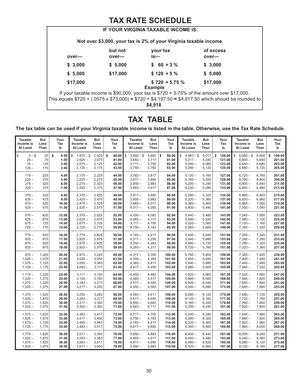# **TAX RATE SCHEDULE**

|          |          | IF YOUR VIRGINIA TAXABLE INCOME IS:                               |                                                                                                     |
|----------|----------|-------------------------------------------------------------------|-----------------------------------------------------------------------------------------------------|
|          |          | Not over \$3,000, your tax is 2% of your Virginia taxable income. |                                                                                                     |
|          | but not  | your tax                                                          | of excess                                                                                           |
| over-    | over—    | is—                                                               | over-                                                                                               |
| \$3,000  | \$5,000  | $$60 + 3%$                                                        | \$3,000                                                                                             |
| \$5,000  | \$17,000 | $$120 + 5%$                                                       | \$5,000                                                                                             |
| \$17,000 |          | $$720 + 5.75\%$                                                   | \$17,000                                                                                            |
|          |          | <b>Example</b>                                                    |                                                                                                     |
|          |          |                                                                   | If your taxable income is \$90,000, your tax is $$720 + 5.75\%$ of the amount over \$17,000.        |
|          |          |                                                                   | This equals \$720 + (.0575 x \$73,000) = \$720 + \$4,197.50 = \$4,917.50 which should be rounded to |
|          |          | \$4,918                                                           |                                                                                                     |
|          |          |                                                                   |                                                                                                     |

# **TAX TABLE**

**The tax table can be used if your Virginia taxable income is listed in the table. Otherwise, use the Tax Rate Schedule.**

| <b>Taxable</b>                               | <b>But</b>             | Your                               | <b>Taxable</b>                                          | <b>But</b>                       | Your                                   | <b>Taxable</b>                                         | <b>But</b>                       | Your                                   | <b>Taxable</b>                                         | But                              | Your                                       | <b>Taxable</b>                                         | <b>But</b>                       | Your                                       |
|----------------------------------------------|------------------------|------------------------------------|---------------------------------------------------------|----------------------------------|----------------------------------------|--------------------------------------------------------|----------------------------------|----------------------------------------|--------------------------------------------------------|----------------------------------|--------------------------------------------|--------------------------------------------------------|----------------------------------|--------------------------------------------|
| Income is                                    | Less                   | Tax                                | Income is                                               | Less                             | Tax                                    | Income is                                              | Less                             | Tax                                    | Income is                                              | Less                             | Tax                                        | Income is                                              | Less                             | Tax                                        |
| At Least                                     | Than                   | ls                                 | At Least                                                | Than                             | Is                                     | At Least                                               | Than                             | ls                                     | At Least                                               | Than                             | ls                                         | At Least                                               | Than                             | ls                                         |
| \$<br>$0 - $$<br>$25 -$<br>$75 -$<br>$125 -$ | 25<br>75<br>125<br>175 | \$<br>0.00<br>1.00<br>2.00<br>3.00 | \$<br>$1,975 - $$<br>$2,025 -$<br>$2,075-$<br>$2,125 -$ | 2,025<br>2,075<br>2,125<br>2,175 | \$<br>40.00<br>41.00<br>42.00<br>43.00 | \$<br>$3,650 - $$<br>$3,683 -$<br>$3,717-$<br>$3,750-$ | 3,683<br>3,717<br>3,750<br>3,783 | \$<br>80.00<br>81.00<br>82.00<br>83.00 | $4,983 - $$<br>\$<br>$5,017-$<br>$5,040 -$<br>$5,080-$ | 5,017<br>5,040<br>5,080<br>5,120 | \$<br>120.00<br>121.00<br>123.00<br>125.00 | \$<br>$6,560 - $$<br>$6,600 -$<br>$6,640-$<br>$6,680-$ | 6,600<br>6,640<br>6,680<br>6,720 | \$<br>199.00<br>201.00<br>203.00<br>205.00 |
| $175 -$                                      | 225                    | 4.00                               | $2,175-$                                                | 2,225                            | 44.00                                  | $3,783-$                                               | 3,817                            | 84.00                                  | $5,120-$                                               | 5,160                            | 127.00                                     | $6,720-$                                               | 6,760                            | 207.00                                     |
| $225 -$                                      | 275                    | 5.00                               | $2,225 -$                                               | 2,275                            | 45.00                                  | $3,817-$                                               | 3,850                            | 85.00                                  | $5,160-$                                               | 5,200                            | 129.00                                     | $6,760-$                                               | 6,800                            | 209.00                                     |
| $275 -$                                      | 325                    | 6.00                               | $2,275-$                                                | 2,325                            | 46.00                                  | $3,850-$                                               | 3,883                            | 86.00                                  | $5,200 -$                                              | 5,240                            | 131.00                                     | $6,800 -$                                              | 6,840                            | 211.00                                     |
| $325 -$                                      | 375                    | 7.00                               | $2,325 -$                                               | 2,375                            | 47.00                                  | $3,883-$                                               | 3,917                            | 87.00                                  | $5,240-$                                               | 5,280                            | 133.00                                     | $6,840-$                                               | 6,880                            | 213.00                                     |
| $375 -$                                      | 425                    | 8.00                               | $2,375-$                                                | 2,425                            | 48.00                                  | $3,917-$                                               | 3,950                            | 88.00                                  | $5,280-$                                               | 5,320                            | 135.00                                     | $6,880-$                                               | 6,920                            | 215.00                                     |
| $425 -$                                      | 475                    | 9.00                               | $2,425 -$                                               | 2,475                            | 49.00                                  | $3,950-$                                               | 3,983                            | 89.00                                  | $5,320-$                                               | 5,360                            | 137.00                                     | $6,920 -$                                              | 6,960                            | 217.00                                     |
| $475 -$                                      | 525                    | 10.00                              | $2,475-$                                                | 2,525                            | 50.00                                  | $3,983 -$                                              | 4,017                            | 90.00                                  | $5,360-$                                               | 5,400                            | 139.00                                     | $6,960-$                                               | 7,000                            | 219.00                                     |
| $525 -$                                      | 575                    | 11.00                              | $2,525 -$                                               | 2,575                            | 51.00                                  | $4,017-$                                               | 4,050                            | 91.00                                  | $5,400-$                                               | 5,440                            | 141.00                                     | $7,000 -$                                              | 7,040                            | 221.00                                     |
| $575 -$                                      | 625                    | 12.00                              | $2,575-$                                                | 2,625                            | 52.00                                  | $4,050-$                                               | 4,083                            | 92.00                                  | $5,440-$                                               | 5,480                            | 143.00                                     | $7.040 -$                                              | 7,080                            | 223.00                                     |
| $625 -$                                      | 675                    | 13.00                              | $2,625 -$                                               | 2,675                            | 53.00                                  | $4,083-$                                               | 4,117                            | 93.00                                  | $5,480-$                                               | 5,520                            | 145.00                                     | $7,080 -$                                              | 7,120                            | 225.00                                     |
| $675 -$                                      | 725                    | 14.00                              | $2,675-$                                                | 2,725                            | 54.00                                  | $4,117-$                                               | 4,150                            | 94.00                                  | $5,520 -$                                              | 5,560                            | 147.00                                     | $7,120 -$                                              | 7,160                            | 227.00                                     |
| $725 -$                                      | 775                    | 15.00                              | $2,725 -$                                               | 2,775                            | 55.00                                  | $4,150-$                                               | 4,183                            | 95.00                                  | $5,560-$                                               | 5,600                            | 149.00                                     | $7,160-$                                               | 7,200                            | 229.00                                     |
| $775 -$                                      | 825                    | 16.00                              | $2,775-$                                                | 2,825                            | 56.00                                  | $4,183-$                                               | 4,217                            | 96.00                                  | $5,600 -$                                              | 5,640                            | 151.00                                     | $7,200 -$                                              | 7,240                            | 231.00                                     |
| $825 -$                                      | 875                    | 17.00                              | $2,825 -$                                               | 2,875                            | 57.00                                  | $4,217-$                                               | 4,250                            | 97.00                                  | $5,640-$                                               | 5,680                            | 153.00                                     | $7,240-$                                               | 7,280                            | 233.00                                     |
| $875 -$                                      | 925                    | 18.00                              | $2,875-$                                                | 2,925                            | 58.00                                  | $4,250-$                                               | 4,283                            | 98.00                                  | $5,680-$                                               | 5,720                            | 155.00                                     | $7,280-$                                               | 7,320                            | 235.00                                     |
| $925 -$                                      | 975                    | 19.00                              | $2,925 -$                                               | 2,975                            | 59.00                                  | $4,283-$                                               | 4,317                            | 99.00                                  | $5,720-$                                               | 5,760                            | 157.00                                     | $7,320 -$                                              | 7,360                            | 237.00                                     |
| $975 -$                                      | 1,025                  | 20.00                              | $2,975-$                                                | 3,025                            | 60.00                                  | $4,317-$                                               | 4,350                            | 100.00                                 | $5,760-$                                               | 5,800                            | 159.00                                     | $7,360-$                                               | 7,400                            | 239.00                                     |
| $1,025 -$                                    | 1,075                  | 21.00                              | $3,025 -$                                               | 3,050                            | 61.00                                  | $4,350-$                                               | 4,383                            | 101.00                                 | $5,800-$                                               | 5,840                            | 161.00                                     | $7,400 -$                                              | 7,440                            | 241.00                                     |
| $1,075-$                                     | 1,125                  | 22.00                              | $3,050-$                                                | 3,083                            | 62.00                                  | $4,383-$                                               | 4,417                            | 102.00                                 | $5,840-$                                               | 5,880                            | 163.00                                     | $7,440-$                                               | 7,480                            | 243.00                                     |
| $1,125 -$                                    | 1,175                  | 23.00                              | $3,083 -$                                               | 3,117                            | 63.00                                  | $4,417-$                                               | 4,450                            | 103.00                                 | $5,880-$                                               | 5,920                            | 165.00                                     | $7,480-$                                               | 7,520                            | 245.00                                     |
| $1,175-$                                     | 1,225                  | 24.00                              | $3,117-$                                                | 3,150                            | 64.00                                  | $4,450-$                                               | 4,483                            | 104.00                                 | $5,920 -$                                              | 5,960                            | 167.00                                     | $7,520 -$                                              | 7,560                            | 247.00                                     |
| $1,225 -$                                    | 1,275                  | 25.00                              | $3,150-$                                                | 3,183                            | 65.00                                  | $4,483-$                                               | 4,517                            | 105.00                                 | $5,960-$                                               | 6,000                            | 169.00                                     | $7,560-$                                               | 7,600                            | 249.00                                     |
| $1,275-$                                     | 1,325                  | 26.00                              | $3,183-$                                                | 3,217                            | 66.00                                  | $4,517-$                                               | 4,550                            | 106.00                                 | $6,000 -$                                              | 6,040                            | 171.00                                     | $7,600 -$                                              | 7,640                            | 251.00                                     |
| $1,325 -$                                    | 1,375                  | 27.00                              | $3,217-$                                                | 3,250                            | 67.00                                  | $4,550-$                                               | 4,583                            | 107.00                                 | $6,040-$                                               | 6,080                            | 173.00                                     | $7,640-$                                               | 7,680                            | 253.00                                     |
| $1,375-$                                     | 1,425                  | 28.00                              | $3,250 -$                                               | 3,283                            | 68.00                                  | $4,583-$                                               | 4,617                            | 108.00                                 | $6,080 -$                                              | 6,120                            | 175.00                                     | $7,680-$                                               | 7,720                            | 255.00                                     |
| $1,425 -$                                    | 1,475                  | 29.00                              | $3,283 -$                                               | 3,317                            | 69.00                                  | $4,617-$                                               | 4,650                            | 109.00                                 | $6,120 -$                                              | 6,160                            | 177.00                                     | $7,720 -$                                              | 7,760                            | 257.00                                     |
| $1,475-$                                     | 1,525                  | 30.00                              | $3,317-$                                                | 3,350                            | 70.00                                  | $4,650-$                                               | 4,683                            | 110.00                                 | $6,160-$                                               | 6,200                            | 179.00                                     | $7,760-$                                               | 7,800                            | 259.00                                     |
| $1,525 -$                                    | 1,575                  | 31.00                              | $3,350-$                                                | 3,383                            | 71.00                                  | $4,683-$                                               | 4,717                            | 111.00                                 | $6,200-$                                               | 6,240                            | 181.00                                     | $7,800-$                                               | 7,840                            | 261.00                                     |
| $1,575-$                                     | 1,625                  | 32.00                              | $3,383-$                                                | 3,417                            | 72.00                                  | $4,717-$                                               | 4,750                            | 112.00                                 | $6,240-$                                               | 6,280                            | 183.00                                     | $7,840-$                                               | 7,880                            | 263.00                                     |
| $1,625 -$                                    | 1,675                  | 33.00                              | $3,417-$                                                | 3,450                            | 73.00                                  | $4,750-$                                               | 4,783                            | 113.00                                 | $6,280 -$                                              | 6,320                            | 185.00                                     | $7,880-$                                               | 7,920                            | 265.00                                     |
| $1,675-$                                     | 1,725                  | 34.00                              | $3,450-$                                                | 3,483                            | 74.00                                  | $4,783-$                                               | 4,817                            | 114.00                                 | $6,320 -$                                              | 6,360                            | 187.00                                     | $7,920 -$                                              | 7,960                            | 267.00                                     |
| $1,725 -$                                    | 1,775                  | 35.00                              | $3,483-$                                                | 3,517                            | 75.00                                  | $4,817-$                                               | 4,850                            | 115.00                                 | $6,360-$                                               | 6,400                            | 189.00                                     | $7,960 -$                                              | 8,000                            | 269.00                                     |
| $1,775-$                                     | 1,825                  | 36.00                              | $3,517-$                                                | 3,550                            | 76.00                                  | $4,850-$                                               | 4,883                            | 116.00                                 | $6,400 -$                                              | 6,440                            | 191.00                                     | $8,000 -$                                              | 8,040                            | 271.00                                     |
| $1,825 -$                                    | 1,875                  | 37.00                              | $3,550-$                                                | 3,583                            | 77.00                                  | $4,883-$                                               | 4,917                            | 117.00                                 | $6,440-$                                               | 6,480                            | 193.00                                     | $8,040-$                                               | 8,080                            | 273.00                                     |
| $1,875-$                                     | 1,925                  | 38.00                              | $3,583 -$                                               | 3,617                            | 78.00                                  | $4,917-$                                               | 4,950                            | 118.00                                 | $6,480-$                                               | 6,520                            | 195.00                                     | $8,080-$                                               | 8,120                            | 275.00                                     |
| $1,925 -$                                    | 1,975                  | 39.00                              | $3,617-$                                                | 3,650                            | 79.00                                  | $4,950-$                                               | 4,983                            | 119.00                                 | $6,520 -$                                              | 6,560                            | 197.00                                     | $8,120 -$                                              | 8,160                            | 277.00                                     |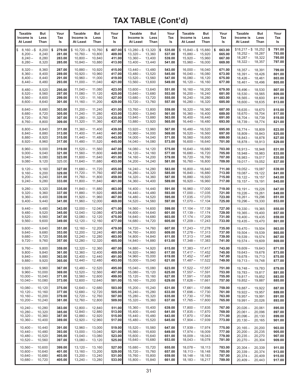| <b>Taxable</b><br>Income is<br>At Least                | But<br>Less<br>Than                  | Your<br>Tax<br>Is                          | Taxable<br>Income is<br>At Least                              | But<br>Less<br>Than                  | Your<br>Tax<br>ls                          | <b>Taxable</b><br>Income is<br>At Least                            | But<br>Less<br>Than                  | Your<br>Tax<br>ls                          | <b>Taxable</b><br>But<br>Income is<br>Less<br>At Least<br>Than                               | Your<br>Tax<br>ls                          | Taxable<br>Income is<br>At Least                             | But<br>Less<br>Than                  | Your<br>Tax<br>ls                          |
|--------------------------------------------------------|--------------------------------------|--------------------------------------------|---------------------------------------------------------------|--------------------------------------|--------------------------------------------|--------------------------------------------------------------------|--------------------------------------|--------------------------------------------|----------------------------------------------------------------------------------------------|--------------------------------------------|--------------------------------------------------------------|--------------------------------------|--------------------------------------------|
| \$<br>$8,160 - $$<br>$8,200 -$<br>$8,240-$<br>$8,280-$ | 8,200<br>8,240<br>8,280<br>8,320     | 279.00<br>\$<br>281.00<br>283.00<br>285.00 | $$10,720 - $10,760$<br>$10,760 -$<br>$10,800 -$<br>$10,840 -$ | 10,800<br>10,840<br>10,880           | \$<br>407.00<br>409.00<br>411.00<br>413.00 | $$13,280 - $13,320$<br>$13,320 -$<br>$13,360 -$<br>$13,400 -$      | 13,360<br>13,400<br>13,440           | \$<br>535.00<br>537.00<br>539.00<br>541.00 | $$15,840 - $15,880$<br>$15,880 -$<br>15,920<br>$15,920 -$<br>15,960<br>$15,960 -$<br>16,000  | \$<br>663.00<br>665.00<br>667.00<br>669.00 | $$18,217 - $18,252$<br>$18,252 -$<br>$18,287-$<br>$18,322 -$ | 18,287<br>18,322<br>18,357           | \$<br>791.00<br>793.00<br>795.00<br>797.00 |
| $8,320 -$<br>$8,360-$<br>$8,400 -$<br>$8,440-$         | 8,360<br>8,400<br>8,440<br>8,480     | 287.00<br>289.00<br>291.00<br>293.00       | $10,880 -$<br>$10,920 -$<br>$10,960 -$<br>$11,000 -$          | 10,920<br>10,960<br>11,000<br>11,040 | 415.00<br>417.00<br>419.00<br>421.00       | $13,440 -$<br>$13,480 -$<br>$13,520 -$<br>$13,560 -$               | 13,480<br>13,520<br>13,560<br>13,600 | 543.00<br>545.00<br>547.00<br>549.00       | $16,000 -$<br>16,040<br>$16,040 -$<br>16,080<br>$16,080 -$<br>16,120<br>$16,120 -$<br>16,160 | 671.00<br>673.00<br>675.00<br>677.00       | $18,357-$<br>$18,391 -$<br>$18,426-$<br>$18,461 -$           | 18,391<br>18,426<br>18,461<br>18,496 | 799.00<br>801.00<br>803.00<br>805.00       |
| $8,480-$<br>$8,520 -$<br>$8,560-$<br>$8,600-$          | 8,520<br>8,560<br>8,600<br>8,640     | 295.00<br>297.00<br>299.00<br>301.00       | $11,040 -$<br>$11,080 -$<br>$11,120 -$<br>$11,160 -$          | 11,080<br>11,120<br>11,160<br>11,200 | 423.00<br>425.00<br>427.00<br>429.00       | $13,600 -$<br>$13,640 -$<br>$13,680 -$<br>$13,720 -$               | 13,640<br>13,680<br>13,720<br>13,760 | 551.00<br>553.00<br>555.00<br>557.00       | $16,160 -$<br>16,200<br>$16,200 -$<br>16,240<br>$16,240 -$<br>16,280<br>$16,280 -$<br>16,320 | 679.00<br>681.00<br>683.00<br>685.00       | $18,496-$<br>$18,530 -$<br>$18,565-$<br>$18,600 -$           | 18,530<br>18,565<br>18,600<br>18,635 | 807.00<br>809.00<br>811.00<br>813.00       |
| $8,640-$<br>$8,680-$<br>$8,720 -$<br>$8,760-$          | 8,680<br>8,720<br>8,760<br>8,800     | 303.00<br>305.00<br>307.00<br>309.00       | $11,200 -$<br>$11,240 -$<br>$11,280 -$<br>$11,320 -$          | 11,240<br>11,280<br>11,320<br>11,360 | 431.00<br>433.00<br>435.00<br>437.00       | $13,760-$<br>$13,800 -$<br>$13,840 -$<br>$13,880 -$                | 13,800<br>13,840<br>13,880<br>13,920 | 559.00<br>561.00<br>563.00<br>565.00       | $16,320 -$<br>16,360<br>$16,360 -$<br>16,400<br>$16,400 -$<br>16,440<br>16,480<br>$16,440-$  | 687.00<br>689.00<br>691.00<br>693.00       | $18,635-$<br>$18,670-$<br>$18,704-$<br>$18,739-$             | 18,670<br>18,704<br>18,739<br>18,774 | 815.00<br>817.00<br>819.00<br>821.00       |
| $8,800 -$<br>$8,840 -$<br>$8,880-$<br>$8,920 -$        | 8,840<br>8,880<br>8,920<br>8,960     | 311.00<br>313.00<br>315.00<br>317.00       | $11,360 -$<br>$11,400 -$<br>$11,440 -$<br>$11,480 -$          | 11,400<br>11,440<br>11,480<br>11,520 | 439.00<br>441.00<br>443.00<br>445.00       | $13,920 -$<br>$13,960 -$<br>$14,000 -$<br>$14,040 -$               | 13,960<br>14,000<br>14,040<br>14,080 | 567.00<br>569.00<br>571.00<br>573.00       | $16,480 -$<br>16,520<br>16,560<br>$16,520 -$<br>$16,560 -$<br>16,600<br>$16,600 -$<br>16,640 | 695.00<br>697.00<br>699.00<br>701.00       | $18,774-$<br>$18,809-$<br>$18,843-$<br>$18,878-$             | 18,809<br>18,843<br>18,878<br>18,913 | 823.00<br>825.00<br>827.00<br>829.00       |
| $8,960-$<br>$9,000 -$<br>$9,040-$<br>$9,080 -$         | 9,000<br>9,040<br>9,080<br>9,120     | 319.00<br>321.00<br>323.00<br>325.00       | $11,520 -$<br>$11,560 -$<br>$11,600 -$<br>$11,640 -$          | 11,560<br>11,600<br>11,640<br>11,680 | 447.00<br>449.00<br>451.00<br>453.00       | $14,080 -$<br>$14,120 -$<br>$14,160 -$<br>$14,200 -$               | 14,120<br>14,160<br>14,200<br>14,240 | 575.00<br>577.00<br>579.00<br>581.00       | $16,640-$<br>16,680<br>$16,680 -$<br>16,720<br>$16,720 -$<br>16,760<br>$16,760 -$<br>16,800  | 703.00<br>705.00<br>707.00<br>709.00       | $18,913-$<br>$18,948 -$<br>$18.983 -$<br>$19,017-$           | 18,948<br>18,983<br>19,017<br>19,052 | 831.00<br>833.00<br>835.00<br>837.00       |
| $9,120 -$<br>$9,160 -$<br>$9,200 -$<br>$9,240 -$       | 9,160<br>9,200<br>9,240<br>9,280     | 327.00<br>329.00<br>331.00<br>333.00       | $11,680 -$<br>$11,720 -$<br>$11,760 -$<br>$11,800 -$          | 11,720<br>11,760<br>11,800<br>11,840 | 455.00<br>457.00<br>459.00<br>461.00       | $14,240 -$<br>$14,280 -$<br>$14,320 -$<br>$14,360 -$               | 14,280<br>14,320<br>14,360<br>14,400 | 583.00<br>585.00<br>587.00<br>589.00       | $16,800 -$<br>16,840<br>$16,840 -$<br>16,880<br>$16,880 -$<br>16,920<br>$16,920 -$<br>16,960 | 711.00<br>713.00<br>715.00<br>717.00       | $19,052 -$<br>$19,087 -$<br>$19,122 -$<br>$19,157-$          | 19,087<br>19,122<br>19,157<br>19,191 | 839.00<br>841.00<br>843.00<br>845.00       |
| $9,280 -$<br>$9,320 -$<br>$9,360 -$<br>$9,400-$        | 9,320<br>9,360<br>9,400<br>9,440     | 335.00<br>337.00<br>339.00<br>341.00       | $11,840 -$<br>$11,880 -$<br>$11,920 -$<br>$11,960 -$          | 11,880<br>11,920<br>11,960<br>12,000 | 463.00<br>465.00<br>467.00<br>469.00       | $14,400 -$<br>$14,440-$<br>$14,480 -$<br>$14,520 -$                | 14,440<br>14,480<br>14,520<br>14,560 | 591.00<br>593.00<br>595.00<br>597.00       | $16,960 -$<br>17,000<br>$17,000 -$<br>17,035<br>$17,035-$<br>17,070<br>$17,070-$<br>17,104   | 719.00<br>721.00<br>723.00<br>725.00       | $19,191 -$<br>$19,226 -$<br>$19,261 -$<br>$19,296-$          | 19,226<br>19,261<br>19,296<br>19,330 | 847.00<br>849.00<br>851.00<br>853.00       |
| $9,440 -$<br>$9,480 -$<br>$9,520 -$<br>$9,560 -$       | 9,480<br>9,520<br>9,560<br>9,600     | 343.00<br>345.00<br>347.00<br>349.00       | $12,000 -$<br>$12,040 -$<br>$12,080 -$<br>$12,120 -$          | 12,040<br>12,080<br>12,120<br>12,160 | 471.00<br>473.00<br>475.00<br>477.00       | $14,560 -$<br>$14,600 -$<br>$14,640 -$<br>$14,680 -$               | 14,600<br>14,640<br>14,680<br>14,720 | 599.00<br>601.00<br>603.00<br>605.00       | $17,104-$<br>17,139<br>$17,139-$<br>17,174<br>$17,174-$<br>17,209<br>$17,209-$<br>17,243     | 727.00<br>729.00<br>731.00<br>733.00       | $19,330 -$<br>$19,365 -$<br>$19,400 -$<br>$19,435 -$         | 19,365<br>19,400<br>19,435<br>19,470 | 855.00<br>857.00<br>859.00<br>861.00       |
| $9,600 -$<br>$9,640 -$<br>$9,680 -$<br>$9,720 -$       | 9,640<br>9,680<br>9,720<br>9,760     | 351.00<br>353.00<br>355.00<br>357.00       | $12,160-$<br>$12,200 -$<br>$12,240 -$<br>$12,280 -$           | 12,200<br>12,240<br>12,280<br>12,320 | 479.00<br>481.00<br>483.00<br>485.00       | $14,720 -$<br>$14,760 -$<br>$14,800 -$<br>$14,840 -$               | 14,760<br>14,800<br>14,840<br>14,880 | 607.00<br>609.00<br>611.00<br>613.00       | 17,278<br>$17,243-$<br>$17,278-$<br>17,313<br>$17,313 -$<br>17,348<br>$17,348-$<br>17,383    | 735.00<br>737.00<br>739.00<br>741.00       | $19,470-$<br>$19,504 -$<br>$19,539-$<br>$19,574-$            | 19,504<br>19,539<br>19,574<br>19,609 | 863.00<br>865.00<br>867.00<br>869.00       |
| 9,760 –<br>$9,800 -$<br>$9,840 -$<br>$9,880 -$         | 9,800<br>9,840<br>9,880<br>9,920     | 359.00<br>361.00<br>363.00<br>365.00       | $12,320 -$<br>$12,360 -$<br>$12,400 -$<br>$12,440-$           | 12,360<br>12,400<br>12,440<br>12,480 | 487.00 <br>489.00<br>491.00<br>493.00      | $14,880-$<br>$14,920 -$<br>$14,960 -$<br>$15,000 -$                | 14,920<br>14,960<br>15,000<br>15,040 | 615.00<br>617.00<br>619.00<br>621.00       | $17,383 -$<br>17,417<br>$17,417-$<br>17,452<br>17,487<br>$17,452 -$<br>$17,487-$<br>17,522   | 743.00<br>745.00<br>747.00<br>749.00       | $19,609-$<br>$19,643 -$<br>$19,678-$<br>$19,713 -$           | 19,643<br>19,678<br>19,713<br>19,748 | 871.00<br>873.00<br>875.00<br>877.00       |
| $9,920 -$<br>$9,960 -$<br>$10,000 -$<br>$10,040 -$     | 9,960<br>10,000<br>10,040<br>10,080  | 367.00<br>369.00<br>371.00<br>373.00       | $12,480 -$<br>$12,520 -$<br>$12,560 -$<br>$12,600 -$          | 12,520<br>12,560<br>12,600<br>12,640 | 495.00<br>497.00<br>499.00<br>501.00       | $15.040 -$<br>$15,080 -$<br>$15,120 -$<br>$15,160 -$               | 15,080<br>15,120<br>15,160<br>15,200 | 623.00<br>625.00<br>627.00<br>629.00       | $17,522 -$<br>17,557<br>$17,557-$<br>17,591<br>$17,591 -$<br>17,626<br>$17,626-$<br>17,661   | 751.00<br>753.00<br>755.00<br>757.00       | $19,748 -$<br>$19,783 -$<br>$19,817 -$<br>$19,852 -$         | 19,783<br>19,817<br>19,852<br>19,887 | 879.00<br>881.00<br>883.00<br>885.00       |
| $10.080 -$<br>$10,120 -$<br>$10,160 -$<br>$10,200 -$   | 10,120<br>10,160<br>10,200<br>10,240 | 375.00<br>377.00<br>379.00<br>381.00       | $12,640 -$<br>$12,680 -$<br>$12,720 -$<br>$12,760 -$          | 12,680<br>12,720<br>12,760<br>12,800 | 503.00<br>505.00<br>507.00<br>509.00       | $15,200 -$<br>$15,240 -$<br>$15,280 -$<br>$15,320 -$               | 15,240<br>15,280<br>15,320<br>15,360 | 631.00<br>633.00<br>635.00<br>637.00       | $17,661-$<br>17,696<br>$17,696-$<br>17,730<br>$17,730-$<br>17,765<br>$17,765-$<br>17,800     | 759.00<br>761.00<br>763.00<br>765.00       | $19,887 -$<br>$19,922 -$<br>$19,957 -$<br>$19,991 -$         | 19,922<br>19,957<br>19,991<br>20,026 | 887.00<br>889.00<br>891.00<br>893.00       |
| $10,240 -$<br>$10,280 -$<br>$10,320 -$<br>$10,360 -$   | 10,280<br>10,320<br>10,360<br>10,400 | 383.00<br>385.00<br>387.00<br>389.00       | $12,800 -$<br>$12,840 -$<br>$12,880 -$<br>$12,920 -$          | 12,840<br>12,880<br>12,920<br>12,960 | 511.00<br>513.00<br>515.00<br>517.00       | $15,360 -$<br>$15,400 -$<br>$15,440 -$<br>$15,480 -$               | 15,400<br>15,440<br>15,480<br>15,520 | 639.00<br>641.00<br>643.00<br>645.00       | $17,800 -$<br>17,835<br>$17,835-$<br>17,870<br>$17,870 -$<br>17,904<br>$17,904-$<br>17,939   | 767.00<br>769.00<br>771.00<br>773.00       | $20,026 -$<br>$20,061 -$<br>$20,096-$<br>$20,130 -$          | 20.061<br>20,096<br>20,130<br>20,165 | 895.00<br>897.00<br>899.00<br>901.00       |
| $10,400 -$<br>$10,440 -$<br>$10,480 -$<br>$10,520 -$   | 10,440<br>10,480<br>10,520<br>10,560 | 391.00<br>393.00<br>395.00<br>397.00       | $12,960 -$<br>$13,000 -$<br>$13,040 -$<br>$13,080 -$          | 13,000<br>13,040<br>13,080<br>13,120 | 519.00<br>521.00<br>523.00<br>525.00       | $15,520 -$<br>$15,560 -$<br>$15,600 -$<br>$15,640 -$               | 15,560<br>15,600<br>15,640<br>15,680 | 647.00<br>649.00<br>651.00<br>653.00       | $17,939-$<br>17,974<br>$17,974-$<br>18,009<br>$18,009-$<br>18,043<br>$18,043-$<br>18,078     | 775.00<br>777.00<br>779.00<br>781.00       | $20,165 -$<br>$20,200 -$<br>$20,235 -$<br>$20,270-$          | 20,200<br>20,235<br>20,270<br>20,304 | 903.00<br>905.00<br>907.00<br>909.00       |
| $10,560 -$<br>$10,600 -$<br>$10,640 -$<br>$10,680 -$   | 10,600<br>10,640<br>10,680<br>10,720 | 399.00<br>401.00<br>403.00<br>405.00       | $13,120 -$<br>$13,160-$<br>$13,200 -$<br>$13,240 -$           | 13,160<br>13,200<br>13,240<br>13,280 | 527.00<br>529.00<br>531.00<br>533.00       | $15,680 -$<br>$15,720 -$<br>$15,760 - 15,800$<br>$15,800 - 15,840$ | 15,720<br>15,760                     | 655.00<br>657.00<br>659.00<br>661.00       | $18,078-$<br>18,113<br>$18,113-$<br>18,148<br>$18,148-$<br>18,183<br>$18,183-$<br>18,217     | 783.00<br>785.00<br>787.00<br>789.00       | $20,304-$<br>$20,339-$<br>$20,374-$<br>$20,409-$             | 20,339<br>20,374<br>20,409<br>20,443 | 911.00<br>913.00<br>915.00<br>917.00       |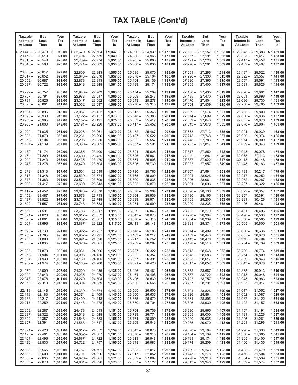| <b>Taxable</b>                                                                   | <b>But</b>                 | Your                                         | <b>Taxable</b>                                             | But                                  | Your                                           | <b>Taxable</b>                                                            | But                                  | Your                                           | <b>Taxable</b>                                              | But                                  | Your                                           | <b>Taxable</b>                                                                   | But                                  | Your                                           |
|----------------------------------------------------------------------------------|----------------------------|----------------------------------------------|------------------------------------------------------------|--------------------------------------|------------------------------------------------|---------------------------------------------------------------------------|--------------------------------------|------------------------------------------------|-------------------------------------------------------------|--------------------------------------|------------------------------------------------|----------------------------------------------------------------------------------|--------------------------------------|------------------------------------------------|
| Income is                                                                        | Less                       | Tax                                          | Income is                                                  | Less                                 | Tax                                            | Income is                                                                 | Less                                 | Tax                                            | Income is                                                   | Less                                 | Tax                                            | Income is                                                                        | Less                                 | Tax                                            |
| At Least                                                                         | Than                       | ls                                           | At Least                                                   | Than                                 | ls                                             | At Least                                                                  | Than                                 | ls                                             | At Least                                                    | Than                                 | ls                                             | At Least                                                                         | Than                                 | ls                                             |
| $20,443 - $20,478$<br>\$<br>20,478 –<br>$20,513-$<br>$20,548-$                   | 20,513<br>20,548<br>20,583 | 919.00<br>\$<br>921.00<br>923.00<br>925.00   | $$22,670 - $22,704$<br>$22,704-$<br>$22,739-$<br>$22,774-$ | 22,739<br>22,774<br>22,809           | \$1,047.00<br>1,049.00<br>1,051.00<br>1,053.00 | $$24,896 - $24,930$<br>$24,930 -$<br>$24.965 -$<br>$25,000 -$             | 24,965<br>25,000<br>25,035           | \$1,175.00<br>1,177.00<br>1,179.00<br>1,181.00 | $$27,122-\$27,157$<br>$27,157-$<br>$27,191 -$<br>$27,226 -$ | 27,191<br>27,226<br>27,261           | \$1,303.00<br>1,305.00<br>1,307.00<br>1,309.00 | $$29,348 - $29,383$<br>$29,383 -$<br>29,417 –<br>$29,452 -$                      | 29,417<br>29,452<br>29,487           | \$1,431.00<br>1,433.00<br>1,435.00<br>1,437.00 |
| $20,583 -$                                                                       | 20,617                     | 927.00                                       | $22,809-$                                                  | 22,843                               | 1,055.00                                       | $25,035 -$                                                                | 25,070                               | 1,183.00                                       | $27,261 -$                                                  | 27,296                               | 1,311.00                                       | $29,487-$                                                                        | 29,522                               | 1,439.00                                       |
| $20,617-$                                                                        | 20,652                     | 929.00                                       | $22,843-$                                                  | 22,878                               | 1,057.00                                       | $25,070-$                                                                 | 25,104                               | 1,185.00                                       | $27,296-$                                                   | 27,330                               | 1,313.00                                       | $29,522 -$                                                                       | 29,557                               | 1,441.00                                       |
| $20,652 -$                                                                       | 20,687                     | 931.00                                       | $22,878-$                                                  | 22,913                               | 1,059.00                                       | $25,104-$                                                                 | 25,139                               | 1,187.00                                       | $27,330 -$                                                  | 27,365                               | 1,315.00                                       | $29,557 -$                                                                       | 29,591                               | 1,443.00                                       |
| $20,687-$                                                                        | 20,722                     | 933.00                                       | $22,913 -$                                                 | 22,948                               | 1,061.00                                       | $25,139-$                                                                 | 25,174                               | 1,189.00                                       | $27,365 -$                                                  | 27,400                               | 1,317.00                                       | $29,591 -$                                                                       | 29,626                               | 1,445.00                                       |
| $20,722 -$                                                                       | 20,757                     | 935.00                                       | $22,948 -$                                                 | 22,983                               | 1,063.00                                       | $25,174-$                                                                 | 25,209                               | 1,191.00                                       | $27,400 -$                                                  | 27,435                               | 1.319.00                                       | 29,626 –                                                                         | 29,661                               | 1,447.00                                       |
| $20,757-$                                                                        | 20,791                     | 937.00                                       | $22,983 -$                                                 | 23,017                               | 1,065.00                                       | $25,209-$                                                                 | 25,243                               | 1,193.00                                       | $27,435-$                                                   | 27,470                               | 1,321.00                                       | $29,661 -$                                                                       | 29,696                               | 1,449.00                                       |
| $20,791 -$                                                                       | 20,826                     | 939.00                                       | $23,017-$                                                  | 23,052                               | 1,067.00                                       | $25,243-$                                                                 | 25,278                               | 1,195.00                                       | $27,470-$                                                   | 27,504                               | 1,323.00                                       | $29,696-$                                                                        | 29,730                               | 1,451.00                                       |
| $20,826 -$                                                                       | 20,861                     | 941.00                                       | $23,052-$                                                  | 23,087                               | 1,069.00                                       | $25,278-$                                                                 | 25,313                               | 1,197.00                                       | $27,504-$                                                   | 27,539                               | 1,325.00                                       | $29,730-$                                                                        | 29,765                               | 1,453.00                                       |
| $20,861 -$                                                                       | 20,896                     | 943.00                                       | $23,087-$                                                  | 23,122                               | 1,071.00                                       | $25,313 -$                                                                | 25,348                               | 1,199.00                                       | $27,539-$                                                   | 27,574                               | 1,327.00                                       | $29,765 -$                                                                       | 29,800                               | 1,455.00                                       |
| $20,896 -$                                                                       | 20,930                     | 945.00                                       | $23,122-$                                                  | 23,157                               | 1,073.00                                       | $25,348-$                                                                 | 25,383                               | 1,201.00                                       | $27,574-$                                                   | 27,609                               | 1,329.00                                       | $29,800 -$                                                                       | 29,835                               | 1,457.00                                       |
| $20,930 -$                                                                       | 20,965                     | 947.00                                       | $23,157-$                                                  | 23,191                               | 1,075.00                                       | $25,383 -$                                                                | 25,417                               | 1,203.00                                       | $27,609-$                                                   | 27,643                               | 1,331.00                                       | $29,835 -$                                                                       | 29,870                               | 1,459.00                                       |
| $20,965 -$                                                                       | 21,000                     | 949.00                                       | $23,191 -$                                                 | 23,226                               | 1,077.00                                       | $25,417-$                                                                 | 25,452                               | 1,205.00                                       | $27,643-$                                                   | 27,678                               | 1,333.00                                       | $29,870-$                                                                        | 29,904                               | 1,461.00                                       |
| $21,000 -$                                                                       | 21.035                     | 951.00                                       | $23,226 -$                                                 | 23,261                               | 1,079.00                                       | $25,452-$                                                                 | 25,487                               | 1,207.00                                       | $27,678-$                                                   | 27,713                               | 1.335.00                                       | $29,904 -$                                                                       | 29,939                               | 1,463.00                                       |
| $21,035 -$                                                                       | 21,070                     | 953.00                                       | $23,261 -$                                                 | 23,296                               | 1,081.00                                       | $25,487-$                                                                 | 25,522                               | 1,209.00                                       | $27,713-$                                                   | 27,748                               | 1,337.00                                       | $29,939-$                                                                        | 29,974                               | 1,465.00                                       |
| $21,070 -$                                                                       | 21,104                     | 955.00                                       | $23,296-$                                                  | 23,330                               | 1,083.00                                       | $25,522 -$                                                                | 25,557                               | 1,211.00                                       | $27,748-$                                                   | 27,783                               | 1,339.00                                       | $29,974-$                                                                        | 30,009                               | 1,467.00                                       |
| 21,104 –                                                                         | 21,139                     | 957.00                                       | $23,330 -$                                                 | 23,365                               | 1,085.00                                       | $25,557-$                                                                 | 25,591                               | 1,213.00                                       | $27,783-$                                                   | 27,817                               | 1,341.00                                       | $30,009 -$                                                                       | 30,043                               | 1,469.00                                       |
| $21,139-$                                                                        | 21,174                     | 959.00                                       | $23,365 -$                                                 | 23,400                               | 1,087.00                                       | $25.591 -$                                                                | 25,626                               | 1,215.00                                       | $27,817-$                                                   | 27,852                               | 1,343.00                                       | $30,043 -$                                                                       | 30,078                               | 1,471.00                                       |
| $21,174-$                                                                        | 21,209                     | 961.00                                       | $23,400 -$                                                 | 23,435                               | 1,089.00                                       | $25,626-$                                                                 | 25,661                               | 1,217.00                                       | $27,852-$                                                   | 27,887                               | 1,345.00                                       | $30,078-$                                                                        | 30,113                               | 1,473.00                                       |
| $21,209-$                                                                        | 21,243                     | 963.00                                       | $23,435 -$                                                 | 23,470                               | 1,091.00                                       | $25,661-$                                                                 | 25,696                               | 1,219.00                                       | $27,887-$                                                   | 27,922                               | 1,347.00                                       | $30,113 -$                                                                       | 30,148                               | 1,475.00                                       |
| $21,243-$                                                                        | 21,278                     | 965.00                                       | $23,470-$                                                  | 23,504                               | 1,093.00                                       | $25,696-$                                                                 | 25,730                               | 1,221.00                                       | $27,922 -$                                                  | 27,957                               | 1,349.00                                       | $30,148 -$                                                                       | 30,183                               | 1,477.00                                       |
| $21,278-$                                                                        | 21,313                     | 967.00                                       | $23,504-$                                                  | 23,539                               | 1,095.00                                       | $25,730 -$                                                                | 25,765                               | 1,223.00                                       | $27.957 -$                                                  | 27,991                               | 1.351.00                                       | $30,183 -$                                                                       | 30,217                               | 1.479.00                                       |
| $21,313-$                                                                        | 21,348                     | 969.00                                       | $23,539-$                                                  | 23,574                               | 1,097.00                                       | $25,765-$                                                                 | 25,800                               | 1,225.00                                       | $27,991 -$                                                  | 28,026                               | 1,353.00                                       | $30,217-$                                                                        | 30,252                               | 1,481.00                                       |
| $21,348 -$                                                                       | 21,383                     | 971.00                                       | $23,574-$                                                  | 23,609                               | 1,099.00                                       | $25,800 -$                                                                | 25,835                               | 1,227.00                                       | $28,026-$                                                   | 28,061                               | 1,355.00                                       | $30,252 -$                                                                       | 30,287                               | 1,483.00                                       |
| 21,383 –                                                                         | 21,417                     | 973.00                                       | $23,609-$                                                  | 23,643                               | 1,101.00                                       | $25,835-$                                                                 | 25,870                               | 1,229.00                                       | $28,061 -$                                                  | 28,096                               | 1,357.00                                       | $30,287 -$                                                                       | 30,322                               | 1,485.00                                       |
| $21,417-$                                                                        | 21,452                     | 975.00                                       | $23,643 -$                                                 | 23,678                               | 1,103.00                                       | $25,870-$                                                                 | 25,904                               | 1,231.00                                       | $28,096-$                                                   | 28,130                               | 1,359.00                                       | $30,322 -$                                                                       | 30,357                               | 1,487.00                                       |
| $21,452-$                                                                        | 21,487                     | 977.00                                       | $23,678-$                                                  | 23,713                               | 1,105.00                                       | $25,904-$                                                                 | 25,939                               | 1,233.00                                       | $28,130-$                                                   | 28,165                               | 1,361.00                                       | $30,357 -$                                                                       | 30,391                               | 1,489.00                                       |
| $21,487-$                                                                        | 21,522                     | 979.00                                       | $23,713-$                                                  | 23,748                               | 1,107.00                                       | $25,939-$                                                                 | 25,974                               | 1,235.00                                       | $28,165-$                                                   | 28,200                               | 1,363.00                                       | $30,391 -$                                                                       | 30,426                               | 1,491.00                                       |
| $21,522 -$                                                                       | 21,557                     | 981.00                                       | $23,748-$                                                  | 23,783                               | 1,109.00                                       | $25,974-$                                                                 | 26,009                               | 1,237.00                                       | $28,200 -$                                                  | 28,235                               | 1,365.00                                       | $30,426 -$                                                                       | 30,461                               | 1,493.00                                       |
| $21,557-$                                                                        | 21,591                     | 983.00                                       | $23,783-$                                                  | 23,817                               | 1,111.00                                       | $26,009-$                                                                 | 26,043                               | 1,239.00                                       | $28,235 -$                                                  | 28,270                               | 1,367.00                                       | $30,461 -$                                                                       | 30,496                               | 1,495.00                                       |
| $21,591 -$                                                                       | 21,626                     | 985.00                                       | $23,817-$                                                  | 23,852                               | 1,113.00                                       | $26,043-$                                                                 | 26,078                               | 1,241.00                                       | $28,270-$                                                   | 28,304                               | 1,369.00                                       | $30,496-$                                                                        | 30,530                               | 1,497.00                                       |
| 21,626 –                                                                         | 21,661                     | 987.00                                       | $23,852-$                                                  | 23,887                               | 1,115.00                                       | $26,078-$                                                                 | 26,113                               | 1,243.00                                       | $28,304-$                                                   | 28,339                               | 1,371.00                                       | $30,530 -$                                                                       | 30,565                               | 1,499.00                                       |
| $21,661 -$                                                                       | 21,696                     | 989.00                                       | $23,887-$                                                  | 23,922                               | 1,117.00                                       | $26,113-$                                                                 | 26,148                               | 1,245.00                                       | $28,339-$                                                   | 28,374                               | 1,373.00                                       | $30,565 -$                                                                       | 30,600                               | 1,501.00                                       |
| $21,696-$                                                                        | 21,730                     | 991.00                                       | $23,922 -$                                                 | 23,957                               | 1,119.00                                       | $26,148-$                                                                 | 26,183                               | 1,247.00                                       | $28.374 -$                                                  | 28,409                               | 1,375.00                                       | $30,600 -$                                                                       | 30,635                               | 1,503.00                                       |
| $21,730 -$                                                                       | 21,765                     | 993.00                                       | $23,957-$                                                  | 23,991                               | 1,121.00                                       | $26,183-$                                                                 | 26,217                               | 1,249.00                                       | $28,409-$                                                   | 28,443                               | 1,377.00                                       | $30,635 -$                                                                       | 30,670                               | 1,505.00                                       |
| $21,765 -$                                                                       | 21,800                     | 995.00                                       | $23,991 -$                                                 | 24,026                               | 1,123.00                                       | $26,217-$                                                                 | 26,252                               | 1,251.00                                       | $28,443-$                                                   | 28,478                               | 1,379.00                                       | $30,670 -$                                                                       | 30,704                               | 1,507.00                                       |
| $21,800 -$                                                                       | 21,835                     | 997.00                                       | $24,026 -$                                                 | 24,061                               | 1,125.00                                       | $26,252-$                                                                 | 26,287                               | 1,253.00                                       | $28,478-$                                                   | 28,513                               | 1,381.00                                       | $30,704 -$                                                                       | 30,739                               | 1,509.00                                       |
| $21,835 -$<br>21,870 - 21,904<br>$21,904 - 21,939$<br>21,939 - 21,974            | 21,870                     | 999.00<br>1,001.00<br>1,003.00<br>1,005.00   | $24,061 -$<br>$24,096 - 24,130$<br>$24,130-$<br>$24,165-$  | 24,096<br>24,165<br>24,200           | 1,127.00<br>1,129.00<br>1,131.00<br>1,133.00   | $26,287-$<br>$26,322 -$<br>$26,357 -$<br>$26,391 -$                       | 26,322<br>26,357<br>26,391<br>26,426 | 1,255.00<br>1,257.00<br>1,259.00<br>1,261.00   | $28,513-$<br>$28,548-$<br>$28,583-$<br>$28,617-$            | 28,548<br>28,583<br>28,617<br>28,652 | 1,383.00<br>1,385.00<br>1,387.00<br>1,389.00   | $30,739-$<br>$30,774 -$<br>$30,809-$<br>$30,843 -$                               | 30,774<br>30,809<br>30,843<br>30,878 | 1,511.00<br>1,513.00<br>1,515.00<br>1,517.00   |
| $21,974 - 22,009$<br>$22,009 - 22,043$<br>$22,043 - 22,078$<br>$22,078-$         | 22,113                     | 1,007.00<br>1,009.00<br>1,011.00<br>1,013.00 | $24,200 -$<br>$24,235 -$<br>$24,270-$<br>$24,304-$         | 24,235<br>24,270<br>24,304<br>24,339 | 1,135.00<br>1,137.00<br>1,139.00<br>1,141.00   | $26,426-$<br>$26,461-$<br>$26,496-$<br>$26,530 -$                         | 26,461<br>26,496<br>26,530<br>26,565 | 1,263.00<br>1,265.00<br>1,267.00<br>1,269.00   | $28,652-$<br>$28,687-$<br>$28,722 -$<br>$28,757-$           | 28,687<br>28.722<br>28,757<br>28,791 | 1,391.00<br>1,393.00<br>1,395.00<br>1,397.00   | $30,878-$<br>$30,913 - 30,948$<br>$30,948 -$<br>$30,983 - 31,017$                | 30,913<br>30,983                     | 1,519.00<br>1,521.00<br>1,523.00<br>1,525.00   |
| $22,113 - 22,148$<br>$22,148 - 22,183$<br>$22,183 - 22,217$<br>$22,217 - 22,252$ |                            | 1,015.00<br>1,017.00<br>1,019.00<br>1,021.00 | $24.339 -$<br>$24,374-$<br>$24,409-$<br>$24,443-$          | 24,374<br>24,409<br>24,443<br>24,478 | 1,143.00<br>1,145.00<br>1,147.00<br>1,149.00   | $26,565 -$<br>$26,600 -$<br>$26,635 -$<br>$26,670 -$                      | 26,600<br>26,635<br>26,670<br>26,704 | 1,271.00<br>1,273.00<br>1,275.00<br>1,277.00   | $28,791 -$<br>$28,826-$<br>$28,861 -$<br>$28,896-$          | 28,826<br>28,861<br>28,896<br>28,930 | 1,399.00<br>1,401.00<br>1,403.00<br>1,405.00   | $31,017 - 31,052$<br>$31,052 - 31,087$<br>$31,087 - 31,122$<br>$31,122 - 31,157$ |                                      | 1,527.00<br>1,529.00<br>1,531.00<br>1,533.00   |
| $22,252 - 22,287$<br>$22,287 - 22,322$<br>$22,322 - 22,357$<br>$22,357 -$        | 22,391                     | 1,023.00<br>1,025.00<br>1,027.00<br>1,029.00 | $24,478-$<br>$24,513-$<br>$24,548-$<br>$24,583 -$          | 24,513<br>24,548<br>24,583<br>24,617 | 1,151.00<br>1,153.00<br>1,155.00<br>1,157.00   | $26,704-$<br>$26,739-$<br>$26,774-$<br>$26,809-$                          | 26,739<br>26,774<br>26,809<br>26,843 | 1,279.00<br>1,281.00<br>1,283.00<br>1,285.00   | $28,930 -$<br>$28,965 -$<br>$29,000 -$<br>$29,035 -$        | 28,965<br>29,000<br>29,035<br>29,070 | 1,407.00<br>1,409.00<br>1,411.00<br>1,413.00   | $31,157 - 31,191$<br>$31,191 - 31,226$<br>$31,226 - 31,261$<br>$31,261 - 31,296$ |                                      | 1,535.00<br>1,537.00<br>1,539.00<br>1,541.00   |
| 22,391 –<br>$22,426-$<br>$22,461-$<br>$22,496 - 22,530$                          | 22,426<br>22,461<br>22,496 | 1,031.00<br>1,033.00<br>1,035.00<br>1,037.00 | $24,617-$<br>$24,652-$<br>$24,687-$<br>$24,722 -$          | 24,652<br>24,687<br>24,722<br>24,757 | 1,159.00<br>1,161.00<br>1,163.00<br>1,165.00   | $26,843-$<br>$26,878-$<br>$26,913-$<br>$26,948-$                          | 26,878<br>26,913<br>26,948<br>26,983 | 1,287.00<br>1,289.00<br>1,291.00<br>1,293.00   | $29,070-$<br>$29,104-$<br>$29,139-$<br>$29,174-$            | 29,104<br>29,139<br>29,174<br>29,209 | 1,415.00<br>1,417.00<br>1,419.00<br>1,421.00   | $31,296 - 31,330$<br>$31,330 - 31,365$<br>$31,365 - 31,400$<br>$31,400 - 31,435$ |                                      | 1,543.00<br>1,545.00<br>1,547.00<br>1,549.00   |
| 22,530 –<br>$22,565 - 22,600$<br>$22,600 - 22,635$<br>$22,635 - 22,670$          | 22,565                     | 1,039.00<br>1,041.00<br>1,043.00<br>1,045.00 | $24,757-$<br>$24,791 -$<br>$24,826 -$<br>$24,861-$         | 24,791<br>24,826<br>24,861<br>24,896 | 1,167.00<br>1,169.00<br>1,171.00<br>1,173.00   | $26,983 -$<br>$27,017 - 27,052$<br>$27,052 - 27,087$<br>$27,087 - 27,122$ | 27,017                               | 1,295.00<br>1,297.00<br>1,299.00<br>1,301.00   | $29,209-$<br>$29,243-$<br>$29,278-$<br>$29,313-$            | 29,243<br>29,278<br>29,313<br>29,348 | 1,423.00<br>1,425.00<br>1,427.00<br>1,429.00   | $31,435 - 31,470$<br>$31,470 - 31,504$<br>$31,504 - 31,539$<br>$31,539 - 31,574$ |                                      | 1,551.00<br>1,553.00<br>1,555.00<br>1,557.00   |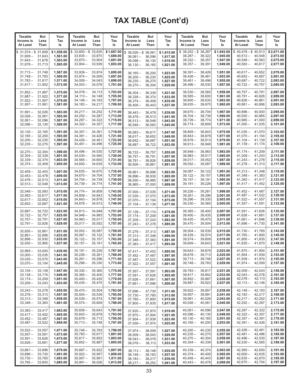| <b>Taxable</b>                                                   | But                                  | Your                                           | Taxable                                                      | But                                  | Your                                           | <b>Taxable</b>                                                                   | But                        | Your                                           | <b>Taxable</b>                                                | But                                  | Your                                           | <b>Taxable</b>                                                           | But                        | Your                                           |
|------------------------------------------------------------------|--------------------------------------|------------------------------------------------|--------------------------------------------------------------|--------------------------------------|------------------------------------------------|----------------------------------------------------------------------------------|----------------------------|------------------------------------------------|---------------------------------------------------------------|--------------------------------------|------------------------------------------------|--------------------------------------------------------------------------|----------------------------|------------------------------------------------|
| Income is                                                        | Less                                 | Tax                                            | Income is                                                    | Less                                 | Tax                                            | Income is                                                                        | Less                       | Tax                                            | Income is                                                     | Less                                 | Tax                                            | Income is                                                                | Less                       | Tax                                            |
| At Least                                                         | Than                                 | ls                                             | At Least                                                     | Than                                 | ls                                             | At Least                                                                         | Than                       | ls                                             | At Least                                                      | Than                                 | ls                                             | At Least                                                                 | Than                       | ls                                             |
| $31,574 - $31,609$<br>\$<br>$31,609-$<br>$31,643 -$<br>$31,678-$ | 31,643<br>31,678<br>31,713           | \$1,559.00<br>1,561.00<br>1,563.00<br>1,565.00 | $$33,800 - $33,835$<br>$33,835 -$<br>$33,870-$<br>$33,904 -$ | 33,870<br>33,904<br>33,939           | \$1,687.00<br>1,689.00<br>1,691.00<br>1,693.00 | $$36,026 - $36,061$<br>$36,061 -$<br>$36,096 -$<br>$36,130 -$                    | 36,096<br>36,130<br>36,165 | \$1,815.00<br>1,817.00<br>1,819.00<br>1,821.00 | $$38,252 - $38,287$<br>$38,287 -$<br>$38,322 -$<br>$38,357 -$ | 38,322<br>38,357<br>38,391           | \$1,943.00<br>1,945.00<br>1,947.00<br>1,949.00 | $$40,478 - $40,513$<br>$40,513-$<br>$40,548-$<br>$40,583-$               | 40,548<br>40,583<br>40,617 | \$2,071.00<br>2,073.00<br>2,075.00<br>2,077.00 |
| $31,713 -$                                                       | 31,748                               | 1,567.00                                       | $33,939 -$                                                   | 33,974                               | 1,695.00                                       | $36,165 -$                                                                       | 36,200                     | 1,823.00                                       | $38,391 -$                                                    | 38,426                               | 1,951.00                                       | $40,617-$                                                                | 40,652                     | 2,079.00                                       |
| $31,748 -$                                                       | 31,783                               | 1,569.00                                       | $33,974-$                                                    | 34,009                               | 1,697.00                                       | $36,200 -$                                                                       | 36,235                     | 1,825.00                                       | $38,426 -$                                                    | 38,461                               | 1,953.00                                       | $40,652 -$                                                               | 40,687                     | 2,081.00                                       |
| $31,783 -$                                                       | 31,817                               | 1,571.00                                       | $34,009-$                                                    | 34,043                               | 1,699.00                                       | $36,235 -$                                                                       | 36,270                     | 1,827.00                                       | $38,461 -$                                                    | 38,496                               | 1,955.00                                       | $40,687-$                                                                | 40,722                     | 2,083.00                                       |
| $31,817 -$                                                       | 31,852                               | 1,573.00                                       | $34,043-$                                                    | 34,078                               | 1,701.00                                       | $36,270 -$                                                                       | 36,304                     | 1,829.00                                       | $38,496 -$                                                    | 38,530                               | 1,957.00                                       | $40,722 -$                                                               | 40,757                     | 2,085.00                                       |
| $31,852 -$                                                       | 31,887                               | 1,575.00                                       | $34,078-$                                                    | 34,113                               | 1.703.00                                       | $36,304 -$                                                                       | 36,339                     | 1,831.00                                       | $38,530 -$                                                    | 38,565                               | 1,959.00                                       | $40,757-$                                                                | 40,791                     | 2,087.00                                       |
| $31,887 -$                                                       | 31,922                               | 1,577.00                                       | $34,113 -$                                                   | 34,148                               | 1,705.00                                       | $36,339 -$                                                                       | 36,374                     | 1,833.00                                       | $38,565 -$                                                    | 38.600                               | 1.961.00                                       | $40,791 -$                                                               | 40,826                     | 2,089.00                                       |
| $31,922 -$                                                       | 31,957                               | 1,579.00                                       | $34,148-$                                                    | 34,183                               | 1,707.00                                       | $36.374 -$                                                                       | 36,409                     | 1,835.00                                       | $38,600 -$                                                    | 38,635                               | 1,963.00                                       | $40,826 -$                                                               | 40,861                     | 2,091.00                                       |
| $31,957 -$                                                       | 31,991                               | 1,581.00                                       | $34,183 -$                                                   | 34,217                               | 1,709.00                                       | $36,409-$                                                                        | 36,443                     | 1,837.00                                       | $38,635 -$                                                    | 38,670                               | 1,965.00                                       | $40,861 -$                                                               | 40,896                     | 2,093.00                                       |
| $31,991 -$                                                       | 32,026                               | 1,583.00                                       | $34,217-$                                                    | 34,252                               | 1,711.00                                       | $36,443 -$                                                                       | 36,478                     | 1,839.00                                       | $38,670 -$                                                    | 38,704                               | 1,967.00                                       | $40,896-$                                                                | 40,930                     | 2,095.00                                       |
| $32,026 -$                                                       | 32,061                               | 1,585.00                                       | $34,252 -$                                                   | 34,287                               | 1,713.00                                       | $36,478-$                                                                        | 36,513                     | 1,841.00                                       | $38,704-$                                                     | 38,739                               | 1,969.00                                       | $40,930 -$                                                               | 40,965                     | 2,097.00                                       |
| $32,061 -$                                                       | 32,096                               | 1,587.00                                       | $34,287 -$                                                   | 34,322                               | 1,715.00                                       | $36,513 -$                                                                       | 36,548                     | 1,843.00                                       | $38,739-$                                                     | 38,774                               | 1,971.00                                       | $40,965 -$                                                               | 41,000                     | 2,099.00                                       |
| $32,096-$                                                        | 32,130                               | 1,589.00                                       | $34,322 -$                                                   | 34,357                               | 1,717.00                                       | $36,548-$                                                                        | 36,583                     | 1,845.00                                       | $38,774-$                                                     | 38,809                               | 1,973.00                                       | $41,000 -$                                                               | 41,035                     | 2,101.00                                       |
| $32,130 -$                                                       | 32,165                               | 1,591.00                                       | $34,357 -$                                                   | 34,391                               | 1,719.00                                       | $36,583 -$                                                                       | 36,617                     | 1,847.00                                       | $38,809 -$                                                    | 38,843                               | 1,975.00                                       | $41,035-$                                                                | 41,070                     | 2,103.00                                       |
| $32,165 -$                                                       | 32,200                               | 1,593.00                                       | $34,391 -$                                                   | 34,426                               | 1,721.00                                       | $36,617-$                                                                        | 36,652                     | 1,849.00                                       | $38,843 -$                                                    | 38,878                               | 1,977.00                                       | $41,070-$                                                                | 41,104                     | 2,105.00                                       |
| $32,200 -$                                                       | 32,235                               | 1,595.00                                       | $34,426 -$                                                   | 34,461                               | 1,723.00                                       | $36,652 -$                                                                       | 36,687                     | 1,851.00                                       | $38,878-$                                                     | 38,913                               | 1,979.00                                       | $41,104-$                                                                | 41,139                     | 2,107.00                                       |
| $32,235 -$                                                       | 32,270                               | 1,597.00                                       | $34,461 -$                                                   | 34,496                               | 1,725.00                                       | $36.687 -$                                                                       | 36,722                     | 1,853.00                                       | $38,913 -$                                                    | 38,948                               | 1,981.00                                       | $41,139-$                                                                | 41,174                     | 2,109.00                                       |
| $32,270-$                                                        | 32,304                               | 1,599.00                                       | $34,496-$                                                    | 34,530                               | 1,727.00                                       | $36,722 -$                                                                       | 36,757                     | 1,855.00                                       | $38,948 -$                                                    | 38,983                               | 1,983.00                                       | $41,174-$                                                                | 41,209                     | 2,111.00                                       |
| $32,304 -$                                                       | 32,339                               | 1,601.00                                       | $34,530 -$                                                   | 34,565                               | 1,729.00                                       | $36,757 -$                                                                       | 36,791                     | 1.857.00                                       | $38,983 -$                                                    | 39,017                               | 1,985.00                                       | $41,209-$                                                                | 41,243                     | 2,113.00                                       |
| $32.339 -$                                                       | 32,374                               | 1,603.00                                       | $34,565 -$                                                   | 34,600                               | 1,731.00                                       | $36,791 -$                                                                       | 36,826                     | 1,859.00                                       | $39,017 -$                                                    | 39,052                               | 1,987.00                                       | $41,243-$                                                                | 41.278                     | 2,115.00                                       |
| $32,374-$                                                        | 32,409                               | 1,605.00                                       | $34,600 -$                                                   | 34,635                               | 1,733.00                                       | $36,826 -$                                                                       | 36,861                     | 1,861.00                                       | $39,052 -$                                                    | 39,087                               | 1,989.00                                       | $41,278-$                                                                | 41,313                     | 2,117.00                                       |
| $32,409-$                                                        | 32,443                               | 1,607.00                                       | $34,635 -$                                                   | 34,670                               | 1,735.00                                       | $36,861 -$                                                                       | 36,896                     | 1,863.00                                       | $39,087 -$                                                    | 39.122                               | 1,991.00                                       | $41.313 -$                                                               | 41,348                     | 2,119.00                                       |
| $32,443 -$                                                       | 32,478                               | 1,609.00                                       | $34,670-$                                                    | 34,704                               | 1,737.00                                       | $36,896-$                                                                        | 36,930                     | 1,865.00                                       | $39,122 -$                                                    | 39,157                               | 1,993.00                                       | $41,348 -$                                                               | 41,383                     | 2,121.00                                       |
| $32,478-$                                                        | 32,513                               | 1,611.00                                       | $34,704-$                                                    | 34,739                               | 1,739.00                                       | $36,930 -$                                                                       | 36,965                     | 1,867.00                                       | $39,157 -$                                                    | 39,191                               | 1,995.00                                       | $41,383 -$                                                               | 41,417                     | 2,123.00                                       |
| $32,513-$                                                        | 32,548                               | 1,613.00                                       | $34,739-$                                                    | 34,774                               | 1,741.00                                       | $36,965 -$                                                                       | 37,000                     | 1,869.00                                       | 39,191 –                                                      | 39,226                               | 1,997.00                                       | $41,417-$                                                                | 41,452                     | 2,125.00                                       |
| $32,548 -$                                                       | 32,583                               | 1,615.00                                       | $34,774-$                                                    | 34,809                               | 1,743.00                                       | $37,000 -$                                                                       | 37,035                     | 1,871.00                                       | $39,226 -$                                                    | 39,261                               | 1,999.00                                       | $41,452 -$                                                               | 41,487                     | 2,127.00                                       |
| $32,583 -$                                                       | 32,617                               | 1,617.00                                       | $34,809-$                                                    | 34,843                               | 1,745.00                                       | $37,035 -$                                                                       | 37,070                     | 1,873.00                                       | $39,261 -$                                                    | 39,296                               | 2,001.00                                       | $41,487 -$                                                               | 41,522                     | 2,129.00                                       |
| $32,617-$                                                        | 32,652                               | 1,619.00                                       | $34,843 -$                                                   | 34,878                               | 1,747.00                                       | $37,070 -$                                                                       | 37,104                     | 1,875.00                                       | $39,296 -$                                                    | 39,330                               | 2,003.00                                       | $41,522 -$                                                               | 41,557                     | 2,131.00                                       |
| $32,652-$                                                        | 32,687                               | 1,621.00                                       | $34,878-$                                                    | 34,913                               | 1,749.00                                       | $37,104 -$                                                                       | 37,139                     | 1,877.00                                       | $39,330 -$                                                    | 39,365                               | 2,005.00                                       | $41,557-$                                                                | 41,591                     | 2,133.00                                       |
| $32,687-$                                                        | 32,722                               | 1,623.00                                       | $34,913 -$                                                   | 34,948                               | 1,751.00                                       | $37,139-$                                                                        | 37,174                     | 1,879.00                                       | $39,365 -$                                                    | 39,400                               | 2,007.00                                       | $41,591 -$                                                               | 41,626                     | 2,135.00                                       |
| $32,722 -$                                                       | 32,757                               | 1,625.00                                       | $34,948 -$                                                   | 34,983                               | 1,753.00                                       | $37,174-$                                                                        | 37,209                     | 1,881.00                                       | $39,400 -$                                                    | 39,435                               | 2,009.00                                       | $41,626 -$                                                               | 41,661                     | 2,137.00                                       |
| $32,757 -$                                                       | 32,791                               | 1,627.00                                       | $34,983 -$                                                   | 35,017                               | 1,755.00                                       | $37,209 -$                                                                       | 37,243                     | 1,883.00                                       | $39,435 -$                                                    | 39,470                               | 2,011.00                                       | $41,661 -$                                                               | 41,696                     | 2,139.00                                       |
| $32,791 -$                                                       | 32,826                               | 1,629.00                                       | $35,017-$                                                    | 35,052                               | 1,757.00                                       | $37,243 -$                                                                       | 37,278                     | 1,885.00                                       | $39,470-$                                                     | 39,504                               | 2,013.00                                       | $41,696-$                                                                | 41,730                     | 2,141.00                                       |
| $32,826 -$                                                       | 32,861                               | 1.631.00                                       | $35,052 -$                                                   | 35,087                               | 1,759.00                                       | $37,278-$                                                                        | 37,313                     | 1,887.00                                       | $39,504 -$                                                    | 39,539                               | 2,015.00                                       | $41,730 -$                                                               | 41,765                     | 2,143.00                                       |
| $32,861 -$                                                       | 32,896                               | 1,633.00                                       | $35,087 -$                                                   | 35,122                               | 1,761.00                                       | $37,313 -$                                                                       | 37,348                     | 1,889.00                                       | $39,539-$                                                     | 39,574                               | 2,017.00                                       | $41,765 -$                                                               | 41,800                     | 2,145.00                                       |
| $32,896-$                                                        | 32,930                               | 1,635.00                                       | $35,122 -$                                                   | 35,157                               | 1,763.00                                       | $37,348 -$                                                                       | 37,383                     | 1,891.00                                       | $39,574 -$                                                    | 39,609                               | 2,019.00                                       | $41,800 -$                                                               | 41,835                     | 2,147.00                                       |
| $32,930 -$                                                       | 32,965                               | 1,637.00                                       | $35,157-$                                                    | 35,191                               | 1,765.00                                       | $37,383 -$                                                                       | 37,417                     | 1,893.00                                       | $39,609 -$                                                    | 39,643                               | 2,021.00                                       | $41,835 -$                                                               | 41,870                     | 2,149.00                                       |
| $32,965 -$                                                       | 33,000                               | 1,639.00                                       | $35,191 -$                                                   | 35,226                               | 1,767.00                                       | $37,417 - 37,452$                                                                |                            | 1,895.00                                       | $39,643-$                                                     | 39,678                               | 2,023.00                                       | $41,870-$                                                                | 41,904                     | 2,151.00                                       |
| $33,000 -$                                                       | 33,035                               | 1,641.00                                       | $35,226 -$                                                   | 35,261                               | 1,769.00                                       | $37,452 - 37,487$                                                                |                            | 1,897.00                                       | $39,678 -$                                                    | 39,713                               | 2,025.00                                       | $41,904-$                                                                | 41,939                     | 2,153.00                                       |
| $33,035 -$                                                       | 33,070                               | 1,643.00                                       | $35,261 -$                                                   | 35,296                               | 1,771.00                                       | $37,487 - 37,522$                                                                |                            | 1,899.00                                       | $39,713 -$                                                    | 39,748                               | 2,027.00                                       | $41,939-$                                                                | 41,974                     | 2,155.00                                       |
| $33,070-$                                                        | 33,104                               | 1,645.00                                       | $35,296-$                                                    | 35,330                               | 1,773.00                                       | $37,522 - 37,557$                                                                |                            | 1,901.00                                       | $39,748 -$                                                    | 39,783                               | 2,029.00                                       | $41,974-$                                                                | 42,009                     | 2,157.00                                       |
| $33,104-$<br>$33,139-$<br>$33,174-$<br>$33,209-$                 | 33,139<br>33,174<br>33,209<br>33,243 | 1,647.00<br>1,649.00<br>1,651.00<br>1,653.00   | $35,330 -$<br>$35,365 -$<br>$35,400 -$<br>$35,435 -$         | 35,365<br>35,400<br>35,435<br>35,470 | 1,775.00<br>1,777.00<br>1,779.00<br>1,781.00   | $37,557 - 37,591$<br>$37,591 - 37,626$<br>$37,626 - 37,661$<br>$37,661 - 37,696$ |                            | 1.903.00<br>1,905.00<br>1.907.00<br>1,909.00   | $39,783 -$<br>$39,817 -$<br>$39,852 -$<br>$39,887 -$          | 39,817<br>39,852<br>39,887<br>39,922 | 2,031.00<br>2,033.00<br>2,035.00<br>2,037.00   | $42,009-$<br>$42,043 - 42,078$<br>$42,078 - 42,113$<br>42,113 —          | 42,043<br>42,148           | 2,159.00<br>2,161.00<br>2,163.00<br>2,165.00   |
| $33,243-$<br>$33,278-$<br>$33,313 -$<br>$33,348 -$               | 33,278<br>33,313<br>33,348<br>33,383 | 1,655.00<br>1,657.00<br>1,659.00<br>1,661.00   | $35,470 -$<br>$35,504 -$<br>$35,539-$<br>$35,574-$           | 35,504<br>35,539<br>35,574<br>35,609 | 1,783.00<br>1,785.00<br>1,787.00<br>1,789.00   | $37,696 -$<br>$37,730 - 37,765$<br>$37,765 - 37,800$<br>$37,800 -$               | 37,730<br>37,835           | 1,911.00<br>1,913.00<br>1,915.00<br>1,917.00   | $39,922 -$<br>$39,957 -$<br>$39,991 -$<br>$40,026 -$          | 39,957<br>39,991<br>40,026<br>40,061 | 2,039.00<br>2,041.00<br>2,043.00<br>2,045.00   | $42,148 - 42,183$<br>$42,183 - 42,217$<br>$42,217-$<br>$42,252 -$        | 42,252<br>42,287           | 2,167.00<br>2,169.00<br>2,171.00<br>2,173.00   |
| $33,383 -$<br>$33,417-$<br>$33,452 -$<br>$33,487-$               | 33,417<br>33,452<br>33,487<br>33,522 | 1,663.00<br>1,665.00<br>1,667.00<br>1,669.00   | $35,609-$<br>$35,643 -$<br>$35,678-$<br>$35,713-$            | 35,643<br>35,678<br>35,713<br>35,748 | 1,791.00<br>1,793.00<br>1,795.00<br>1,797.00   | $37,835 - 37,870$<br>$37,870 - 37,904$<br>$37,904 - 37,939$<br>$37,939 -$        | 37,974                     | 1,919.00<br>1,921.00<br>1,923.00<br>1,925.00   | $40,061 -$<br>$40,096-$<br>$40,130 -$<br>$40,165 -$           | 40,096<br>40,130<br>40,165<br>40,200 | 2,047.00<br>2,049.00<br>2,051.00<br>2,053.00   | $42,287-$<br>$42,322 -$<br>$42,357 - 42,391$<br>$42,391 -$               | 42,322<br>42,357<br>42,426 | 2,175.00<br>2,177.00<br>2,179.00<br>2,181.00   |
| $33,522 -$<br>$33,557-$<br>$33,591 -$<br>$33,626 -$              | 33,557<br>33,591<br>33,626<br>33,661 | 1,671.00<br>1,673.00<br>1,675.00<br>1,677.00   | $35,748 -$<br>$35,783-$<br>$35,817 -$<br>$35,852 -$          | 35,783<br>35,817<br>35,852<br>35,887 | 1,799.00<br>1,801.00<br>1,803.00<br>1,805.00   | $37,974-$<br>$38,009-$<br>$38,043 - 38,078$<br>$38,078-$                         | 38,009<br>38,043<br>38,113 | 1,927.00<br>1,929.00<br>1,931.00<br>1,933.00   | $40,200 -$<br>$40,235-$<br>$40,270 -$<br>$40,304-$            | 40,235<br>40,270<br>40,304<br>40,339 | 2,055.00<br>2,057.00<br>2,059.00<br>2,061.00   | 42,426 –<br>$42,461-$<br>$42,496 - 42,530$<br>$42,530 - 42,565$          | 42,461<br>42,496           | 2,183.00<br>2,185.00<br>2,187.00<br>2,189.00   |
| $33,661-$<br>$33,696-$<br>$33,730 -$<br>$33,765 -$               | 33,696<br>33,730<br>33,765<br>33,800 | 1,679.00<br>1,681.00<br>1,683.00<br>1,685.00   | $35,887 -$<br>$35,922 -$<br>$35,957 -$<br>$35,991 -$         | 35,922<br>35,957<br>35,991<br>36,026 | 1,807.00<br>1,809.00<br>1,811.00<br>1,813.00   | $38,113 - 38,148$<br>$38,148 - 38,183$<br>$38,183 - 38,217$<br>$38,217 -$        | 38,252                     | 1,935.00<br>1,937.00<br>1,939.00<br>1,941.00   | $40,339-$<br>$40,374-$<br>$40,409-$<br>$40,443-$              | 40,374<br>40,409<br>40,443<br>40,478 | 2,063.00<br>2,065.00<br>2,067.00<br>2,069.00   | $42,565 - 42,600$<br>$42,600 - 42,635$<br>$42,635 - 42,670$<br>$42,670-$ | 42,704                     | 2,191.00<br>2,193.00<br>2,195.00<br>2,197.00   |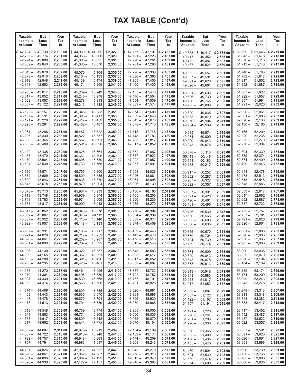| <b>Taxable</b><br>Income is<br>At Least                         | But<br>Less<br>Than                  | Your<br>Tax<br>ls                              | <b>Taxable</b><br>Income is<br>At Least                                          | But<br>Less<br>Than                  | Your<br>Tax<br>ls                              | Taxable<br>Income is<br>At Least                                                   | But<br>Less<br>Than                  | Your<br>Tax<br>ls                              | Taxable<br>Income is<br>At Least                                        | But<br>Less<br>Than                  | Your<br>Tax<br>ls                              | <b>Taxable</b><br>Income is<br>At Least                    | But<br>Less<br>Than                  | Your<br>Tax<br>ls                              |
|-----------------------------------------------------------------|--------------------------------------|------------------------------------------------|----------------------------------------------------------------------------------|--------------------------------------|------------------------------------------------|------------------------------------------------------------------------------------|--------------------------------------|------------------------------------------------|-------------------------------------------------------------------------|--------------------------------------|------------------------------------------------|------------------------------------------------------------|--------------------------------------|------------------------------------------------|
| $42,704 - $42,739$<br>\$<br>$42,739-$<br>$42,774-$<br>$42,809-$ | 42,774<br>42,809<br>42,843           | \$2,199.00<br>2,201.00<br>2,203.00<br>2,205.00 | $$44,930 - $44,965$<br>$44,965 -$<br>$45,000 -$<br>$45,035-$                     | 45,000<br>45,035<br>45,070           | \$2,327.00<br>2,329.00<br>2,331.00<br>2,333.00 | $$47,157 - $47,191$<br>$47,191 - 47,226$<br>$47,226 - 47,261$<br>$47,261 - 47,296$ |                                      | \$2,455.00<br>2,457.00<br>2,459.00<br>2,461.00 | $$49,383-\$49,417$<br>$49,417-$<br>49,452 –<br>$49,487-$                | 49,452<br>49,487<br>49,522           | \$2,583.00<br>2,585.00<br>2,587.00<br>2,589.00 | $$51,609 - $51,643$<br>$51,643-$<br>$51,678-$<br>$51,713-$ | 51,678<br>51,713<br>51,748           | \$2,711.00<br>2,713.00<br>2,715.00<br>2,717.00 |
| $42,843-$<br>$42,878-$<br>$42,913-$<br>$42,948-$                | 42,878<br>42,913<br>42,948<br>42,983 | 2,207.00<br>2,209.00<br>2,211.00<br>2,213.00   | $45,070 -$<br>$45,104-$<br>$45,139-$<br>$45,174-$                                | 45,104<br>45,139<br>45,174<br>45,209 | 2,335.00<br>2,337.00<br>2,339.00<br>2,341.00   | 47,296 –<br>$47,330 -$<br>$47,365 -$<br>47,400 -                                   | 47,330<br>47,365<br>47,400<br>47,435 | 2,463.00<br>2,465.00<br>2,467.00<br>2,469.00   | 49,522 –<br>$49,557 -$<br>$49,591 -$<br>$49,626 -$                      | 49,557<br>49,591<br>49,626<br>49,661 | 2,591.00<br>2,593.00<br>2,595.00<br>2,597.00   | $51,748-$<br>$51,783 -$<br>$51,817-$<br>$51,852 -$         | 51,783<br>51,817<br>51,852<br>51,887 | 2,719.00<br>2,721.00<br>2,723.00<br>2,725.00   |
| $42,983 -$<br>$43,017-$<br>$43,052-$<br>$43,087-$               | 43,017<br>43,052<br>43,087<br>43,122 | 2,215.00<br>2,217.00<br>2,219.00<br>2,221.00   | $45,209-$<br>$45,243-$<br>$45,278-$<br>$45,313-$                                 | 45,243<br>45,278<br>45,313<br>45,348 | 2,343.00<br>2,345.00<br>2,347.00<br>2,349.00   | 47,435 –<br>47,470 –<br>$47.504 -$<br>47,539 —                                     | 47,470<br>47,504<br>47,539<br>47,574 | 2,471.00<br>2,473.00<br>2,475.00<br>2,477.00   | 49,661 -<br>$49.696 -$<br>$49,730 -$<br>$49,765 -$                      | 49,696<br>49,730<br>49,765<br>49,800 | 2,599.00<br>2,601.00<br>2,603.00<br>2,605.00   | $51,887 -$<br>$51,922 -$<br>$51,957 -$<br>$51,991 -$       | 51,922<br>51,957<br>51.991<br>52,026 | 2,727.00<br>2,729.00<br>2,731.00<br>2,733.00   |
| $43,122 -$<br>$43,157-$<br>$43,191 -$<br>$43,226 -$             | 43,157<br>43,191<br>43,226<br>43,261 | 2,223.00<br>2,225.00<br>2,227.00<br>2,229.00   | $45,348 -$<br>$45,383 -$<br>$45,417-$<br>$45,452 -$                              | 45,383<br>45,417<br>45,452<br>45,487 | 2,351.00<br>2,353.00<br>2,355.00<br>2,357.00   | 47,574 –<br>47,609 —<br>$47,643 - 47,678$<br>47,678 –                              | 47,609<br>47,643<br>47,713           | 2,479.00<br>2,481.00<br>2,483.00<br>2,485.00   | $49,800 -$<br>$49,835 -$<br>$49,870-$<br>$49,904 -$                     | 49,835<br>49,870<br>49,904<br>49,939 | 2,607.00<br>2,609.00<br>2,611.00<br>2,613.00   | $52,026 -$<br>$52,061 -$<br>$52,096-$<br>$52,130-$         | 52,061<br>52,096<br>52,130<br>52,165 | 2,735.00<br>2,737.00<br>2,739.00<br>2,741.00   |
| $43,261 -$<br>$43,296-$<br>$43,330 -$<br>$43,365 -$             | 43.296<br>43,330<br>43,365<br>43,400 | 2.231.00<br>2,233.00<br>2,235.00<br>2,237.00   | $45,487-$<br>$45,522 -$<br>$45,557-$<br>$45,591 -$                               | 45,522<br>45,557<br>45,591<br>45,626 | 2,359.00<br>2,361.00<br>2,363.00<br>2,365.00   | 47,713 –<br>47,748 –<br>47,783 —<br>$47,817 - 47,852$                              | 47,748<br>47,783<br>47,817           | 2,487.00<br>2,489.00<br>2,491.00<br>2,493.00   | $49,939-$<br>$49,974-$<br>$50,009-$<br>$50,043 -$                       | 49,974<br>50,009<br>50,043<br>50,078 | 2,615.00<br>2,617.00<br>2,619.00<br>2,621.00   | $52,165-$<br>$52,200 -$<br>$52,235-$<br>$52,270-$          | 52,200<br>52,235<br>52,270<br>52,304 | 2,743.00<br>2,745.00<br>2,747.00<br>2,749.00   |
| $43,400 -$<br>$43,435-$<br>$43,470-$<br>$43,504-$               | 43,435<br>43,470<br>43,504<br>43,539 | 2,239.00<br>2,241.00<br>2,243.00<br>2,245.00   | $45,626-$<br>$45,661 -$<br>$45,696-$<br>$45,730 -$                               | 45,661<br>45,696<br>45,730<br>45,765 | 2,367.00<br>2,369.00<br>2,371.00<br>2,373.00   | 47,852 –<br>$47.887 -$<br>47,922 –<br>$47,957 - 47,991$                            | 47,887<br>47,922<br>47,957           | 2,495.00<br>2,497.00<br>2,499.00<br>2,501.00   | $50,078-$<br>$50,113-$<br>$50,148 -$<br>$50,183 -$                      | 50,113<br>50,148<br>50,183<br>50,217 | 2,623.00<br>2,625.00<br>2,627.00<br>2,629.00   | $52,304-$<br>$52,339-$<br>$52,374-$<br>$52,409-$           | 52.339<br>52.374<br>52,409<br>52,443 | 2,751.00<br>2,753.00<br>2,755.00<br>2,757.00   |
| $43,539-$<br>$43,574-$<br>$43,609-$<br>$43,643-$                | 43,574<br>43,609<br>43,643<br>43,678 | 2,247.00<br>2,249.00<br>2,251.00<br>2,253.00   | $45,765-$<br>$45,800 -$<br>$45,835 -$<br>$45,870-$                               | 45,800<br>45,835<br>45,870<br>45,904 | 2,375.00<br>2,377.00<br>2,379.00<br>2,381.00   | 47,991 –<br>$48,026 -$<br>$48,061 -$<br>48,096 –                                   | 48.026<br>48,061<br>48,096<br>48,130 | 2,503.00<br>2,505.00<br>2,507.00<br>2,509.00   | $50,217-$<br>$50,252 -$<br>$50,287-$<br>$50,322 -$                      | 50,252<br>50,287<br>50,322<br>50,357 | 2,631.00<br>2,633.00<br>2,635.00<br>2,637.00   | $52,443-$<br>$52,478-$<br>$52,513-$<br>$52,548-$           | 52,478<br>52,513<br>52,548<br>52,583 | 2,759.00<br>2,761.00<br>2,763.00<br>2,765.00   |
| $43,678-$<br>$43,713-$<br>$43,748-$<br>$43,783-$                | 43,713<br>43,748<br>43,783<br>43,817 | 2,255.00<br>2,257.00<br>2,259.00<br>2,261.00   | $45,904 -$<br>$45,939-$<br>$45,974-$<br>$46,009-$                                | 45,939<br>45,974<br>46,009<br>46,043 | 2,383.00<br>2,385.00<br>2,387.00<br>2,389.00   | $48,130 -$<br>$48,165 -$<br>$48,200 -$<br>48,235 –                                 | 48,165<br>48,200<br>48,235<br>48,270 | 2,511.00<br>2,513.00<br>2,515.00<br>2,517.00   | $50,357-$<br>$50,391 -$<br>$50,426-$<br>$50,461 -$                      | 50,391<br>50,426<br>50,461<br>50,496 | 2,639.00<br>2,641.00<br>2,643.00<br>2,645.00   | $52,583 -$<br>$52,617-$<br>$52,652-$<br>$52,687-$          | 52,617<br>52,652<br>52,687<br>52,722 | 2,767.00<br>2,769.00<br>2,771.00<br>2,773.00   |
| $43,817-$<br>$43,852-$<br>$43,887-$<br>$43,922 -$               | 43,852<br>43,887<br>43,922<br>43,957 | 2,263.00<br>2,265.00<br>2,267.00<br>2,269.00   | $46,043 -$<br>$46,078-$<br>46,113 -<br>$46,148-$                                 | 46,078<br>46,113<br>46,148<br>46,183 | 2,391.00<br>2,393.00<br>2,395.00<br>2,397.00   | $48,270 -$<br>$48,304-$<br>$48,339-$<br>$48,374-$                                  | 48,304<br>48,339<br>48,374<br>48,409 | 2,519.00<br>2,521.00<br>2,523.00<br>2,525.00   | $50,496-$<br>$50,530 -$<br>$50,565 -$<br>$50,600 -$                     | 50,530<br>50,565<br>50,600<br>50,635 | 2,647.00<br>2,649.00<br>2,651.00<br>2,653.00   | 52,722 –<br>$52,757-$<br>$52,791-$<br>$52,826-$            | 52,757<br>52,791<br>52,826<br>52,861 | 2,775.00<br>2,777.00<br>2,779.00<br>2,781.00   |
| $43.957 -$<br>$43,991 -$<br>$44,026-$<br>$44,061-$              | 43,991<br>44,026<br>44,061<br>44,096 | 2,271.00<br>2,273.00<br>2,275.00<br>2,277.00   | $46,183-$<br>$46,217-$<br>$46,252 -$<br>$46,287-$                                | 46,217<br>46,252<br>46,287<br>46,322 | 2,399.00<br>2,401.00<br>2,403.00<br>2,405.00   | $48,409-$<br>$48.443 -$<br>48,478 –<br>48,513 —                                    | 48,443<br>48,478<br>48,513<br>48,548 | 2,527.00<br>2,529.00<br>2,531.00<br>2,533.00   | $50,635 -$<br>$50,670 -$<br>$50,704-$<br>$50.739 -$                     | 50,670<br>50,704<br>50,739<br>50,774 | 2.655.00<br>2,657.00<br>2,659.00<br>2,661.00   | $52,861 -$<br>$52,896-$<br>$52,930 -$<br>$52,965 -$        | 52,896<br>52,930<br>52,965<br>53,000 | 2,783.00<br>2,785.00<br>2,787.00<br>2,789.00   |
| $44,096-$<br>$44,130-$<br>44,165 –<br>$44,200 -$                | 44,130<br>44,165<br>44,200<br>44,235 | 2,279.00<br>2,281.00<br>2,283.00<br>2,285.00   | $46,322 - 46,357$<br>$46,357 -$<br>$46,391 -$<br>$46,426-$                       | 46,391<br>46,426<br>46,461           | 2,407.00<br>2,409.00<br>2,411.00<br>2,413.00   | $48,548 - 48,583$<br>$48,583 - 48,617$<br>48,617 - 48,652<br>$48,652 - 48,687$     |                                      | 2,535.00<br>2,537.00<br>2,539.00<br>2,541.00   | $50,774-$<br>$50,809-$<br>$50,843-$<br>$50,878-$                        | 50,809<br>50,843<br>50,878<br>50,913 | 2,663.00<br>2,665.00<br>2,667.00<br>2,669.00   | $53,000-$<br>$53,035 - 53,070$<br>$53,070-$<br>$53,104-$   | 53,035<br>53,104<br>53,139           | 2,791.00<br>2,793.00<br>2,795.00<br>2,797.00   |
| 44,235 –<br>$44,270-$<br>$44,304-$<br>$44,339-$                 | 44,270<br>44,304<br>44,339<br>44,374 | 2,287.00<br>2,289.00<br>2,291.00<br>2,293.00   | $46,461 -$<br>$46,496-$<br>$46,530 -$<br>$46,565 -$                              | 46,496<br>46,530<br>46,565<br>46,600 | 2,415.00<br>2,417.00<br>2,419.00<br>2,421.00   | 48,687 - 48,722<br>$48,722 - 48,757$<br>48,757 - 48,791<br>$48,791 - 48,826$       |                                      | 2,543.00<br>2,545.00<br>2,547.00<br>2,549.00   | $50,913 - 50,948$<br>$50,948-$<br>$50,983 -$<br>$51,017-$               | 50,983<br>51,017<br>51,052           | 2,671.00<br>2,673.00<br>2,675.00<br>2,677.00   | $53,139-$<br>$53,174-$<br>$53,209 - 53,243$<br>$53,243-$   | 53,174<br>53,209<br>53,278           | 2,799.00<br>2,801.00<br>2,803.00<br>2,805.00   |
| 44,374 –<br>44,409 –<br>$44,443-$<br>44,478 –                   | 44,409<br>44,443<br>44,478<br>44,513 | 2,295.00<br>2,297.00<br>2,299.00<br>2,301.00   | $46,600 -$<br>$46,635 -$<br>$46,670 -$<br>$46,704-$                              | 46,635<br>46,670<br>46,704<br>46,739 | 2,423.00<br>2,425.00<br>2,427.00<br>2,429.00   | $48,826 - 48,861$<br>$48,861 - 48,896$<br>$48,896 - 48,930$<br>48,930 - 48,965     |                                      | 2,551.00<br>2,553.00<br>2,555.00<br>2,557.00   | $51,052 -$<br>$51,087 -$<br>$51,122 - 51,157$<br>$51,157 - 51,191$      | 51,087<br>51,122                     | 2,679.00<br>2,681.00<br>2,683.00<br>2,685.00   | $53,278-$<br>$53,313-$<br>$53,348-$<br>$53,383-$           | 53,313<br>53,348<br>53,383<br>53,417 | 2,807.00<br>2,809.00<br>2,811.00<br>2,813.00   |
| $44,513-$<br>$44,548-$<br>$44,583-$<br>$44,617-$                | 44,548<br>44,583<br>44,617<br>44,652 | 2,303.00<br>2,305.00<br>2,307.00<br>2,309.00   | $46,739-$<br>$46,774-$<br>$46,809-$<br>$46,843-$                                 | 46,774<br>46,809<br>46,843<br>46,878 | 2,431.00<br>2,433.00<br>2,435.00<br>2,437.00   | $48,965 - 49,000$<br>$49,000 - 49,035$<br>$49,035 - 49,070$<br>49,070 - 49,104     |                                      | 2,559.00<br>2,561.00<br>2,563.00<br>2,565.00   | $51,191 - 51,226$<br>$51,226 - 51,261$<br>$51,261 - 51,296$<br>51,296 – | 51,330                               | 2,687.00<br>2,689.00<br>2,691.00<br>2,693.00   | $53,417-$<br>$53,452-$<br>$53,487-$<br>$53,522 -$          | 53,452<br>53,487<br>53,522<br>53,557 | 2,815.00<br>2,817.00<br>2,819.00<br>2,821.00   |
| 44,652 –<br>44,687 –<br>44,722 –<br>$44,757 - 44,791$           | 44,687<br>44,722<br>44,757           | 2,311.00<br>2,313.00<br>2,315.00<br>2,317.00   | $46,878-$<br>$46,913-$<br>$46,948-$<br>$46,983-$                                 | 46,913<br>46,948<br>46,983<br>47,017 | 2,439.00<br>2,441.00<br>2,443.00<br>2,445.00   | $49,104 - 49,139$<br>$49,139 - 49,174$<br>$49,174 - 49,209$<br>$49,209 - 49,243$   |                                      | 2,567.00<br>2,569.00<br>2,571.00<br>2,573.00   | $51,330 -$<br>$51,365 -$<br>$51,400-$<br>$51,435 -$                     | 51,365<br>51,400<br>51,435<br>51,470 | 2,695.00<br>2,697.00<br>2,699.00<br>2,701.00   | $53,557 -$<br>$53,591 -$<br>$53,626-$<br>$53,661 - 53,696$ | 53,591<br>53,626<br>53,661           | 2,823.00<br>2,825.00<br>2,827.00<br>2,829.00   |
| $44,791 -$<br>- 44,826<br>44,861 –<br>44,896 –                  | 44,826<br>44,861<br>44,896<br>44,930 | 2,319.00<br>2,321.00<br>2,323.00<br>2,325.00   | $47,017 - 47,052$<br>$47,052 - 47,087$<br>$47,087 - 47,122$<br>$47,122 - 47,157$ |                                      | 2,447.00<br>2,449.00<br>2,451.00<br>2,453.00   | $49,243 - 49,278$<br>$49,278 - 49,313$<br>$49,313 - 49,348$<br>$49,348 - 49,383$   |                                      | 2,575.00<br>2,577.00<br>2,579.00<br>2,581.00   | $51,470-$<br>$51,504-$<br>$51,539-$<br>$51,574-$                        | 51,504<br>51,539<br>51,574<br>51,609 | 2,703.00<br>2,705.00<br>2,707.00<br>2,709.00   | $53,696-$<br>$53,730 - 53,765$<br>$53,765-$<br>$53,800 -$  | 53,730<br>53,800<br>53,835           | 2,831.00<br>2,833.00<br>2,835.00<br>2,837.00   |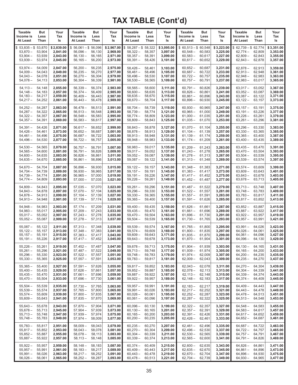| <b>Taxable</b>                                              | But                                  | Your                                           | <b>Taxable</b>                                              | But                                  | Your                                           | <b>Taxable</b>                                                    | But                                  | Your                                           | <b>Taxable</b>                                                   | But                                  | Your                                           | <b>Taxable</b>                                                                 | But                                  | Your                                           |
|-------------------------------------------------------------|--------------------------------------|------------------------------------------------|-------------------------------------------------------------|--------------------------------------|------------------------------------------------|-------------------------------------------------------------------|--------------------------------------|------------------------------------------------|------------------------------------------------------------------|--------------------------------------|------------------------------------------------|--------------------------------------------------------------------------------|--------------------------------------|------------------------------------------------|
| Income is                                                   | Less                                 | Tax                                            | Income is                                                   | Less                                 | Tax                                            | Income is                                                         | Less                                 | Tax                                            | Income is                                                        | Less                                 | Tax                                            | Income is                                                                      | Less                                 | Tax                                            |
| At Least                                                    | Than                                 | ls                                             | At Least                                                    | Than                                 | ls                                             | At Least                                                          | Than                                 | ls                                             | At Least                                                         | Than                                 | ls                                             | At Least                                                                       | Than                                 | ls                                             |
| $$53,835 - $53,870$<br>$53,870 -$<br>$53,904-$<br>$53,939-$ | 53,904<br>53,939<br>53,974           | \$2,839.00<br>2,841.00<br>2,843.00<br>2,845.00 | $$56,061 - $56,096$<br>$56,096-$<br>$56,130-$<br>$56,165 -$ | 56,130<br>56,165<br>56,200           | \$2,967.00<br>2,969.00<br>2,971.00<br>2,973.00 | $58,287 - $58,322$<br>\$<br>$58,322 -$<br>$58,357-$<br>$58,391 -$ | 58,357<br>58,391<br>58,426           | \$3,095.00<br>3,097.00<br>3,099.00<br>3,101.00 | $$60,513 - $60,548$<br>$60,548 -$<br>$60,583 -$<br>$60,617 -$    | 60,583<br>60,617<br>60,652           | \$3,223.00<br>3,225.00<br>3,227.00<br>3,229.00 | $$62,739 - $62,774$<br>$62,774-$<br>$62,809-$<br>62,843 –                      | 62,809<br>62,843<br>62,878           | \$3,351.00<br>3,353.00<br>3,355.00<br>3,357.00 |
| $53,974-$                                                   | 54,009                               | 2,847.00                                       | $56,200 -$                                                  | 56,235                               | 2,975.00                                       | $58,426-$                                                         | 58,461                               | 3,103.00                                       | $60,652 -$                                                       | 60,687                               | 3,231.00                                       | $62,878-$                                                                      | 62,913                               | 3,359.00                                       |
| $54,009-$                                                   | 54,043                               | 2,849.00                                       | $56,235-$                                                   | 56,270                               | 2,977.00                                       | $58,461-$                                                         | 58,496                               | 3,105.00                                       | $60,687 -$                                                       | 60,722                               | 3,233.00                                       | $62,913-$                                                                      | 62,948                               | 3,361.00                                       |
| $54,043-$                                                   | 54,078                               | 2,851.00                                       | $56,270-$                                                   | 56,304                               | 2,979.00                                       | $58,496-$                                                         | 58,530                               | 3,107.00                                       | $60,722 -$                                                       | 60,757                               | 3,235.00                                       | $62,948-$                                                                      | 62,983                               | 3,363.00                                       |
| $54,078-$                                                   | 54,113                               | 2,853.00                                       | $56,304-$                                                   | 56,339                               | 2,981.00                                       | $58,530 -$                                                        | 58,565                               | 3,109.00                                       | $60,757-$                                                        | 60,791                               | 3,237.00                                       | $62,983 -$                                                                     | 63,017                               | 3,365.00                                       |
| $54,113-$                                                   | 54,148                               | 2,855.00                                       | $56,339 -$                                                  | 56,374                               | 2.983.00                                       | $58,565-$                                                         | 58,600                               | 3,111.00                                       | $60,791 -$                                                       | 60,826                               | 3,239.00                                       | $63,017-$                                                                      | 63,052                               | 3,367.00                                       |
| $54,148-$                                                   | 54,183                               | 2,857.00                                       | $56,374-$                                                   | 56,409                               | 2,985.00                                       | $58,600 -$                                                        | 58,635                               | 3,113.00                                       | $60,826 -$                                                       | 60,861                               | 3,241.00                                       | $63,052-$                                                                      | 63,087                               | 3,369.00                                       |
| $54,183-$                                                   | 54,217                               | 2,859.00                                       | $56,409-$                                                   | 56,443                               | 2,987.00                                       | $58,635-$                                                         | 58,670                               | 3,115.00                                       | $60,861 -$                                                       | 60,896                               | 3,243.00                                       | $63,087 -$                                                                     | 63,122                               | 3,371.00                                       |
| $54,217-$                                                   | 54,252                               | 2,861.00                                       | $56,443-$                                                   | 56,478                               | 2,989.00                                       | $58,670-$                                                         | 58,704                               | 3,117.00                                       | $60,896 -$                                                       | 60,930                               | 3,245.00                                       | $63,122-$                                                                      | 63,157                               | 3,373.00                                       |
| $54,252-$                                                   | 54,287                               | 2,863.00                                       | $56,478-$                                                   | 56,513                               | 2,991.00                                       | $58,704-$                                                         | 58,739                               | 3,119.00                                       | $60,930 -$                                                       | 60,965                               | 3,247.00                                       | $63,157-$                                                                      | 63,191                               | 3,375.00                                       |
| $54,287-$                                                   | 54,322                               | 2,865.00                                       | $56,513-$                                                   | 56,548                               | 2,993.00                                       | $58,739-$                                                         | 58,774                               | 3,121.00                                       | $60,965 -$                                                       | 61,000                               | 3,249.00                                       | $63,191 -$                                                                     | 63,226                               | 3,377.00                                       |
| $54,322 -$                                                  | 54,357                               | 2,867.00                                       | $56,548-$                                                   | 56,583                               | 2,995.00                                       | $58,774-$                                                         | 58,809                               | 3,123.00                                       | $61,000 -$                                                       | 61,035                               | 3,251.00                                       | $63,226 -$                                                                     | 63,261                               | 3,379.00                                       |
| $54,357-$                                                   | 54,391                               | 2,869.00                                       | $56,583-$                                                   | 56,617                               | 2,997.00                                       | $58,809-$                                                         | 58,843                               | 3,125.00                                       | $61,035 -$                                                       | 61,070                               | 3,253.00                                       | $63,261 -$                                                                     | 63,296                               | 3,381.00                                       |
| $54,391 -$                                                  | 54,426                               | 2,871.00                                       | $56,617-$                                                   | 56,652                               | 2,999.00                                       | $58,843 -$                                                        | 58.878                               | 3,127.00                                       | $61,070 -$                                                       | 61,104                               | 3,255.00                                       | $63,296 -$                                                                     | 63,330                               | 3,383.00                                       |
| $54,426-$                                                   | 54,461                               | 2,873.00                                       | $56,652-$                                                   | 56,687                               | 3,001.00                                       | $58,878-$                                                         | 58,913                               | 3,129.00                                       | $61,104 -$                                                       | 61,139                               | 3,257.00                                       | $63,330 -$                                                                     | 63,365                               | 3,385.00                                       |
| $54,461 -$                                                  | 54,496                               | 2,875.00                                       | $56,687-$                                                   | 56,722                               | 3,003.00                                       | $58,913 -$                                                        | 58,948                               | 3,131.00                                       | $61,139-$                                                        | 61,174                               | 3,259.00                                       | $63,365 -$                                                                     | 63,400                               | 3,387.00                                       |
| $54,496-$                                                   | 54,530                               | 2,877.00                                       | $56,722-$                                                   | 56,757                               | 3,005.00                                       | $58,948 -$                                                        | 58,983                               | 3,133.00                                       | $61,174-$                                                        | 61,209                               | 3,261.00                                       | $63,400 -$                                                                     | 63,435                               | 3,389.00                                       |
| $54,530 -$                                                  | 54.565                               | 2,879.00                                       | $56,757-$                                                   | 56,791                               | 3,007.00                                       | $58,983-$                                                         | 59,017                               | 3,135.00                                       | $61,209-$                                                        | 61,243                               | 3,263.00                                       | $63,435 -$                                                                     | 63,470                               | 3,391.00                                       |
| $54,565-$                                                   | 54,600                               | 2,881.00                                       | $56,791 -$                                                  | 56,826                               | 3,009.00                                       | $59,017-$                                                         | 59.052                               | 3,137.00                                       | $61,243-$                                                        | 61,278                               | 3,265.00                                       | $63,470-$                                                                      | 63,504                               | 3,393.00                                       |
| $54,600 -$                                                  | 54,635                               | 2,883.00                                       | $56,826 -$                                                  | 56,861                               | 3,011.00                                       | $59,052 -$                                                        | 59,087                               | 3,139.00                                       | $61,278-$                                                        | 61,313                               | 3,267.00                                       | $63,504-$                                                                      | 63,539                               | 3,395.00                                       |
| $54,635-$                                                   | 54,670                               | 2,885.00                                       | $56,861 -$                                                  | 56,896                               | 3,013.00                                       | $59,087-$                                                         | 59,122                               | 3,141.00                                       | $61,313 -$                                                       | 61,348                               | 3,269.00                                       | $63,539-$                                                                      | 63,574                               | 3,397.00                                       |
| $54,670-$                                                   | 54,704                               | 2,887.00                                       | $56,896-$                                                   | 56,930                               | 3,015.00                                       | $59,122 -$                                                        | 59,157                               | 3.143.00                                       | $61,348 -$                                                       | 61,383                               | 3,271.00                                       | $63,574-$                                                                      | 63,609                               | 3,399.00                                       |
| $54,704-$                                                   | 54,739                               | 2,889.00                                       | $56,930 -$                                                  | 56,965                               | 3,017.00                                       | $59,157-$                                                         | 59,191                               | 3,145.00                                       | $61,383 -$                                                       | 61,417                               | 3,273.00                                       | $63,609-$                                                                      | 63,643                               | 3,401.00                                       |
| $54,739-$                                                   | 54,774                               | 2,891.00                                       | $56,965 -$                                                  | 57,000                               | 3,019.00                                       | $59,191 -$                                                        | 59,226                               | 3,147.00                                       | $61,417-$                                                        | 61,452                               | 3,275.00                                       | $63,643-$                                                                      | 63,678                               | 3,403.00                                       |
| $54,774-$                                                   | 54,809                               | 2,893.00                                       | $57,000 -$                                                  | 57,035                               | 3,021.00                                       | $59,226 -$                                                        | 59,261                               | 3,149.00                                       | $61,452-$                                                        | 61,487                               | 3,277.00                                       | 63,678 -                                                                       | 63,713                               | 3,405.00                                       |
| $54,809-$                                                   | 54,843                               | 2,895.00                                       | $57,035 -$                                                  | 57,070                               | 3,023.00                                       | $59,261 -$                                                        | 59,296                               | 3,151.00                                       | $61,487-$                                                        | 61,522                               | 3,279.00                                       | $63,713-$                                                                      | 63,748                               | 3,407.00                                       |
| $54,843-$                                                   | 54,878                               | 2,897.00                                       | $57,070 -$                                                  | 57,104                               | 3,025.00                                       | $59,296-$                                                         | 59,330                               | 3,153.00                                       | $61,522 -$                                                       | 61,557                               | 3,281.00                                       | 63,748 -                                                                       | 63,783                               | 3,409.00                                       |
| $54,878-$                                                   | 54,913                               | 2,899.00                                       | $57,104-$                                                   | 57,139                               | 3,027.00                                       | $59,330 -$                                                        | 59,365                               | 3,155.00                                       | $61,557-$                                                        | 61,591                               | 3,283.00                                       | 63,783 —                                                                       | 63,817                               | 3,411.00                                       |
| $54,913-$                                                   | 54,948                               | 2,901.00                                       | $57,139-$                                                   | 57,174                               | 3,029.00                                       | $59,365 -$                                                        | 59,400                               | 3,157.00                                       | $61,591 -$                                                       | 61,626                               | 3,285.00                                       | $63,817-$                                                                      | 63,852                               | 3,413.00                                       |
| $54,948-$                                                   | 54,983                               | 2,903.00                                       | $57,174-$                                                   | 57,209                               | 3,031.00                                       | $59,400 -$                                                        | 59,435                               | 3,159.00                                       | $61,626 -$                                                       | 61,661                               | 3,287.00                                       | $63,852-$                                                                      | 63,887                               | 3,415.00                                       |
| $54,983 -$                                                  | 55,017                               | 2,905.00                                       | $57,209-$                                                   | 57,243                               | 3,033.00                                       | $59,435-$                                                         | 59,470                               | 3,161.00                                       | $61,661 -$                                                       | 61,696                               | 3,289.00                                       | $63,887-$                                                                      | 63,922                               | 3,417.00                                       |
| $55,017-$                                                   | 55,052                               | 2,907.00                                       | $57,243-$                                                   | 57,278                               | 3,035.00                                       | $59,470-$                                                         | 59,504                               | 3,163.00                                       | $61,696 -$                                                       | 61,730                               | 3,291.00                                       | $63,922 -$                                                                     | 63,957                               | 3,419.00                                       |
| $55,052-$                                                   | 55,087                               | 2,909.00                                       | $57,278-$                                                   | 57,313                               | 3,037.00                                       | $59,504-$                                                         | 59,539                               | 3,165.00                                       | $61,730-$                                                        | 61,765                               | 3,293.00                                       | $63,957 -$                                                                     | 63,991                               | 3,421.00                                       |
| $55,087-$                                                   | 55,122                               | 2,911.00                                       | $57,313 -$                                                  | 57,348                               | 3,039.00                                       | $59,539-$                                                         | 59,574                               | 3,167.00                                       | $61,765 -$                                                       | 61,800                               | 3,295.00                                       | $63,991 -$                                                                     | 64.026                               | 3,423.00                                       |
| $55,122-$                                                   | 55,157                               | 2,913.00                                       | $57,348 -$                                                  | 57,383                               | 3,041.00                                       | $59,574-$                                                         | 59,609                               | 3,169.00                                       | $61,800 -$                                                       | 61,835                               | 3,297.00                                       | $64,026 -$                                                                     | 64,061                               | 3,425.00                                       |
| $55,157-$                                                   | 55,191                               | 2,915.00                                       | $57,383 -$                                                  | 57,417                               | 3,043.00                                       | $59,609 -$                                                        | 59,643                               | 3,171.00                                       | $61,835 -$                                                       | 61,870                               | 3,299.00                                       | $64,061 -$                                                                     | 64,096                               | 3,427.00                                       |
| $55,191 -$                                                  | 55,226                               | 2,917.00                                       | $57,417-$                                                   | 57,452                               | 3,045.00                                       | $59,643 -$                                                        | 59,678                               | 3,173.00                                       | $61,870 -$                                                       | 61,904                               | 3,301.00                                       | 64,096 -                                                                       | 64,130                               | 3,429.00                                       |
| $55,226 -$<br>$55,261-$<br>$55,296-$<br>$55,330 -$          | 55,261<br>55,296<br>55,330<br>55,365 | 2,919.00<br>2,921.00<br>2,923.00<br>2,925.00   | $57,452 -$<br>57,487 –<br>$57,522 -$<br>$57,557-$           | 57,487<br>57,522<br>57,557<br>57,591 | 3,047.00<br>3,049.00<br>3,051.00<br>3,053.00   | $59,678-$<br>$59,713 - 59,748$<br>$59,748-$<br>59,783 –           | 59,713<br>59,783<br>59,817           | 3,175.00<br>3,177.00<br>3,179.00<br>3,181.00   | $61,904 - 61,939$<br>$61,939 - 61,974$<br>$61,974-$<br>$62,009-$ | 62,009<br>62,043                     | 3,303.00<br>3,305.00<br>3,307.00<br>3,309.00   | $64,130-$<br>64,165 —<br>$64,200 -$<br>$64,235 - 64,270$                       | 64,165<br>64,200<br>64,235           | 3,431.00<br>3,433.00<br>3,435.00<br>3,437.00   |
| $55,365 -$<br>$55,400 -$<br>$55,435 -$<br>$55,470-$         | 55,400<br>55,435<br>55,470<br>55,504 | 2,927.00<br>2,929.00<br>2,931.00<br>2,933.00   | $57,591 -$<br>$57,626 -$<br>$57,661-$<br>57,696 —           | 57,626<br>57.661<br>57,696<br>57,730 | 3,055.00<br>3,057.00<br>3,059.00<br>3,061.00   | $59,817 -$<br>$59,852 -$<br>$59,887 -$<br>$59,922 - 59,957$       | 59,852<br>59,887<br>59,922           | 3,183.00<br>3,185.00<br>3,187.00<br>3,189.00   | $62,043-$<br>$62,078-$<br>$62,113-$<br>$62,148-$                 | 62,078<br>62,113<br>62,148<br>62,183 | 3,311.00<br>3,313.00<br>3,315.00<br>3,317.00   | $64,270-$<br>64,304 –<br>$64,339-$<br>$64,374-$                                | 64,304<br>64,339<br>64,374<br>64,409 | 3,439.00<br>3,441.00<br>3,443.00<br>3,445.00   |
| $55,504-$                                                   | 55,539                               | 2,935.00                                       | $57,730 -$                                                  | 57,765                               | 3,063.00                                       | $59,957 -$                                                        | 59,991                               | 3,191.00                                       | $62,183-$                                                        | 62,217                               | 3,319.00                                       | 64,409 -                                                                       | 64,443                               | 3,447.00                                       |
| 55,539 —                                                    | 55,574                               | 2,937.00                                       | $57,765-$                                                   | 57,800                               | 3,065.00                                       | $59,991 -$                                                        | 60,026                               | 3,193.00                                       | $62,217-$                                                        | 62,252                               | 3,321.00                                       | $64,443 - 64,478$                                                              |                                      | 3,449.00                                       |
| $55,574-$                                                   | 55,609                               | 2,939.00                                       | $57,800 -$                                                  | 57,835                               | 3,067.00                                       | $60.026 -$                                                        | 60,061                               | 3,195.00                                       | $62,252-$                                                        | 62,287                               | 3,323.00                                       | $64,478 - 64,513$                                                              |                                      | 3,451.00                                       |
| $55,609-$                                                   | 55,643                               | 2,941.00                                       | $57,835-$                                                   | 57,870                               | 3,069.00                                       | $60,061 -$                                                        | 60,096                               | 3,197.00                                       | $62,287-$                                                        | 62,322                               | 3,325.00                                       | $64,513 - 64,548$                                                              |                                      | 3,453.00                                       |
| $55,643-$<br>$55,678-$<br>$55,713 - 55,748$<br>$55,748-$    | 55,678<br>55,713<br>55,783           | 2,943.00<br>2,945.00<br>2,947.00<br>2,949.00   | $57,870-$<br>$57,904-$<br>$57,939-$<br>$57,974-$            | 57,904<br>57,939<br>57,974<br>58,009 | 3,071.00<br>3,073.00<br>3,075.00<br>3,077.00   | $60,096-$<br>$60,130 -$<br>$60,165 -$<br>$60,200 -$               | 60,130<br>60,165<br>60,200<br>60,235 | 3,199.00<br>3,201.00<br>3,203.00<br>3,205.00   | $62,322 -$<br>$62,357-$<br>$62,391 -$<br>$62,426-$               | 62,357<br>62,391<br>62,426<br>62,461 | 3,327.00<br>3,329.00<br>3,331.00<br>3,333.00   | 64,548 –<br>$64,583 - 64,617$<br>$64,617 - 64,652$<br>$64,652-$                | 64,583<br>64,687                     | 3,455.00<br>3,457.00<br>3,459.00<br>3,461.00   |
| $55,783-$<br>$55,817 -$<br>$55,852 -$<br>$55,887 - 55,922$  | 55,817<br>55,852<br>55,887           | 2,951.00<br>2,953.00<br>2,955.00<br>2,957.00   | $58,009-$<br>$58,043-$<br>$58,078-$<br>$58,113-$            | 58,043<br>58,078<br>58,113<br>58,148 | 3,079.00<br>3,081.00<br>3,083.00<br>3,085.00   | $60,235 -$<br>$60,270-$<br>$60,304-$<br>$60,339 - 60,374$         | 60,270<br>60,304<br>60,339           | 3,207.00<br>3,209.00<br>3,211.00<br>3,213.00   | $62,461-$<br>$62,496-$<br>$62,530 -$<br>$62,565 -$               | 62,496<br>62,530<br>62,565<br>62,600 | 3,335.00<br>3,337.00<br>3,339.00<br>3,341.00   | 64,687 –<br>$64,722 -$<br>$64,757 - 64,791$<br>64,791 - 64,826                 | 64,722<br>64,757                     | 3,463.00<br>3,465.00<br>3,467.00<br>3,469.00   |
| $55,922 -$<br>$55,957 - 55,991$<br>$55,991 -$<br>$56,026-$  | 55,957<br>56,026<br>56,061           | 2,959.00<br>2,961.00<br>2,963.00<br>2,965.00   | $58,148-$<br>$58,183-$<br>$58,217-$<br>$58,252-$            | 58,183<br>58,217<br>58,252<br>58,287 | 3,087.00<br>3,089.00<br>3,091.00<br>3,093.00   | $60,374-$<br>$60,409 - 60,443$<br>$60,443-$<br>$60,478 - 60,513$  | 60,409<br>60,478                     | 3,215.00<br>3,217.00<br>3,219.00<br>3,221.00   | $62,600 -$<br>$62,635 -$<br>$62,670-$<br>$62,704-$               | 62,635<br>62,670<br>62,704<br>62,739 | 3,343.00<br>3,345.00<br>3,347.00<br>3,349.00   | $64,826 - 64,861$<br>$64,861 - 64,896$<br>$64,896 - 64,930$<br>64,930 - 64,965 |                                      | 3,471.00<br>3,473.00<br>3,475.00<br>3,477.00   |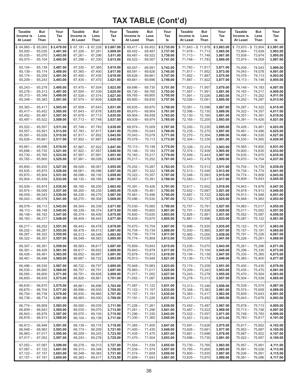| Taxable                                                                  | But                                  | Your                                           | <b>Taxable</b>                                               | But                                  | Your                                           | <b>Taxable</b>                                                                   | But                                  | Your                                           | <b>Taxable</b>                                             | <b>But</b>                           | Your                                           | <b>Taxable</b>                                                           | But                                  | Your                                           |
|--------------------------------------------------------------------------|--------------------------------------|------------------------------------------------|--------------------------------------------------------------|--------------------------------------|------------------------------------------------|----------------------------------------------------------------------------------|--------------------------------------|------------------------------------------------|------------------------------------------------------------|--------------------------------------|------------------------------------------------|--------------------------------------------------------------------------|--------------------------------------|------------------------------------------------|
| Income is                                                                | Less                                 | Tax                                            | Income is                                                    | Less                                 | Tax                                            | Income is                                                                        | Less                                 | Tax                                            | Income is                                                  | Less                                 | Tax                                            | Income is                                                                | Less                                 | Tax                                            |
| At Least                                                                 | Than                                 | ls                                             | At Least                                                     | Than                                 | ls                                             | <b>At Least</b>                                                                  | Than                                 | ls                                             | At Least                                                   | Than                                 | ls                                             | At Least                                                                 | Than                                 | ls                                             |
| $$64,965 - $65,000$<br>$65,000 -$<br>$65,035 -$<br>$65,070-$             | 65,035<br>65,070<br>65,104           | \$3,479.00<br>3,481.00<br>3,483.00<br>3,485.00 | $$67,191 - $67,226$<br>$67,226 -$<br>$67,261 -$<br>$67,296-$ | 67,261<br>67,296<br>67,330           | \$3,607.00<br>3,609.00<br>3,611.00<br>3,613.00 | $69,417 - $69,452$<br>\$<br>$69,452 -$<br>$69,487-$<br>$69,522 -$                | 69,487<br>69,522<br>69,557           | \$3,735.00<br>3,737.00<br>3,739.00<br>3,741.00 | $$71,643 - $71,678$<br>$71,678-$<br>$71,713-$<br>$71,748-$ | 71,713<br>71,748<br>71,783           | \$3,863.00<br>3,865.00<br>3,867.00<br>3,869.00 | $$73,870 - $73,904$<br>$73,904 -$<br>$73,939-$<br>$73,974-$              | 73,939<br>73,974<br>74,009           | \$3,991.00<br>3,993.00<br>3,995.00<br>3,997.00 |
| $65,104-$                                                                | 65,139                               | 3,487.00                                       | $67,330 -$                                                   | 67,365                               | 3,615.00                                       | $69,557-$                                                                        | 69,591                               | 3,743.00                                       | $71,783-$                                                  | 71,817                               | 3,871.00                                       | $74,009-$                                                                | 74,043                               | 3,999.00                                       |
| $65,139-$                                                                | 65,174                               | 3,489.00                                       | $67,365 -$                                                   | 67,400                               | 3,617.00                                       | $69,591 -$                                                                       | 69,626                               | 3,745.00                                       | $71,817-$                                                  | 71,852                               | 3,873.00                                       | $74,043 -$                                                               | 74,078                               | 4,001.00                                       |
| $65,174-$                                                                | 65,209                               | 3,491.00                                       | $67,400 -$                                                   | 67,435                               | 3,619.00                                       | $69,626 -$                                                                       | 69,661                               | 3,747.00                                       | $71,852 -$                                                 | 71,887                               | 3,875.00                                       | $74,078-$                                                                | 74,113                               | 4,003.00                                       |
| $65,209-$                                                                | 65,243                               | 3,493.00                                       | $67,435-$                                                    | 67,470                               | 3,621.00                                       | $69,661 -$                                                                       | 69,696                               | 3,749.00                                       | $71,887-$                                                  | 71,922                               | 3,877.00                                       | $74, 113 -$                                                              | 74,148                               | 4,005.00                                       |
| $65,243-$                                                                | 65,278                               | 3,495.00                                       | $67,470-$                                                    | 67,504                               | 3,623.00                                       | $69,696 -$                                                                       | 69,730                               | 3,751.00                                       | $71,922 -$                                                 | 71,957                               | 3.879.00                                       | $74,148-$                                                                | 74,183                               | 4.007.00                                       |
| $65,278-$                                                                | 65,313                               | 3,497.00                                       | $67,504-$                                                    | 67,539                               | 3,625.00                                       | $69,730 -$                                                                       | 69,765                               | 3,753.00                                       | $71,957 -$                                                 | 71,991                               | 3,881.00                                       | $74,183-$                                                                | 74,217                               | 4,009.00                                       |
| $65,313 -$                                                               | 65,348                               | 3,499.00                                       | $67,539-$                                                    | 67,574                               | 3,627.00                                       | $69,765 -$                                                                       | 69,800                               | 3,755.00                                       | $71,991 -$                                                 | 72,026                               | 3,883.00                                       | $74,217-$                                                                | 74,252                               | 4,011.00                                       |
| $65,348-$                                                                | 65,383                               | 3,501.00                                       | $67,574-$                                                    | 67,609                               | 3,629.00                                       | $69,800 -$                                                                       | 69,835                               | 3,757.00                                       | $72,026 -$                                                 | 72,061                               | 3,885.00                                       | $74,252 -$                                                               | 74,287                               | 4,013.00                                       |
| $65,383 -$                                                               | 65,417                               | 3,503.00                                       | $67,609-$                                                    | 67,643                               | 3,631.00                                       | $69,835 -$                                                                       | 69,870                               | 3,759.00                                       | $72,061 -$                                                 | 72,096                               | 3,887.00                                       | $74,287-$                                                                | 74,322                               | 4,015.00                                       |
| $65,417-$                                                                | 65,452                               | 3,505.00                                       | $67,643-$                                                    | 67,678                               | 3,633.00                                       | $69,870 -$                                                                       | 69,904                               | 3,761.00                                       | $72,096-$                                                  | 72,130                               | 3,889.00                                       | $74,322 -$                                                               | 74,357                               | 4,017.00                                       |
| $65,452-$                                                                | 65,487                               | 3,507.00                                       | $67,678-$                                                    | 67,713                               | 3,635.00                                       | $69,904 -$                                                                       | 69,939                               | 3,763.00                                       | $72,130 -$                                                 | 72,165                               | 3,891.00                                       | $74,357-$                                                                | 74,391                               | 4,019.00                                       |
| $65,487-$                                                                | 65,522                               | 3,509.00                                       | $67,713-$                                                    | 67,748                               | 3,637.00                                       | $69,939-$                                                                        | 69,974                               | 3,765.00                                       | $72,165-$                                                  | 72,200                               | 3,893.00                                       | $74,391 -$                                                               | 74,426                               | 4,021.00                                       |
| $65,522 -$                                                               | 65,557                               | 3,511.00                                       | $67,748-$                                                    | 67,783                               | 3.639.00                                       | $69,974-$                                                                        | 70,009                               | 3,767.00                                       | $72,200 -$                                                 | 72,235                               | 3,895.00                                       | $74,426 -$                                                               | 74,461                               | 4,023.00                                       |
| $65,557-$                                                                | 65,591                               | 3,513.00                                       | $67,783-$                                                    | 67,817                               | 3,641.00                                       | $70.009 -$                                                                       | 70,043                               | 3,769.00                                       | $72,235 -$                                                 | 72,270                               | 3,897.00                                       | $74,461 -$                                                               | 74,496                               | 4,025.00                                       |
| $65,591 -$                                                               | 65,626                               | 3,515.00                                       | $67,817-$                                                    | 67,852                               | 3,643.00                                       | $70,043 -$                                                                       | 70,078                               | 3,771.00                                       | $72,270-$                                                  | 72,304                               | 3,899.00                                       | 74,496 –                                                                 | 74,530                               | 4,027.00                                       |
| $65,626 -$                                                               | 65,661                               | 3,517.00                                       | $67,852-$                                                    | 67,887                               | 3,645.00                                       | $70,078-$                                                                        | 70,113                               | 3,773.00                                       | $72,304-$                                                  | 72,339                               | 3,901.00                                       | $74.530 -$                                                               | 74,565                               | 4,029.00                                       |
| $65,661 -$                                                               | 65,696                               | 3,519.00                                       | $67,887-$                                                    | 67,922                               | 3,647.00                                       | $70,113 -$                                                                       | 70,148                               | 3,775.00                                       | $72,339 -$                                                 | 72,374                               | 3.903.00                                       | $74,565 -$                                                               | 74,600                               | 4,031.00                                       |
| $65,696-$                                                                | 65,730                               | 3,521.00                                       | $67,922 -$                                                   | 67,957                               | 3.649.00                                       | $70.148 -$                                                                       | 70,183                               | 3,777.00                                       | $72,374-$                                                  | 72,409                               | 3,905.00                                       | $74,600 -$                                                               | 74,635                               | 4.033.00                                       |
| $65,730 -$                                                               | 65,765                               | 3,523.00                                       | $67,957-$                                                    | 67,991                               | 3,651.00                                       | $70,183 -$                                                                       | 70,217                               | 3,779.00                                       | $72,409-$                                                  | 72,443                               | 3,907.00                                       | $74,635-$                                                                | 74,670                               | 4,035.00                                       |
| $65,765-$                                                                | 65,800                               | 3,525.00                                       | $67,991 -$                                                   | 68,026                               | 3,653.00                                       | $70,217-$                                                                        | 70,252                               | 3,781.00                                       | $72,443-$                                                  | 72,478                               | 3,909.00                                       | $74,670-$                                                                | 74,704                               | 4,037.00                                       |
| $65,800 -$                                                               | 65.835                               | 3,527.00                                       | $68,026 -$                                                   | 68,061                               | 3,655.00                                       | $70,252 -$                                                                       | 70,287                               | 3,783.00                                       | $72,478-$                                                  | 72,513                               | 3.911.00                                       | 74,704 –                                                                 | 74,739                               | 4,039.00                                       |
| $65,835-$                                                                | 65,870                               | 3,529.00                                       | $68,061 -$                                                   | 68,096                               | 3,657.00                                       | $70,287-$                                                                        | 70,322                               | 3,785.00                                       | $72,513 -$                                                 | 72,548                               | 3,913.00                                       | $74,739-$                                                                | 74,774                               | 4,041.00                                       |
| $65,870 -$                                                               | 65,904                               | 3,531.00                                       | $68,096-$                                                    | 68,130                               | 3,659.00                                       | $70,322 -$                                                                       | 70,357                               | 3,787.00                                       | $72,548 -$                                                 | 72,583                               | 3,915.00                                       | $74,774-$                                                                | 74,809                               | 4,043.00                                       |
| $65,904 -$                                                               | 65,939                               | 3,533.00                                       | $68,130-$                                                    | 68,165                               | 3,661.00                                       | $70,357-$                                                                        | 70,391                               | 3,789.00                                       | $72,583-$                                                  | 72,617                               | 3,917.00                                       | 74,809 –                                                                 | 74,843                               | 4,045.00                                       |
| $65,939-$                                                                | 65,974                               | 3,535.00                                       | $68,165-$                                                    | 68,200                               | 3,663.00                                       | $70,391 -$                                                                       | 70,426                               | 3,791.00                                       | $72,617-$                                                  | 72,652                               | 3,919.00                                       | $74,843 -$                                                               | 74,878                               | 4,047.00                                       |
| $65,974-$                                                                | 66,009                               | 3,537.00                                       | $68,200 -$                                                   | 68,235                               | 3,665.00                                       | $70,426-$                                                                        | 70,461                               | 3,793.00                                       | $72,652-$                                                  | 72,687                               | 3,921.00                                       | $74,878-$                                                                | 74,913                               | 4,049.00                                       |
| $66,009 -$                                                               | 66,043                               | 3,539.00                                       | $68,235-$                                                    | 68,270                               | 3,667.00                                       | $70,461 -$                                                                       | 70,496                               | 3,795.00                                       | $72,687-$                                                  | 72,722                               | 3,923.00                                       | $74,913 -$                                                               | 74,948                               | 4,051.00                                       |
| $66,043 -$                                                               | 66,078                               | 3,541.00                                       | $68,270-$                                                    | 68,304                               | 3,669.00                                       | $70,496-$                                                                        | 70,530                               | 3,797.00                                       | $72,722 -$                                                 | 72,757                               | 3,925.00                                       | $74,948 -$                                                               | 74,983                               | 4,053.00                                       |
| $66,078-$                                                                | 66,113                               | 3,543.00                                       | $68,304-$                                                    | 68,339                               | 3,671.00                                       | $70,530 -$                                                                       | 70,565                               | 3,799.00                                       | $72,757-$                                                  | 72,791                               | 3,927.00                                       | $74,983 -$                                                               | 75,017                               | 4,055.00                                       |
| $66,113 -$                                                               | 66,148                               | 3,545.00                                       | $68,339-$                                                    | 68,374                               | 3,673.00                                       | $70,565 -$                                                                       | 70,600                               | 3,801.00                                       | $72,791 -$                                                 | 72,826                               | 3,929.00                                       | $75,017-$                                                                | 75,052                               | 4,057.00                                       |
| $66,148 -$                                                               | 66,183                               | 3,547.00                                       | $68,374-$                                                    | 68,409                               | 3,675.00                                       | $70,600 -$                                                                       | 70,635                               | 3,803.00                                       | $72,826 -$                                                 | 72,861                               | 3,931.00                                       | $75,052 -$                                                               | 75,087                               | 4,059.00                                       |
| $66,183 -$                                                               | 66,217                               | 3,549.00                                       | $68,409-$                                                    | 68,443                               | 3,677.00                                       | $70,635-$                                                                        | 70,670                               | 3,805.00                                       | $72,861-$                                                  | 72,896                               | 3,933.00                                       | $75,087-$                                                                | 75,122                               | 4,061.00                                       |
| $66,217-$                                                                | 66,252                               | 3,551.00                                       | $68,443-$                                                    | 68,478                               | 3,679.00                                       | $70.670 -$                                                                       | 70,704                               | 3,807.00                                       | $72,896 -$                                                 | 72,930                               | 3,935.00                                       | $75,122 -$                                                               | 75,157                               | 4,063.00                                       |
| $66,252-$                                                                | 66,287                               | 3,553.00                                       | $68,478-$                                                    | 68,513                               | 3,681.00                                       | $70,704 -$                                                                       | 70,739                               | 3,809.00                                       | $72,930 -$                                                 | 72,965                               | 3,937.00                                       | $75,157-$                                                                | 75,191                               | 4,065.00                                       |
| $66,287 -$                                                               | 66,322                               | 3,555.00                                       | $68,513-$                                                    | 68,548                               | 3,683.00                                       | $70,739-$                                                                        | 70,774                               | 3,811.00                                       | $72,965 -$                                                 | 73,000                               | 3,939.00                                       | 75,191-                                                                  | 75,226                               | 4,067.00                                       |
| $66,322 -$                                                               | 66,357                               | 3,557.00                                       | $68,548-$                                                    | 68,583                               | 3,685.00                                       | $70.774 -$                                                                       | 70,809                               | 3,813.00                                       | $73,000 -$                                                 | 73,035                               | 3,941.00                                       | $75,226 -$                                                               | 75,261                               | 4,069.00                                       |
| $66,357-$<br>66,391 –<br>$66,426-$<br>$66,461 -$                         | 66,391<br>66,426<br>66,461<br>66,496 | 3,559.00<br>3.561.00<br>3,563.00<br>3,565.00   | 68,583<br>68,617 –<br>$68,652-$<br>$68,687-$                 | 68,617<br>68,652<br>68,687<br>68,722 | 3,687.00<br>3,689.00<br>3,691.00<br>3,693.00   | $70,809-$<br>$70,843 -$<br>$70,878-$<br>$70,913 -$                               | 70,843<br>70,878<br>70,913<br>70,948 | 3,815.00<br>3,817.00<br>3,819.00<br>3,821.00   | 73,035<br>$73,070 - 73,104$<br>$73,104-$<br>$73,139-$      | 73,070<br>73,139<br>73,174           | 3,943.00<br>3,945.00<br>3,947.00<br>3,949.00   | $75,261 -$<br>$75,296-$<br>$75,330 -$<br>$75,365 -$                      | 75,296<br>75,330<br>75,365<br>75,400 | 4,071.00<br>4,073.00<br>4,075.00<br>4,077.00   |
| 66,496 –<br>$66,530 -$<br>$66,565 -$<br>66,600 -                         | 66,530<br>66,565<br>66,600<br>66,635 | 3,567.00<br>3,569.00<br>3,571.00<br>3,573.00   | $68,722-$<br>$68,757-$<br>$68,791-$<br>$68,826 -$            | 68,757<br>68,791<br>68,826<br>68,861 | 3,695.00<br>3,697.00<br>3,699.00<br>3,701.00   | $70,948 -$<br>$70.983 - 71.017$<br>$71,017 - 71,052$<br>$71,052 -$               | 70,983<br>71,087                     | 3,823.00<br>3,825.00<br>3,827.00<br>3,829.00   | $73,174-$<br>$73,209-$<br>$73,243-$<br>$73,278-$           | 73,209<br>73,243<br>73,278<br>73,313 | 3,951.00<br>3,953.00<br>3,955.00<br>3,957.00   | $75,400 -$<br>$75,435-$<br>75,470 - 75,504<br>$75,504-$                  | 75,435<br>75,470<br>75,539           | 4,079.00<br>4,081.00<br>4,083.00<br>4,085.00   |
| 66,635 —<br>66,670 -<br>$66,704 - 66,739$<br>66,739 -                    | 66,670<br>66,704<br>66,774           | 3,575.00<br>3,577.00<br>3.579.00<br>3,581.00   | $68,861 -$<br>$68,896-$<br>$68,930 -$<br>$68,965 -$          | 68,896<br>68,930<br>68,965<br>69,000 | 3,703.00<br>3,705.00<br>3,707.00<br>3,709.00   | $71,087 - 71,122$<br>$71,122 - 71,157$<br>$71,157 - 71,191$<br>$71,191 - 71,226$ |                                      | 3,831.00<br>3,833.00<br>3,835.00<br>3,837.00   | $73,313 -$<br>$73,348 -$<br>$73,383-$<br>$73,417-$         | 73,348<br>73,383<br>73,417<br>73,452 | 3,959.00<br>3,961.00<br>3,963.00<br>3,965.00   | $75,539-$<br>$75,574-$<br>$75,609-$<br>$75,643 - 75,678$                 | 75,574<br>75,609<br>75,643           | 4,087.00<br>4,089.00<br>4,091.00<br>4,093.00   |
| 66,774 –<br>66,809 -<br>$66,843-$<br>$66,878-$                           | 66,809<br>66,843<br>66,878<br>66,913 | 3,583.00<br>3,585.00<br>3,587.00<br>3,589.00   | $69,000 -$<br>$69,035 -$<br>$69,070-$<br>$69,104-$           | 69,035<br>69,070<br>69,104<br>69,139 | 3.711.00<br>3,713.00<br>3,715.00<br>3,717.00   | $71,226 - 71,261$<br>$71,261 - 71,296$<br>$71,296 - 71,330$<br>$71,330 - 71,365$ |                                      | 3,839.00<br>3,841.00<br>3,843.00<br>3,845.00   | $73,452-$<br>$73,487-$<br>$73,522 -$<br>$73,557-$          | 73,487<br>73,522<br>73,557<br>73,591 | 3,967.00<br>3,969.00<br>3,971.00<br>3,973.00   | $75,678-$<br>$75,713 - 75,748$<br>$75,748 - 75,783$<br>$75,783 - 75,817$ | 75,713                               | 4,095.00<br>4,097.00<br>4,099.00<br>4,101.00   |
| 66,913 —<br>66,948 –<br>$66,983 - 67,017$<br>$67,017 - 67,052$           | 66,948<br>66,983                     | 3,591.00<br>3,593.00<br>3,595.00<br>3,597.00   | 69,139 -<br>$69,174-$<br>$69,209-$<br>$69,243-$              | 69,174<br>69,209<br>69,243<br>69,278 | 3,719.00<br>3,721.00<br>3,723.00<br>3,725.00   | $71,365 - 71,400$<br>$71,400 - 71,435$<br>$71,435 - 71,470$<br>$71,470 - 71,504$ |                                      | 3,847.00<br>3,849.00<br>3,851.00<br>3,853.00   | $73,591 -$<br>$73,626-$<br>$73,661 -$<br>$73,696-$         | 73,626<br>73,661<br>73,696<br>73,730 | 3,975.00<br>3,977.00<br>3,979.00<br>3,981.00   | 75,817 - 75,852<br>$75,852 -$<br>75,887 –<br>75,922 - 75,957             | 75,887<br>75,922                     | 4,103.00<br>4,105.00<br>4,107.00<br>4,109.00   |
| $67,052 - 67,087$<br>$67,087 - 67,122$<br>$67,122 - 67,157$<br>$67,157-$ | 67,191                               | 3,599.00<br>3,601.00<br>3,603.00<br>3,605.00   | $69,278-$<br>$69,313-$<br>$69,348-$<br>$69,383 -$            | 69,313<br>69,348<br>69,383<br>69,417 | 3,727.00<br>3,729.00<br>3,731.00<br>3,733.00   | $71,504-$<br>$71,539-$<br>$71,574 - 71,609$<br>$71,609-$                         | 71,539<br>71,574<br>71,643           | 3,855.00<br>3,857.00<br>3,859.00<br>3,861.00   | $73,730 -$<br>$73,765-$<br>$73,800 -$<br>$73,835-$         | 73,765<br>73,800<br>73,835<br>73,870 | 3,983.00<br>3,985.00<br>3,987.00<br>3,989.00   | $75,957 -$<br>$75,991 -$<br>76,026 - 76,061<br>$76,061 -$                | 75,991<br>76,026<br>76,096           | 4,111.00<br>4,113.00<br>4,115.00<br>4,117.00   |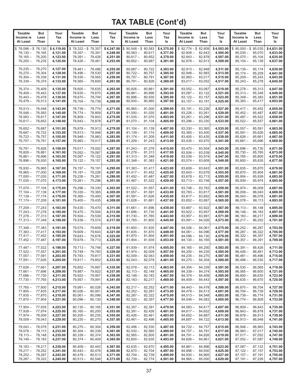| <b>Taxable</b>                                                    | But                        | Your                                           | <b>Taxable</b>                                                | But                                  | Your                                           | <b>Taxable</b>                                                                   | But                        | Your                                           | <b>Taxable</b>                                             | <b>But</b>                           | Your                                           | <b>Taxable</b>                                                                   | <b>But</b>                 | Your                                           |
|-------------------------------------------------------------------|----------------------------|------------------------------------------------|---------------------------------------------------------------|--------------------------------------|------------------------------------------------|----------------------------------------------------------------------------------|----------------------------|------------------------------------------------|------------------------------------------------------------|--------------------------------------|------------------------------------------------|----------------------------------------------------------------------------------|----------------------------|------------------------------------------------|
| Income is                                                         | Less                       | Tax                                            | Income is                                                     | Less                                 | Tax                                            | Income is                                                                        | Less                       | Tax                                            | Income is                                                  | Less                                 | Tax                                            | Income is                                                                        | Less                       | Tax                                            |
| At Least                                                          | Than                       | ls                                             | At Least                                                      | Than                                 | ls                                             | At Least                                                                         | Than                       | ls                                             | At Least                                                   | Than                                 | ls                                             | At Least                                                                         | Than                       | ls                                             |
| $$76,096 - $76,130$<br>$76,130 -$<br>$76,165 -$<br>$76,200 -$     | 76,165<br>76,200<br>76,235 | \$4,119.00<br>4,121.00<br>4,123.00<br>4,125.00 | $$78,322 - $78,357$<br>$78,357-$<br>$78,391 -$<br>$78,426-$   | 78,391<br>78,426<br>78,461           | \$4,247.00<br>4,249.00<br>4,251.00<br>4,253.00 | $$80,548 - $80,583$<br>$80,583 -$<br>$80.617 -$<br>$80,652 -$                    | 80,617<br>80,652<br>80,687 | \$4,375.00<br>4,377.00<br>4,379.00<br>4,381.00 | $$82,774 - $82,809$<br>$82,809-$<br>$82,843-$<br>$82,878-$ | 82,843<br>82,878<br>82,913           | \$4,503.00<br>4,505.00<br>4,507.00<br>4,509.00 | $$85,000 - $85,035$<br>$85,035 -$<br>$85,070-$<br>$85,104-$                      | 85,070<br>85,104<br>85,139 | \$4,631.00<br>4,633.00<br>4,635.00<br>4,637.00 |
| $76,235-$                                                         | 76,270                     | 4,127.00                                       | $78,461 -$                                                    | 78,496                               | 4,255.00                                       | $80,687 -$                                                                       | 80,722                     | 4,383.00                                       | $82,913 -$                                                 | 82,948                               | 4,511.00                                       | $85,139-$                                                                        | 85,174                     | 4,639.00                                       |
| $76,270-$                                                         | 76,304                     | 4,129.00                                       | $78,496-$                                                     | 78,530                               | 4,257.00                                       | $80,722 -$                                                                       | 80,757                     | 4,385.00                                       | $82,948 -$                                                 | 82,983                               | 4,513.00                                       | $85,174-$                                                                        | 85,209                     | 4,641.00                                       |
| $76,304-$                                                         | 76,339                     | 4,131.00                                       | $78,530-$                                                     | 78,565                               | 4,259.00                                       | $80,757 -$                                                                       | 80,791                     | 4,387.00                                       | $82,983 -$                                                 | 83,017                               | 4,515.00                                       | $85,209-$                                                                        | 85,243                     | 4,643.00                                       |
| $76,339-$                                                         | 76,374                     | 4,133.00                                       | $78,565 -$                                                    | 78,600                               | 4,261.00                                       | $80,791 -$                                                                       | 80,826                     | 4,389.00                                       | $83,017-$                                                  | 83,052                               | 4,517.00                                       | $85,243-$                                                                        | 85,278                     | 4,645.00                                       |
| $76,374 -$                                                        | 76,409                     | 4,135.00                                       | $78,600 -$                                                    | 78,635                               | 4,263.00                                       | $80,826 -$                                                                       | 80,861                     | 4,391.00                                       | $83.052 -$                                                 | 83,087                               | 4,519.00                                       | $85,278-$                                                                        | 85,313                     | 4,647.00                                       |
| $76,409-$                                                         | 76,443                     | 4,137.00                                       | $78,635-$                                                     | 78,670                               | 4.265.00                                       | $80,861 -$                                                                       | 80,896                     | 4,393.00                                       | $83,087 -$                                                 | 83,122                               | 4,521.00                                       | $85,313-$                                                                        | 85,348                     | 4,649.00                                       |
| $76,443-$                                                         | 76,478                     | 4,139.00                                       | $78,670-$                                                     | 78,704                               | 4,267.00                                       | $80,896 -$                                                                       | 80,930                     | 4,395.00                                       | $83,122 -$                                                 | 83,157                               | 4,523.00                                       | $85.348 -$                                                                       | 85,383                     | 4,651.00                                       |
| $76,478-$                                                         | 76,513                     | 4,141.00                                       | $78,704-$                                                     | 78,739                               | 4,269.00                                       | $80,930 -$                                                                       | 80,965                     | 4,397.00                                       | $83,157-$                                                  | 83,191                               | 4,525.00                                       | $85,383 -$                                                                       | 85,417                     | 4,653.00                                       |
| $76,513 -$                                                        | 76,548                     | 4,143.00                                       | $78,739-$                                                     | 78,774                               | 4,271.00                                       | $80,965 -$                                                                       | 81,000                     | 4,399.00                                       | $83,191 -$                                                 | 83,226                               | 4,527.00                                       | $85,417-$                                                                        | 85,452                     | 4,655.00                                       |
| $76,548-$                                                         | 76,583                     | 4,145.00                                       | $78,774-$                                                     | 78,809                               | 4,273.00                                       | $81,000 -$                                                                       | 81,035                     | 4,401.00                                       | $83,226 -$                                                 | 83,261                               | 4,529.00                                       | $85,452 -$                                                                       | 85,487                     | 4,657.00                                       |
| $76,583 -$                                                        | 76,617                     | 4,147.00                                       | $78,809-$                                                     | 78,843                               | 4,275.00                                       | $81,035 -$                                                                       | 81,070                     | 4,403.00                                       | $83,261 -$                                                 | 83,296                               | 4,531.00                                       | $85,487-$                                                                        | 85,522                     | 4,659.00                                       |
| $76,617-$                                                         | 76,652                     | 4,149.00                                       | $78,843-$                                                     | 78,878                               | 4,277.00                                       | $81,070 -$                                                                       | 81,104                     | 4,405.00                                       | $83,296-$                                                  | 83,330                               | 4,533.00                                       | $85,522 -$                                                                       | 85,557                     | 4,661.00                                       |
| $76,652 -$                                                        | 76,687                     | 4,151.00                                       | $78,878-$                                                     | 78,913                               | 4,279.00                                       | $81.104 -$                                                                       | 81,139                     | 4,407.00                                       | $83,330 -$                                                 | 83,365                               | 4,535.00                                       | $85,557 -$                                                                       | 85,591                     | 4,663.00                                       |
| $76,687 -$                                                        | 76,722                     | 4,153.00                                       | $78,913 -$                                                    | 78,948                               | 4,281.00                                       | $81,139-$                                                                        | 81,174                     | 4,409.00                                       | $83,365 -$                                                 | 83,400                               | 4,537.00                                       | $85,591 -$                                                                       | 85,626                     | 4,665.00                                       |
| $76,722 -$                                                        | 76,757                     | 4,155.00                                       | $78,948 -$                                                    | 78,983                               | 4,283.00                                       | $81,174-$                                                                        | 81,209                     | 4,411.00                                       | $83,400 -$                                                 | 83,435                               | 4,539.00                                       | $85,626 -$                                                                       | 85,661                     | 4,667.00                                       |
| $76,757-$                                                         | 76,791                     | 4,157.00                                       | $78,983 -$                                                    | 79,017                               | 4,285.00                                       | $81,209-$                                                                        | 81,243                     | 4,413.00                                       | $83,435-$                                                  | 83,470                               | 4,541.00                                       | $85,661 -$                                                                       | 85,696                     | 4,669.00                                       |
| 76,791 -                                                          | 76,826                     | 4,159.00                                       | $79,017-$                                                     | 79.052                               | 4,287.00                                       | $81,243 -$                                                                       | 81,278                     | 4,415.00                                       | $83,470-$                                                  | 83,504                               | 4,543.00                                       | $85,696 -$                                                                       | 85,730                     | 4,671.00                                       |
| $76,826 -$                                                        | 76,861                     | 4,161.00                                       | $79,052 -$                                                    | 79,087                               | 4,289.00                                       | $81,278-$                                                                        | 81,313                     | 4,417.00                                       | $83,504 -$                                                 | 83,539                               | 4,545.00                                       | $85,730 -$                                                                       | 85,765                     | 4,673.00                                       |
| $76,861 -$                                                        | 76,896                     | 4,163.00                                       | $79,087 -$                                                    | 79,122                               | 4,291.00                                       | $81,313 -$                                                                       | 81,348                     | 4,419.00                                       | $83,539-$                                                  | 83,574                               | 4,547.00                                       | $85,765 -$                                                                       | 85,800                     | 4,675.00                                       |
| $76,896 -$                                                        | 76,930                     | 4,165.00                                       | $79,122 -$                                                    | 79,157                               | 4,293.00                                       | $81,348 -$                                                                       | 81,383                     | 4,421.00                                       | $83,574-$                                                  | 83,609                               | 4,549.00                                       | $85,800 -$                                                                       | 85,835                     | 4,677.00                                       |
| $76,930 -$                                                        | 76,965                     | 4,167.00                                       | $79,157-$                                                     | 79,191                               | 4,295.00                                       | $81,383 -$                                                                       | 81,417                     | 4,423.00                                       | $83,609-$                                                  | 83,643                               | 4,551.00                                       | $85,835 -$                                                                       | 85,870                     | 4,679.00                                       |
| $76,965 -$                                                        | 77,000                     | 4,169.00                                       | $79,191 -$                                                    | 79,226                               | 4,297.00                                       | $81,417-$                                                                        | 81,452                     | 4,425.00                                       | $83,643-$                                                  | 83,678                               | 4,553.00                                       | $85,870 -$                                                                       | 85,904                     | 4,681.00                                       |
| $77,000 -$                                                        | 77,035                     | 4,171.00                                       | $79,226 -$                                                    | 79,261                               | 4,299.00                                       | $81,452 -$                                                                       | 81,487                     | 4,427.00                                       | $83,678-$                                                  | 83,713                               | 4,555.00                                       | $85,904 -$                                                                       | 85,939                     | 4,683.00                                       |
| $77,035-$                                                         | 77,070                     | 4,173.00                                       | $79,261 -$                                                    | 79,296                               | 4,301.00                                       | $81,487-$                                                                        | 81,522                     | 4,429.00                                       | $83,713-$                                                  | 83,748                               | 4,557.00                                       | $85,939-$                                                                        | 85,974                     | 4,685.00                                       |
| $77,070 -$                                                        | 77,104                     | 4,175.00                                       | $79,296 -$                                                    | 79,330                               | 4,303.00                                       | $81,522 -$                                                                       | 81,557                     | 4,431.00                                       | $83,748-$                                                  | 83,783                               | 4,559.00                                       | $85,974-$                                                                        | 86,009                     | 4,687.00                                       |
| $77,104-$                                                         | 77,139                     | 4,177.00                                       | $79,330 -$                                                    | 79,365                               | 4,305.00                                       | $81,557 -$                                                                       | 81,591                     | 4,433.00                                       | $83,783-$                                                  | 83,817                               | 4,561.00                                       | $86,009-$                                                                        | 86,043                     | 4,689.00                                       |
| $77,139-$                                                         | 77,174                     | 4,179.00                                       | $79,365 -$                                                    | 79,400                               | 4,307.00                                       | $81,591 -$                                                                       | 81,626                     | 4,435.00                                       | $83,817-$                                                  | 83,852                               | 4,563.00                                       | $86,043-$                                                                        | 86,078                     | 4,691.00                                       |
| $77,174-$                                                         | 77,209                     | 4,181.00                                       | $79,400 -$                                                    | 79,435                               | 4,309.00                                       | $81,626 -$                                                                       | 81,661                     | 4,437.00                                       | $83,852-$                                                  | 83,887                               | 4,565.00                                       | $86,078-$                                                                        | 86,113                     | 4,693.00                                       |
| $77,209-$                                                         | 77,243                     | 4,183.00                                       | $79,435-$                                                     | 79,470                               | 4,311.00                                       | $81,661 -$                                                                       | 81,696                     | 4,439.00                                       | $83,887-$                                                  | 83,922                               | 4,567.00                                       | $86,113-$                                                                        | 86,148                     | 4,695.00                                       |
| $77,243-$                                                         | 77,278                     | 4,185.00                                       | $79,470-$                                                     | 79,504                               | 4,313.00                                       | $81,696 -$                                                                       | 81,730                     | 4,441.00                                       | $83,922 -$                                                 | 83,957                               | 4,569.00                                       | $86,148-$                                                                        | 86,183                     | 4,697.00                                       |
| $77,278-$                                                         | 77,313                     | 4,187.00                                       | $79,504-$                                                     | 79,539                               | 4,315.00                                       | $81,730 -$                                                                       | 81,765                     | 4,443.00                                       | $83,957 -$                                                 | 83,991                               | 4,571.00                                       | $86,183-$                                                                        | 86,217                     | 4,699.00                                       |
| $77,313-$                                                         | 77,348                     | 4,189.00                                       | $79,539-$                                                     | 79,574                               | 4,317.00                                       | $81,765 -$                                                                       | 81,800                     | 4,445.00                                       | $83,991 -$                                                 | 84,026                               | 4,573.00                                       | $86,217-$                                                                        | 86,252                     | 4,701.00                                       |
| $77,348 -$                                                        | 77,383                     | 4,191.00                                       | $79,574-$                                                     | 79,609                               | 4,319.00                                       | $81,800 -$                                                                       | 81,835                     | 4,447.00                                       | $84,026 -$                                                 | 84,061                               | 4,575.00                                       | $86,252-$                                                                        | 86,287                     | 4,703.00                                       |
| $77,383 -$                                                        | 77,417                     | 4,193.00                                       | $79,609-$                                                     | 79,643                               | 4,321.00                                       | $81,835 -$                                                                       | 81,870                     | 4,449.00                                       | $84,061 -$                                                 | 84.096                               | 4,577.00                                       | $86,287-$                                                                        | 86,322                     | 4,705.00                                       |
| $77,417-$                                                         | 77,452                     | 4,195.00                                       | $79,643-$                                                     | 79.678                               | 4,323.00                                       | $81,870 -$                                                                       | 81,904                     | 4,451.00                                       | $84,096-$                                                  | 84.130                               | 4,579.00                                       | $86,322 -$                                                                       | 86,357                     | 4,707.00                                       |
| 77,452 –                                                          | 77,487                     | 4,197.00                                       | $79,678-$                                                     | 79,713                               | 4,325.00                                       | $81,904 -$                                                                       | 81,939                     | 4,453.00                                       | $84,130-$                                                  | 84,165                               | 4,581.00                                       | $86,357 -$                                                                       | 86,391                     | 4,709.00                                       |
| $77,487 - 77,522$<br>$77,522 - 77,557$<br>$77,557-$<br>$77,591 -$ | 77,591<br>77,626           | 4,199.00<br>4,201.00<br>4,203.00<br>4,205.00   | 79,713 - 79,748<br>79,748 - 79,783<br>$79,783 -$<br>$79,817-$ | 79,817<br>79,852                     | 4,327.00<br>4,329.00<br>4,331.00<br>4,333.00   | $81,939 - 81,974$<br>$81,974 - 82,009$<br>$82,009 - 82,043$<br>$82,043 - 82,078$ |                            | 4,455.00<br>4,457.00<br>4,459.00<br>4,461.00   | $84,165-$<br>$84,200 -$<br>$84,235 -$<br>$84,270-$         | 84,200<br>84,235<br>84,270<br>84,304 | 4,583.00<br>4,585.00<br>4,587.00<br>4,589.00   | $86,391 -$<br>86,426 –<br>$86,461 -$<br>$86.496 - 86.530$                        | 86,426<br>86,461<br>86,496 | 4,711.00<br>4,713.00<br>4,715.00<br>4,717.00   |
| 77,626 –                                                          | 77,661                     | 4,207.00                                       | 79,852 —                                                      | 79,887                               | 4,335.00                                       | $82,078-$                                                                        | 82,113                     | 4,463.00                                       | $84,304-$                                                  | 84,339                               | 4,591.00                                       | $86,530 -$                                                                       | 86,565                     | 4,719.00                                       |
| 77,661 –                                                          | 77,696                     | 4,209.00                                       | 79,887 -                                                      | 79,922                               | 4,337.00                                       | $82,113 - 82,148$                                                                |                            | 4,465.00                                       | $84,339-$                                                  | 84,374                               | 4,593.00                                       | $86,565 -$                                                                       | 86,600                     | 4,721.00                                       |
| 77,696 –                                                          | 77,730                     | 4,211.00                                       | $79,922 -$                                                    | 79,957                               | 4,339.00                                       | $82,148 - 82,183$                                                                |                            | 4,467.00                                       | $84,374-$                                                  | 84,409                               | 4,595.00                                       | $86,600 -$                                                                       | 86,635                     | 4,723.00                                       |
| $77,730 -$                                                        | 77,765                     | 4,213.00                                       | $79,957 -$                                                    | 79,991                               | 4,341.00                                       | $82,183 - 82,217$                                                                |                            | 4,469.00                                       | $84,409-$                                                  | 84,443                               | 4,597.00                                       | $86,635 -$                                                                       | 86,670                     | 4,725.00                                       |
| 77,765 —                                                          | 77,800                     | 4,215.00                                       | $79,991 -$                                                    | 80,026                               | 4,343.00                                       | $82,217 - 82,252$                                                                | 82,357                     | 4,471.00                                       | $84,443-$                                                  | 84,478                               | 4,599.00                                       | 86,670 -                                                                         | 86,704                     | 4,727.00                                       |
| 77,800 –                                                          | 77,835                     | 4,217.00                                       | $80,026 -$                                                    | 80,061                               | 4,345.00                                       | $82,252 - 82,287$                                                                |                            | 4,473.00                                       | $84,478-$                                                  | 84,513                               | 4,601.00                                       | $86,704-$                                                                        | 86,739                     | 4,729.00                                       |
| 77,835 –                                                          | 77,870                     | 4,219.00                                       | $80,061 -$                                                    | 80,096                               | 4,347.00                                       | $82,287 - 82,322$                                                                |                            | 4,475.00                                       | $84,513-$                                                  | 84,548                               | 4,603.00                                       | $86,739-$                                                                        | 86,774                     | 4,731.00                                       |
| 77,870 –                                                          | 77,904                     | 4,221.00                                       | $80,096 -$                                                    | 80,130                               | 4,349.00                                       | $82,322 -$                                                                       |                            | 4,477.00                                       | $84,548-$                                                  | 84,583                               | 4,605.00                                       | 86,774 –                                                                         | 86,809                     | 4,733.00                                       |
| 77,904 - 77,939<br>77,939 —<br>$77,974-$<br>78,009 -              | 77,974<br>78,009<br>78,043 | 4,223.00<br>4,225.00<br>4,227.00<br>4,229.00   | $80,130 -$<br>$80,165 -$<br>$80,200 -$<br>$80,235 -$          | 80,165<br>80,200<br>80,235<br>80,270 | 4,351.00<br>4,353.00<br>4,355.00<br>4,357.00   | $82,357 -$<br>$82,391 - 82,426$<br>$82,426 - 82,461$<br>$82,461 - 82,496$        | 82,391                     | 4,479.00<br>4,481.00<br>4,483.00<br>4,485.00   | $84,583-$<br>$84,617-$<br>$84,652-$<br>$84,687-$           | 84.617<br>84,652<br>84,687<br>84,722 | 4,607.00<br>4,609.00<br>4,611.00<br>4,613.00   | 86,809 -<br>86,843 - 86,878<br>86,878 - 86,913<br>$86,913 -$                     | 86,843<br>86,948           | 4,735.00<br>4,737.00<br>4,739.00<br>4,741.00   |
| 78,043 –<br>$78,078-$<br>78,113 –<br>$78,148 - 78,183$            | 78,078<br>78,113<br>78,148 | 4,231.00<br>4,233.00<br>4,235.00<br>4,237.00   | $80,270-$<br>$80,304-$<br>$80,339-$<br>$80,374-$              | 80,304<br>80,339<br>80,374<br>80,409 | 4,359.00<br>4,361.00<br>4,363.00<br>4,365.00   | 82,496 –<br>$82,530 - 82,565$<br>$82,565 - 82,600$<br>$82,600 - 82,635$          | 82,530                     | 4,487.00<br>4,489.00<br>4,491.00<br>4,493.00   | $84,722 -$<br>$84,757-$<br>$84,791 -$<br>$84,826 -$        | 84,757<br>84,791<br>84,826<br>84,861 | 4,615.00<br>4,617.00<br>4,619.00<br>4,621.00   | $86,948 - 86,983$<br>$86,983 - 87,017$<br>$87,017 - 87,052$<br>$87,052 - 87,087$ |                            | 4,743.00<br>4,745.00<br>4,747.00<br>4,749.00   |
| 78,183 - 78,217<br>78,217 - 78,252<br>$78,252 -$<br>78,287 -      | 78,287<br>78,322           | 4,239.00<br>4,241.00<br>4,243.00<br>4,245.00   | $80,409-$<br>$80,443-$<br>$80,478-$<br>$80,513 -$             | 80,443<br>80,478<br>80,513<br>80,548 | 4,367.00<br>4,369.00<br>4,371.00<br>4,373.00   | $82,635 - 82,670$<br>$82,670 - 82,704$<br>$82,704 - 82,739$<br>82,739 - 82,774   |                            | 4,495.00<br>4,497.00<br>4,499.00<br>4,501.00   | $84,861 -$<br>$84,896 -$<br>$84,930 -$<br>$84,965 -$       | 84,896<br>84,930<br>84,965<br>85,000 | 4,623.00<br>4,625.00<br>4,627.00<br>4,629.00   | $87,087 - 87,122$<br>$87,122 - 87,157$<br>$87,157 - 87,191$<br>$87,191 - 87,226$ |                            | 4,751.00<br>4,753.00<br>4,755.00<br>4,757.00   |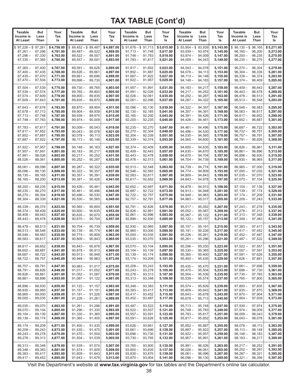| Taxable                                                       | But                                  | Your                                           | <b>Taxable</b>                                              | But                                  | Your                                           | <b>Taxable</b>                                                    | <b>But</b>                 | Your                                           | <b>Taxable</b>                                               | But                                  | Your                                           | <b>Taxable</b>                                                | But                                  | Your                                           |
|---------------------------------------------------------------|--------------------------------------|------------------------------------------------|-------------------------------------------------------------|--------------------------------------|------------------------------------------------|-------------------------------------------------------------------|----------------------------|------------------------------------------------|--------------------------------------------------------------|--------------------------------------|------------------------------------------------|---------------------------------------------------------------|--------------------------------------|------------------------------------------------|
| Income is                                                     | Less                                 | Tax                                            | Income is                                                   | Less                                 | Tax                                            | Income is                                                         | Less                       | Tax                                            | Income is                                                    | Less                                 | Tax                                            | Income is                                                     | Less                                 | Tax                                            |
| At Least                                                      | Than                                 | ls                                             | At Least                                                    | Than                                 | ls                                             | At Least                                                          | Than                       | ls                                             | At Least                                                     | Than                                 | ls                                             | At Least                                                      | Than                                 | ls                                             |
| $$87,226 - $87,261$<br>$87,261 -$<br>$87,296 -$<br>$87,330 -$ | 87,296<br>87.330<br>87,365           | \$4,759.00<br>4,761.00<br>4,763.00<br>4,765.00 | $$89,452-\$89,487$<br>$89,487-$<br>$89,522 -$<br>$89,557 -$ | 89,522<br>89.557<br>89,591           | \$4,887.00<br>4,889.00<br>4,891.00<br>4,893.00 | $$91,678 - $91,713$<br>$91,713 -$<br>$91,748 -$<br>$91,783 -$     | 91,748<br>91,783<br>91,817 | \$5,015.00<br>5,017.00<br>5,019.00<br>5,021.00 | $$93,904 - $93,939$<br>$93,939 -$<br>$93.974 -$<br>$94,009-$ | 93,974<br>94,009<br>94,043           | \$5,143.00<br>5,145.00<br>5,147.00<br>5,149.00 | $$96,130 - $96,165$<br>$96,165 -$<br>$96,200 -$<br>$96,235 -$ | 96,200<br>96,235<br>96,270           | \$5,271.00<br>5,273.00<br>5,275.00<br>5,277.00 |
| $87,365 -$                                                    | 87,400                               | 4,767.00                                       | $89,591 -$                                                  | 89,626                               | 4,895.00                                       | $91,817 -$                                                        | 91,852                     | 5,023.00                                       | $94,043 -$                                                   | 94,078                               | 5,151.00                                       | $96,270-$                                                     | 96,304                               | 5,279.00                                       |
| $87,400 -$                                                    | 87,435                               | 4,769.00                                       | $89,626 -$                                                  | 89,661                               | 4,897.00                                       | $91,852 -$                                                        | 91,887                     | 5,025.00                                       | $94,078-$                                                    | 94,113                               | 5,153.00                                       | $96,304 -$                                                    | 96,339                               | 5,281.00                                       |
| $87,435 -$                                                    | 87,470                               | 4,771.00                                       | $89,661 -$                                                  | 89,696                               | 4,899.00                                       | $91,887 -$                                                        | 91,922                     | 5,027.00                                       | $94,113-$                                                    | 94,148                               | 5,155.00                                       | $96,339-$                                                     | 96,374                               | 5,283.00                                       |
| $87,470-$                                                     | 87,504                               | 4,773.00                                       | $89,696 -$                                                  | 89,730                               | 4,901.00                                       | $91,922 -$                                                        | 91,957                     | 5,029.00                                       | $94,148-$                                                    | 94,183                               | 5,157.00                                       | $96,374-$                                                     | 96,409                               | 5,285.00                                       |
| $87,504 -$                                                    | 87,539                               | 4,775.00                                       | $89,730 -$                                                  | 89,765                               | 4,903.00                                       | $91,957 -$                                                        | 91,991                     | 5,031.00                                       | $94,183-$                                                    | 94,217                               | 5,159.00                                       | $96,409-$                                                     | 96,443                               | 5.287.00                                       |
| $87,539-$                                                     | 87,574                               | 4,777.00                                       | $89,765 -$                                                  | 89,800                               | 4,905.00                                       | $91,991 -$                                                        | 92,026                     | 5,033.00                                       | $94,217-$                                                    | 94,252                               | 5,161.00                                       | $96,443-$                                                     | 96,478                               | 5,289.00                                       |
| $87,574-$                                                     | 87,609                               | 4,779.00                                       | $89,800 -$                                                  | 89,835                               | 4,907.00                                       | $92,026 -$                                                        | 92,061                     | 5,035.00                                       | $94,252 -$                                                   | 94,287                               | 5,163.00                                       | $96,478-$                                                     | 96,513                               | 5,291.00                                       |
| $87,609-$                                                     | 87,643                               | 4,781.00                                       | $89,835 -$                                                  | 89,870                               | 4,909.00                                       | $92,061 -$                                                        | 92,096                     | 5,037.00                                       | $94,287-$                                                    | 94,322                               | 5,165.00                                       | $96,513 -$                                                    | 96,548                               | 5,293.00                                       |
| $87,643-$                                                     | 87,678                               | 4,783.00                                       | $89,870 -$                                                  | 89,904                               | 4,911.00                                       | $92,096 -$                                                        | 92,130                     | 5,039.00                                       | $94,322 -$                                                   | 94,357                               | 5,167.00                                       | $96,548-$                                                     | 96,583                               | 5,295.00                                       |
| $87,678-$                                                     | 87,713                               | 4,785.00                                       | $89,904 -$                                                  | 89,939                               | 4,913.00                                       | $92,130-$                                                         | 92,165                     | 5,041.00                                       | $94,357-$                                                    | 94,391                               | 5,169.00                                       | $96,583 -$                                                    | 96,617                               | 5,297.00                                       |
| $87,713 -$                                                    | 87,748                               | 4,787.00                                       | $89,939 -$                                                  | 89,974                               | 4,915.00                                       | $92,165 -$                                                        | 92,200                     | 5,043.00                                       | $94,391 -$                                                   | 94,426                               | 5,171.00                                       | $96,617-$                                                     | 96,652                               | 5,299.00                                       |
| $87,748-$                                                     | 87,783                               | 4,789.00                                       | $89,974-$                                                   | 90,009                               | 4,917.00                                       | $92,200 -$                                                        | 92,235                     | 5,045.00                                       | $94,426 -$                                                   | 94,461                               | 5,173.00                                       | $96,652 -$                                                    | 96,687                               | 5,301.00                                       |
| $87,783 -$                                                    | 87,817                               | 4,791.00                                       | $90,009 -$                                                  | 90,043                               | 4,919.00                                       | $92,235 -$                                                        | 92,270                     | 5,047.00                                       | $94,461 -$                                                   | 94,496                               | 5,175.00                                       | $96,687-$                                                     | 96,722                               | 5,303.00                                       |
| $87,817-$                                                     | 87.852                               | 4,793.00                                       | $90,043 -$                                                  | 90.078                               | 4,921.00                                       | $92,270-$                                                         | 92,304                     | 5,049.00                                       | $94,496-$                                                    | 94,530                               | 5,177.00                                       | $96,722 -$                                                    | 96,757                               | 5,305,00                                       |
| $87,852 -$                                                    | 87,887                               | 4,795.00                                       | $90,078-$                                                   | 90,113                               | 4,923.00                                       | $92,304 -$                                                        | 92,339                     | 5,051.00                                       | $94,530-$                                                    | 94,565                               | 5,179.00                                       | $96,757-$                                                     | 96,791                               | 5,307.00                                       |
| $87,887 -$                                                    | 87,922                               | 4,797.00                                       | $90,113-$                                                   | 90,148                               | 4,925.00                                       | $92,339-$                                                         | 92,374                     | 5,053.00                                       | $94,565 -$                                                   | 94,600                               | 5,181.00                                       | $96,791 -$                                                    | 96,826                               | 5,309.00                                       |
| $87,922 -$                                                    | 87,957                               | 4,799.00                                       | $90,148-$                                                   | 90,183                               | 4,927.00                                       | $92,374-$                                                         | 92,409                     | 5,055.00                                       | $94,600 -$                                                   | 94,635                               | 5,183.00                                       | $96,826 -$                                                    | 96,861                               | 5,311.00                                       |
| $87,957 -$                                                    | 87,991                               | 4,801.00                                       | $90,183-$                                                   | 90,217                               | 4,929.00                                       | $92,409-$                                                         | 92,443                     | 5,057.00                                       | $94,635-$                                                    | 94,670                               | 5,185.00                                       | $96,861 -$                                                    | 96,896                               | 5,313.00                                       |
| $87,991 -$                                                    | 88,026                               | 4,803.00                                       | $90,217-$                                                   | 90,252                               | 4,931.00                                       | $92.443 -$                                                        | 92,478                     | 5,059.00                                       | $94,670-$                                                    | 94,704                               | 5,187.00                                       | $96,896 -$                                                    | 96,930                               | 5,315.00                                       |
| $88,026 -$                                                    | 88,061                               | 4,805.00                                       | $90,252 -$                                                  | 90,287                               | 4,933.00                                       | $92,478-$                                                         | 92,513                     | 5,061.00                                       | $94,704-$                                                    | 94,739                               | 5,189.00                                       | $96,930 -$                                                    | 96,965                               | 5,317.00                                       |
| $88,061 -$                                                    | 88,096                               | 4.807.00                                       | $90,287-$                                                   | 90,322                               | 4,935.00                                       | $92,513-$                                                         | 92,548                     | 5,063.00                                       | $94,739-$                                                    | 94,774                               | 5,191.00                                       | $96,965 -$                                                    | 97,000                               | 5,319.00                                       |
| $88,096-$                                                     | 88,130                               | 4,809.00                                       | $90,322 -$                                                  | 90,357                               | 4,937.00                                       | $92,548 -$                                                        | 92,583                     | 5,065.00                                       | $94,774-$                                                    | 94,809                               | 5,193.00                                       | $97,000 -$                                                    | 97,035                               | 5,321.00                                       |
| $88,130-$                                                     | 88,165                               | 4,811.00                                       | $90,357-$                                                   | 90,391                               | 4,939.00                                       | $92,583 -$                                                        | 92,617                     | 5,067.00                                       | $94,809-$                                                    | 94,843                               | 5,195.00                                       | $97,035-$                                                     | 97,070                               | 5,323.00                                       |
| $88,165 -$                                                    | 88,200                               | 4,813.00                                       | $90,391 -$                                                  | 90,426                               | 4,941.00                                       | $92,617-$                                                         | 92,652                     | 5,069.00                                       | $94,843-$                                                    | 94,878                               | 5,197.00                                       | $97,070 -$                                                    | 97,104                               | 5,325.00                                       |
| $88,200 -$                                                    | 88,235                               | 4,815.00                                       | $90,426 -$                                                  | 90,461                               | 4,943.00                                       | $92,652 -$                                                        | 92,687                     | 5,071.00                                       | $94,878-$                                                    | 94,913                               | 5,199.00                                       | $97,104 -$                                                    | 97,139                               | 5,327.00                                       |
| $88,235 -$                                                    | 88,270                               | 4,817.00                                       | $90,461 -$                                                  | 90,496                               | 4,945.00                                       | $92,687-$                                                         | 92,722                     | 5,073.00                                       | $94,913-$                                                    | 94,948                               | 5,201.00                                       | $97,139-$                                                     | 97,174                               | 5,329.00                                       |
| $88,270 -$                                                    | 88,304                               | 4,819.00                                       | $90,496-$                                                   | 90,530                               | 4,947.00                                       | $92,722 -$                                                        | 92,757                     | 5,075.00                                       | $94,948 -$                                                   | 94,983                               | 5,203.00                                       | $97,174-$                                                     | 97,209                               | 5,331.00                                       |
| $88,304-$                                                     | 88,339                               | 4,821.00                                       | $90,530 -$                                                  | 90,565                               | 4,949.00                                       | $92,757-$                                                         | 92,791                     | 5,077.00                                       | $94,983 -$                                                   | 95,017                               | 5,205.00                                       | $97,209-$                                                     | 97,243                               | 5,333.00                                       |
| $88,339-$                                                     | 88,374                               | 4,823.00                                       | $90,565 -$                                                  | 90,600                               | 4,951.00                                       | $92,791-$                                                         | 92,826                     | 5,079.00                                       | $95,017-$                                                    | 95,052                               | 5,207.00                                       | $97,243-$                                                     | 97,278                               | 5,335.00                                       |
| $88,374-$                                                     | 88,409                               | 4,825.00                                       | $90,600 -$                                                  | 90,635                               | 4,953.00                                       | $92,826 -$                                                        | 92,861                     | 5,081.00                                       | $95,052 -$                                                   | 95,087                               | 5,209.00                                       | $97,278-$                                                     | 97,313                               | 5,337.00                                       |
| $88,409-$                                                     | 88,443                               | 4,827.00                                       | $90,635 -$                                                  | 90,670                               | 4,955.00                                       | $92,861 -$                                                        | 92,896                     | 5,083.00                                       | $95,087 -$                                                   | 95,122                               | 5,211.00                                       | $97,313 -$                                                    | 97,348                               | 5,339.00                                       |
| $88,443-$                                                     | 88,478                               | 4,829.00                                       | $90,670-$                                                   | 90,704                               | 4,957.00                                       | $92,896-$                                                         | 92,930                     | 5,085.00                                       | $95,122 -$                                                   | 95,157                               | 5,213.00                                       | $97,348 -$                                                    | 97,383                               | 5,341.00                                       |
| $88,478-$                                                     | 88,513                               | 4,831.00                                       | $90,704 -$                                                  | 90,739                               | 4,959.00                                       | $92,930 -$                                                        | 92,965                     | 5,087.00                                       | $95,157-$                                                    | 95,191                               | 5,215.00                                       | $97,383 -$                                                    | 97,417                               | 5,343.00                                       |
| $88.513 -$                                                    | 88.548                               | 4,833.00                                       | $90,739-$                                                   | 90,774                               | 4,961.00                                       | $92,965 -$                                                        | 93,000                     | 5.089.00                                       | $95,191 -$                                                   | 95,226                               | 5,217.00                                       | $97,417-$                                                     | 97,452                               | 5.345.00                                       |
| $88,548 -$                                                    | 88,583                               | 4,835.00                                       | $90,774-$                                                   | 90,809                               | 4,963.00                                       | $93,000 -$                                                        | 93,035                     | 5,091.00                                       | $95,226 -$                                                   | 95,261                               | 5,219.00                                       | $97,452 -$                                                    | 97,487                               | 5,347.00                                       |
| $88,583 -$                                                    | 88,617                               | 4,837.00                                       | $90,809-$                                                   | 90,843                               | 4,965.00                                       | $93,035-$                                                         | 93,070                     | 5.093.00                                       | $95,261 -$                                                   | 95,296                               | 5,221.00                                       | $97,487-$                                                     | 97,522                               | 5,349.00                                       |
| $88,617-$                                                     | 88,652                               | 4,839.00                                       | $90,843 -$                                                  | 90,878                               | 4,967.00                                       | $93,070-$                                                         | 93,104                     | 5,095.00                                       | $95,296 -$                                                   | 95,330                               | 5,223.00                                       | $97,522 -$                                                    | 97,557                               | 5,351.00                                       |
| $88,652-$                                                     | 88,687                               | 4,841.00                                       | $90,878-$                                                   | 90,913                               | 4,969.00                                       | $93,104-$                                                         | 93,139                     | 5.097.00                                       | $95,330 -$                                                   | 95,365                               | 5,225.00                                       | $97,557-$                                                     | 97,591                               | 5,353.00                                       |
| 88,687 –                                                      | 88,722                               | 4,843.00                                       | $90.913 -$                                                  | 90,948                               | 4,971.00                                       | $93,139-$                                                         | 93,174                     | 5,099.00                                       | $95,365 -$                                                   | 95,400                               | 5,227.00                                       | $97,591 -$                                                    | 97,626                               | 5,355.00                                       |
| $88,722 -$                                                    | 88,757                               | 4,845.00                                       | $90,948 -$                                                  | 90,983                               | 4,973.00                                       | $93,174-$                                                         | 93,209                     | 5,101.00                                       | $95,400 -$                                                   | 95,435                               | 5,229.00                                       | $97,626-$                                                     | 97,661                               | 5,357.00                                       |
| $88,757-$<br>88,791 –<br>$88,826 -$<br>88,861 –               | 88,791<br>88,826<br>88,861<br>88,896 | 4,847.00<br>4,849.00<br>4,851.00<br>4,853.00   | $90,983 -$<br>$91,017 -$<br>$91,052 -$<br>$91,087 -$        | 91,017<br>91,052<br>91,087<br>91,122 | 4,975.00<br>4,977.00<br>4,979.00<br>4,981.00   | $93,209-$<br>$93,243 - 93,278$<br>$93,278 - 93,313$<br>$93,313 -$ | 93,243<br>93,348           | 5,103.00<br>5,105.00<br>5,107.00<br>5,109.00   | $95,435 -$<br>$95,470-$<br>$95,504-$<br>$95,539-$            | 95,470<br>95,504<br>95,539<br>95,574 | 5,231.00<br>5,233.00<br>5,235.00<br>5,237.00   | $97,661-$<br>$97,696 -$<br>$97,730 -$<br>$97,765 -$           | 97,696<br>97,730<br>97,765<br>97,800 | 5,359.00<br>5,361.00<br>5,363.00<br>5,365.00   |
| 88,896 –                                                      | 88,930                               | 4,855.00                                       | $91,122 -$                                                  | 91,157                               | 4,983.00                                       | $93.348 -$                                                        | 93,383                     | 5,111.00                                       | $95,574-$                                                    | 95,609                               | 5,239.00                                       | $97,800 -$                                                    | 97,835                               | 5,367.00                                       |
| 88,930 -                                                      | 88,965                               | 4,857.00                                       | $91,157 -$                                                  | 91,191                               | 4,985.00                                       | $93,383 -$                                                        | 93,417                     | 5,113.00                                       | $95,609-$                                                    | 95,643                               | 5,241.00                                       | $97,835 -$                                                    | 97,870                               | 5,369.00                                       |
| $88,965 -$                                                    | 89,000                               | 4,859.00                                       | $91,191 -$                                                  | 91,226                               | 4,987.00                                       | $93,417-$                                                         | 93,452                     | 5.115.00                                       | $95,643 -$                                                   | 95.678                               | 5,243.00                                       | $97,870 -$                                                    | 97,904                               | 5.371.00                                       |
| $89,000 -$                                                    | 89,035                               | 4,861.00                                       | $91,226 -$                                                  | 91,261                               | 4,989.00                                       | $93,452 -$                                                        | 93,487                     | 5,117.00                                       | $95,678-$                                                    | 95,713                               | 5,245.00                                       | $97,904-$                                                     | 97,939                               | 5,373.00                                       |
| $89,035 -$<br>$89,070 - 89,104$<br>$89,104-$<br>$89,139-$     | 89.070<br>89,139<br>89,174           | 4,863.00<br>4,865.00<br>4,867.00<br>4,869.00   | $91,261 -$<br>$91,296 -$<br>$91,330 -$<br>$91,365 -$        | 91,296<br>91,330<br>91,365<br>91,400 | 4,991.00<br>4,993.00<br>4,995.00<br>4,997.00   | $93,487-$<br>$93,522 -$<br>$93,557 - 93,591$<br>$93,591 -$        | 93,522<br>93,557<br>93,626 | 5.119.00<br>5,121.00<br>5,123.00<br>5,125.00   | $95,713 -$<br>$95,748-$<br>$95,783 -$<br>$95,817 -$          | 95,748<br>95,783<br>95,817<br>95,852 | 5,247.00<br>5,249.00<br>5,251.00<br>5,253.00   | $97,939-$<br>$97,974-$<br>$98,009-$<br>$98,043-$              | 97,974<br>98,009<br>98,043<br>98,078 | 5,375.00<br>5,377.00<br>5,379.00<br>5,381.00   |
| $89,174-$<br>$89,209 -$<br>$89,243-$<br>$89,278 - 89,313$     | 89,209<br>89,243<br>89,278           | 4,871.00<br>4,873.00<br>4,875.00<br>4,877.00   | $91,400 -$<br>$91,435 -$<br>$91,470 -$<br>$91,504-$         | 91,435<br>91,470<br>91,504<br>91,539 | 4,999.00<br>5,001.00<br>5,003.00<br>5,005.00   | $93,626 -$<br>$93,661 -$<br>$93,696 -$<br>$93,730 - 93,765$       | 93,661<br>93,696<br>93,730 | 5,127.00<br>5,129.00<br>5,131.00<br>5,133.00   | $95,852 -$<br>$95,887 -$<br>$95,922 -$<br>$95,957 -$         | 95,887<br>95,922<br>95,957<br>95,991 | 5,255.00<br>5,257.00<br>5,259.00<br>5,261.00   | $98,078-$<br>$98,113-$<br>$98,148-$<br>$98,183 -$             | 98,113<br>98,148<br>98,183<br>98,217 | 5,383.00<br>5,385.00<br>5,387.00<br>5,389.00   |
| $89,313 -$<br>$89,348 -$<br>$89,383 -$<br>$89,417-$           | 89,348<br>89,383<br>89,417<br>89,452 | 4,879.00<br>4,881.00<br>4,883.00<br>4,885.00   | $91,539-$<br>$91,574-$<br>$91,609-$<br>$91,643-$            | 91,574<br>91,609<br>91,643<br>91,678 | 5,007.00<br>5,009.00<br>5,011.00<br>5,013.00   | $93,765 -$<br>$93,800 -$<br>$93,835 - 93,870$<br>$93,870 -$       | 93,800<br>93,835<br>93,904 | 5,135.00<br>5,137.00<br>5,139.00<br>5,141.00   | $95,991 -$<br>$96,026 -$<br>$96,061 -$<br>$96,096-$          | 96,026<br>96,061<br>96,096<br>96,130 | 5,263.00<br>5,265.00<br>5,267.00<br>5,269.00   | $98,217-$<br>$98,252 -$<br>$98,287 -$<br>$98,321 -$           | 98,252<br>98,287<br>98,321<br>98,356 | 5,391.00<br>5,393.00<br>5,395.00<br>5,397.00   |

Visit the Department's website at **www.tax.virginia.gov** for tax tables and the Department's online tax calculator.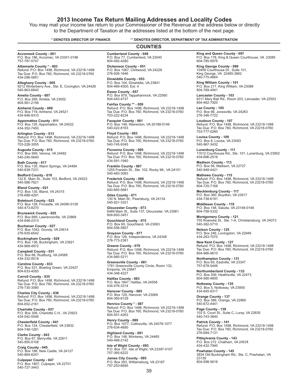# **2013 Income Tax Return Mailing Addresses and Locality Codes**

You may mail your income tax return to your Commissioner of the Revenue at the address below or directly to the Department of Taxation at the addresses listed at the bottom of the next page.

**COUNTIES**

#### **\* DENOTES DIRECTOR OF FINANCE** \*\* **DENOTES DIRECTOR, DEPARTMENT OF TAX ADMINISTRATION**

**Accomack County - 001** P.O. Box 186, Accomac, VA 23301-0186 757-787-5747

**Albemarle County \* - 003**<br>Refund: P.O. Box 1498, Richmond, VA 23218-1498<br>Tax Due: P.O. Box 760, Richmond, VA 23218-0760 434-296-5851

**Alleghany County - 005** 9212 Winterberry Ave., Ste. E, Covington, VA 24426 540-863-6640

**Amelia County - 007** P.O. Box 269, Amelia, VA 23002 804-561-2158

**Amherst County - 009** P.O. Box 719, Amherst, VA 24521 434-946-9310

**Appomattox County - 011** P.O. Box 125, Appomattox, VA 24522 434-352-7450

**Arlington County - 013** Refund: P.O. Box 1498, Richmond, VA 23218-1498 Tax Due: P.O. Box 760, Richmond, VA 23218-0760 703-228-3055

**Augusta County - 015** P.O. Box 959, Verona, VA 24482 540-245-5640

**Bath County - 017** P.O. Box 130, Warm Springs, VA 24484 540-839-7231

**Bedford County - 019** 122 E. Main St., Suite 103, Bedford, VA 24523 540-586-7621

**Bland County - 021** P.O. Box 130, Bland, VA 24315 276-688-4291

**Botetourt County - 023** P.O. Box 128, Fincastle, VA 24090-0128 540-473-8270

**Brunswick County - 025** P.O. Box 669, Lawrenceville, VA 23868 434-848-2313

**Buchanan County - 027** P.O. Box 1042, Grundy, VA 24614 276-935-6542

**Buckingham County - 029** P.O. Box 138, Buckingham, VA 23921 434-969-4972

**Campbell County - 031** P.O. Box 66, Rustburg, VA 24588 434-332-9518

**Caroline County - 033** P.O. Box 531, Bowling Green, VA 22427 804-633-4050

**Carroll County - 035**<br>Refund: P.O. Box 1498, Richmond, VA 23218-1498<br>Tax Due: P.O. Box 760, Richmond, VA 23218-0760 276-730-3080

**Charles City County - 036** Refund: P.O. Box 1498, Richmond, VA 23218-1498 Tax Due: P.O. Box 760, Richmond, VA 23218-0760 804-652-2161

**Charlotte County - 037** P.O. Box 308, Charlotte C.H., VA 23923 434-542-5546

**Chesterfield County - 041** P.O. Box 124, Chesterfield, VA 23832 804-748-1281

**Clarke County - 043** P.O. Box 67, Berryville, VA 22611 540-955-5108

**Craig County - 045** P.O. Box 186, New Castle, VA 24127 540-864-6241

**Culpeper County - 047** P.O. Box 1807, Culpeper, VA 22701 540-727-3443

**Cumberland County - 049** P.O. Box 77, Cumberland, VA 23040 804-492-4280

**Dickenson County - 051** P.O. Box 1067, Clintwood, VA 24228 276-926-1646

**Dinwiddie County - 053**<br>P.O. Box 104, Dinwiddie, VA 23841<br>804-469-4500, Ext. 4

**Essex County - 057**<br>P.O. Box 879, Tappahannock, VA 22560<br>804-443-4737

**Fairfax County \*\* - 059**<br>Refund: P.O. Box 1498, Richmond, VA 23218-1498<br>Tax Due: P.O. Box 760, Richmond, VA 23218-0760 703-222-8234

**Fauquier County - 061** P.O. Box 149, Warrenton, VA 20188-0149 540-422-8163

**Floyd County - 063** Refund: P.O. Box 1498, Richmond, VA 23218-1498 Tax Due: P.O. Box 760, Richmond, VA 23218-0760 540-745-9345

**Fluvanna County - 065**<br>Refund: P.O. Box 1498, Richmond, VA 23218-1498<br>Tax Due: P.O. Box 760, Richmond, VA 23218-0760 434-591-1940

**Franklin County - 067** 1255 Franklin St., Ste. 102, Rocky Mt., VA 24151 540-483-3083

**Frederick County - 069** Refund: P.O. Box 1498, Richmond, VA 23218-1498 Tax Due: P.O. Box 760, Richmond, VA 23218-0760 540-665-5681

**Giles County - 071** 130 N. Main St., Pearisburg, VA 24134 540-921-3321

**Gloucester County - 073** 6489 Main St., Suite 137, Gloucester, VA 23061 804-693-3451

**Goochland County - 075** P.O. Box 60, Goochland, VA 23063 804-556-5807

**Grayson County - 077** P.O. Box 126, Independence, VA 24348 276-773-2381

**Greene County - 079** Refund: P.O. Box 1498, Richmond, VA 23218-1498 Tax Due: P.O. Box 760, Richmond, VA 23218-0760 434-985-5211

**Greensville County - 081** 1781 Greensville County Circle, Room 132, Emporia, VA 23847 434-348-4227

**Halifax County - 083** P.O. Box 1847, Halifax, VA 24558 434-476-3314

**Hanover County - 085** P.O. Box 129, Hanover, VA 23069 804-365-6129

**Henrico County \* - 087** Refund: P.O. Box 1498, Richmond, VA 23218-1498 Tax Due: P.O. Box 760, Richmond, VA 23218-0760 804-501-4263

**Henry County - 089**<br>P.O. Box 1077, Collinsville, VA 24078-1077<br>276-634-4690

**Highland County - 091**<br>P.O. Box 148, Monterey, VA 24465<br>540-468-2142

**Isle of Wight County - 093**<br>P.O. Box 107, Isle of Wight, VA 23397-0107<br>757-365-6222

**James City County - 095** P.O. Box 283, Williamsburg, VA 23187 757-253-6695

**King and Queen County - 097** P.O. Box 178, King & Queen Courthouse, VA 23085 804-785-5976

**King George County - 099** 10459 Courthouse Dr., Suite 101, King George, VA 22485-3862 540-775-4664

**King William County - 101** P.O. Box 217, King William, VA 23086 804-769-4941

**Lancaster County - 103** 8311 Mary Ball Rd., Room 203, Lancaster, VA 22503 804-462-7920

**Lee County - 105** P.O. Box 96, Jonesville, VA 24263 276-346-7722

**Loudoun County - 107** Refund: P.O. Box 1498, Richmond, VA 23218-1498 Tax Due: P.O. Box 760, Richmond, VA 23218-0760 703-777-0260

**Louisa County - 109**<br>P.O. Box 8, Louisa, VA 23093<br>540-967-3432

**Lunenburg County - 111** 11512 Courthouse Rd., Ste. 101, Lunenburg, VA 23952 434-696-2516

**Madison County - 113** P.O. Box 56, Madison, VA 22727 540-948-4421

**Mathews County - 115**<br>Refund: P.O. Box 1498, Richmond, VA 23218-1498<br>Tax Due: P.O. Box 760, Richmond, VA 23218-0760 804-725-7168

**Mecklenburg County - 117** P.O. Box 360, Boydton, VA 23917 434-738-6191

**Middlesex County - 119** P.O. Box 148, Saluda, VA 23149-0148 804-758-5332

**Montgomery County - 121** 755 Roanoke St., Ste. 1-A, Christiansburg, VA 24073 540-382-5710

**Nelson County - 125** P.O. Box 246, Lovingston, VA 22949 434-263-7070

**New Kent County - 127**<br>Refund: P.O. Box 1498, Richmond, VA 23218-1498<br>Tax Due: P.O. Box 760, Richmond, VA 23218-0760 804-966-9610

**Northampton County - 131** P.O. Box 65, Eastville, VA 23347 757-678-0446

**Northumberland County - 133** P.O. Box 309, Heathsville, VA 22473 804-580-4600

**Nottoway County - 135** P.O. Box 5, Nottoway, VA 23955 434-645-9317

**Orange County - 137** P.O. Box 389, Orange, VA 22960 540-672-4441

**Page County - 139** 103 S. Court St., Suite C, Luray, VA 22835 540-743-3840

**Patrick County - 141** Refund: P.O. Box 1498, Richmond, VA 23218-1498 Tax Due: P.O. Box 760, Richmond, VA 23218-0760 276-694-7131

**Pittsylvania County - 143** P.O. Box 272 ,Chatham, VA 2453**1** 434-432-7940

**Powhatan County - 145** 3834 Old Buckingham Rd., Ste. C, Powhatan, VA 23139 804-598-5616